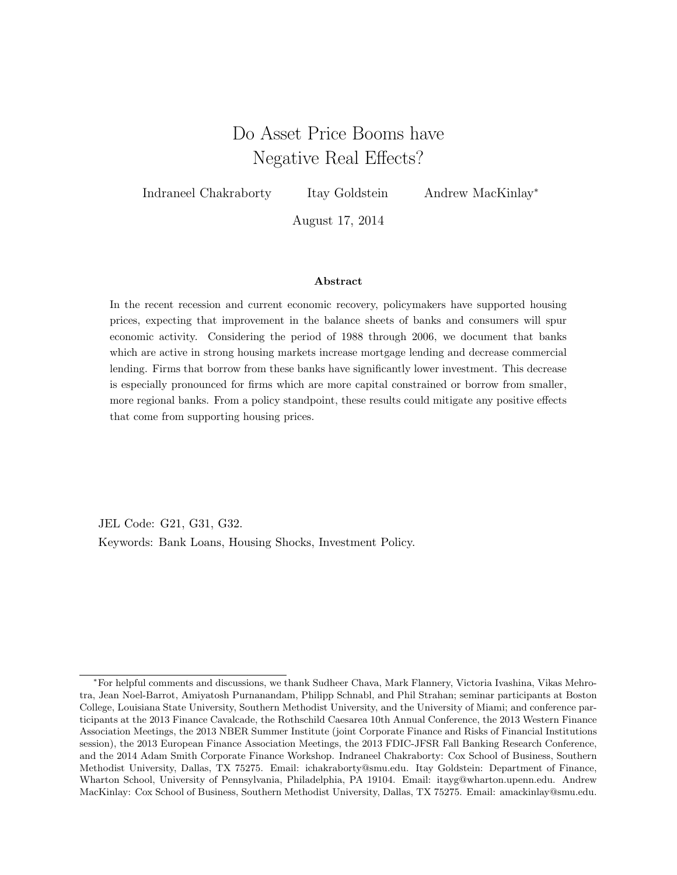# Do Asset Price Booms have Negative Real Effects?

<span id="page-0-0"></span>Indraneel Chakraborty Itay Goldstein Andrew MacKinlay<sup>∗</sup>

August 17, 2014

### Abstract

In the recent recession and current economic recovery, policymakers have supported housing prices, expecting that improvement in the balance sheets of banks and consumers will spur economic activity. Considering the period of 1988 through 2006, we document that banks which are active in strong housing markets increase mortgage lending and decrease commercial lending. Firms that borrow from these banks have significantly lower investment. This decrease is especially pronounced for firms which are more capital constrained or borrow from smaller, more regional banks. From a policy standpoint, these results could mitigate any positive effects that come from supporting housing prices.

JEL Code: G21, G31, G32. Keywords: Bank Loans, Housing Shocks, Investment Policy.

<sup>∗</sup>For helpful comments and discussions, we thank Sudheer Chava, Mark Flannery, Victoria Ivashina, Vikas Mehrotra, Jean Noel-Barrot, Amiyatosh Purnanandam, Philipp Schnabl, and Phil Strahan; seminar participants at Boston College, Louisiana State University, Southern Methodist University, and the University of Miami; and conference participants at the 2013 Finance Cavalcade, the Rothschild Caesarea 10th Annual Conference, the 2013 Western Finance Association Meetings, the 2013 NBER Summer Institute (joint Corporate Finance and Risks of Financial Institutions session), the 2013 European Finance Association Meetings, the 2013 FDIC-JFSR Fall Banking Research Conference, and the 2014 Adam Smith Corporate Finance Workshop. Indraneel Chakraborty: Cox School of Business, Southern Methodist University, Dallas, TX 75275. Email: ichakraborty@smu.edu. Itay Goldstein: Department of Finance, Wharton School, University of Pennsylvania, Philadelphia, PA 19104. Email: itayg@wharton.upenn.edu. Andrew MacKinlay: Cox School of Business, Southern Methodist University, Dallas, TX 75275. Email: amackinlay@smu.edu.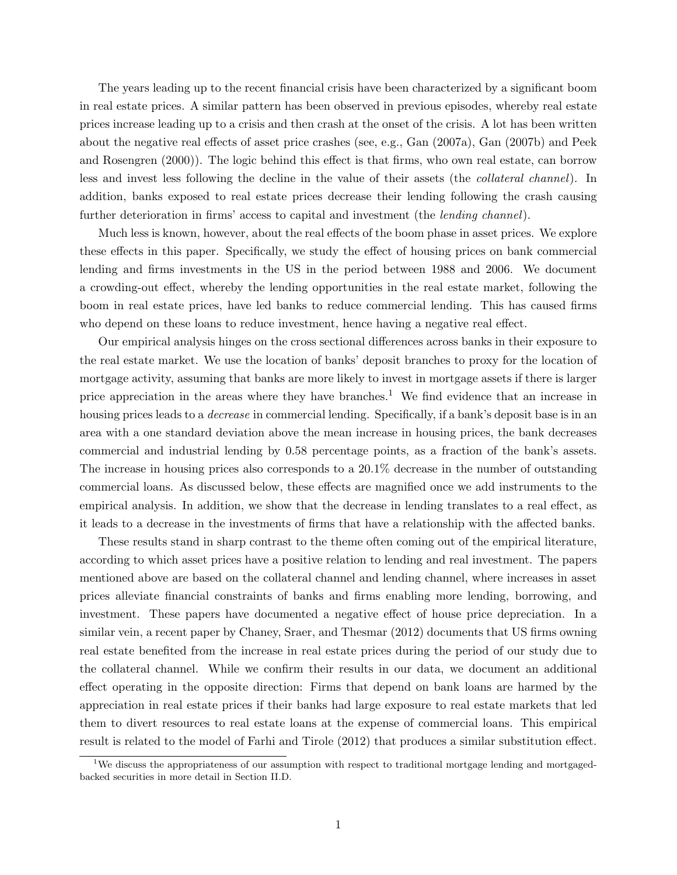The years leading up to the recent financial crisis have been characterized by a significant boom in real estate prices. A similar pattern has been observed in previous episodes, whereby real estate prices increase leading up to a crisis and then crash at the onset of the crisis. A lot has been written about the negative real effects of asset price crashes (see, e.g., Gan (2007a), Gan (2007b) and Peek and Rosengren (2000)). The logic behind this effect is that firms, who own real estate, can borrow less and invest less following the decline in the value of their assets (the collateral channel). In addition, banks exposed to real estate prices decrease their lending following the crash causing further deterioration in firms' access to capital and investment (the *lending channel*).

Much less is known, however, about the real effects of the boom phase in asset prices. We explore these effects in this paper. Specifically, we study the effect of housing prices on bank commercial lending and firms investments in the US in the period between 1988 and 2006. We document a crowding-out effect, whereby the lending opportunities in the real estate market, following the boom in real estate prices, have led banks to reduce commercial lending. This has caused firms who depend on these loans to reduce investment, hence having a negative real effect.

Our empirical analysis hinges on the cross sectional differences across banks in their exposure to the real estate market. We use the location of banks' deposit branches to proxy for the location of mortgage activity, assuming that banks are more likely to invest in mortgage assets if there is larger price appreciation in the areas where they have branches.<sup>[1](#page-0-0)</sup> We find evidence that an increase in housing prices leads to a *decrease* in commercial lending. Specifically, if a bank's deposit base is in an area with a one standard deviation above the mean increase in housing prices, the bank decreases commercial and industrial lending by 0.58 percentage points, as a fraction of the bank's assets. The increase in housing prices also corresponds to a 20.1% decrease in the number of outstanding commercial loans. As discussed below, these effects are magnified once we add instruments to the empirical analysis. In addition, we show that the decrease in lending translates to a real effect, as it leads to a decrease in the investments of firms that have a relationship with the affected banks.

These results stand in sharp contrast to the theme often coming out of the empirical literature, according to which asset prices have a positive relation to lending and real investment. The papers mentioned above are based on the collateral channel and lending channel, where increases in asset prices alleviate financial constraints of banks and firms enabling more lending, borrowing, and investment. These papers have documented a negative effect of house price depreciation. In a similar vein, a recent paper by Chaney, Sraer, and Thesmar (2012) documents that US firms owning real estate benefited from the increase in real estate prices during the period of our study due to the collateral channel. While we confirm their results in our data, we document an additional effect operating in the opposite direction: Firms that depend on bank loans are harmed by the appreciation in real estate prices if their banks had large exposure to real estate markets that led them to divert resources to real estate loans at the expense of commercial loans. This empirical result is related to the model of Farhi and Tirole (2012) that produces a similar substitution effect.

<sup>&</sup>lt;sup>1</sup>We discuss the appropriateness of our assumption with respect to traditional mortgage lending and mortgagedbacked securities in more detail in Section [II.D.](#page-13-0)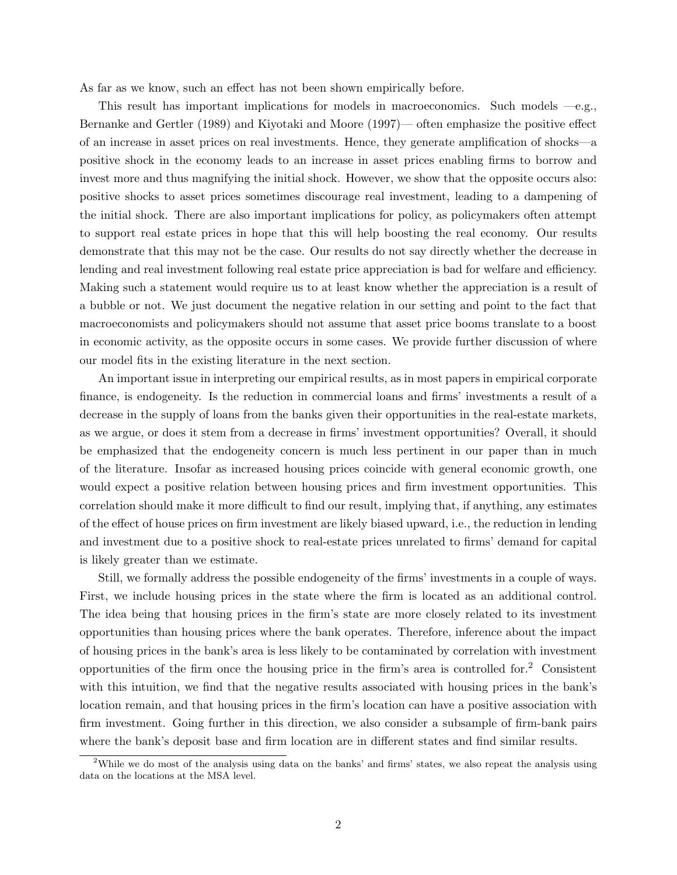As far as we know, such an effect has not been shown empirically before.

This result has important implications for models in macroeconomics. Such models  $-e.g.,$ Bernanke and Gertler (1989) and Kiyotaki and Moore (1997)— often emphasize the positive effect of an increase in asset prices on real investments. Hence, they generate amplification of shocks—a positive shock in the economy leads to an increase in asset prices enabling firms to borrow and invest more and thus magnifying the initial shock. However, we show that the opposite occurs also: positive shocks to asset prices sometimes discourage real investment, leading to a dampening of the initial shock. There are also important implications for policy, as policymakers often attempt to support real estate prices in hope that this will help boosting the real economy. Our results demonstrate that this may not be the case. Our results do not say directly whether the decrease in lending and real investment following real estate price appreciation is bad for welfare and efficiency. Making such a statement would require us to at least know whether the appreciation is a result of a bubble or not. We just document the negative relation in our setting and point to the fact that macroeconomists and policymakers should not assume that asset price booms translate to a boost in economic activity, as the opposite occurs in some cases. We provide further discussion of where our model fits in the existing literature in the next section.

An important issue in interpreting our empirical results, as in most papers in empirical corporate finance, is endogeneity. Is the reduction in commercial loans and firms' investments a result of a decrease in the supply of loans from the banks given their opportunities in the real-estate markets, as we argue, or does it stem from a decrease in firms' investment opportunities? Overall, it should be emphasized that the endogeneity concern is much less pertinent in our paper than in much of the literature. Insofar as increased housing prices coincide with general economic growth, one would expect a positive relation between housing prices and firm investment opportunities. This correlation should make it more difficult to find our result, implying that, if anything, any estimates of the effect of house prices on firm investment are likely biased upward, i.e., the reduction in lending and investment due to a positive shock to real-estate prices unrelated to firms' demand for capital is likely greater than we estimate.

Still, we formally address the possible endogeneity of the firms' investments in a couple of ways. First, we include housing prices in the state where the firm is located as an additional control. The idea being that housing prices in the firm's state are more closely related to its investment opportunities than housing prices where the bank operates. Therefore, inference about the impact of housing prices in the bank's area is less likely to be contaminated by correlation with investment opportunities of the firm once the housing price in the firm's area is controlled for.<sup>[2](#page-0-0)</sup> Consistent with this intuition, we find that the negative results associated with housing prices in the bank's location remain, and that housing prices in the firm's location can have a positive association with firm investment. Going further in this direction, we also consider a subsample of firm-bank pairs where the bank's deposit base and firm location are in different states and find similar results.

<sup>2</sup>While we do most of the analysis using data on the banks' and firms' states, we also repeat the analysis using data on the locations at the MSA level.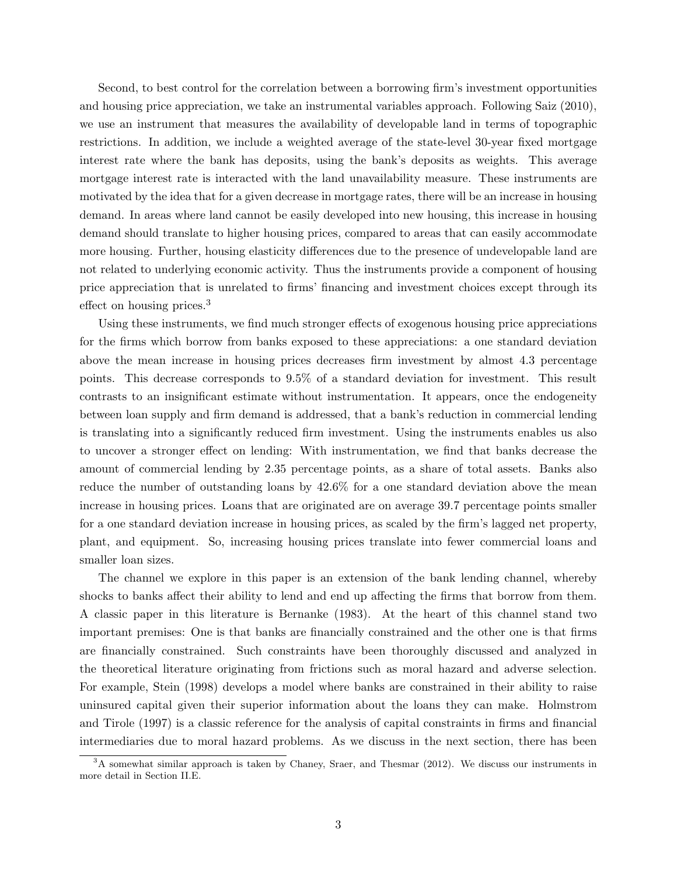Second, to best control for the correlation between a borrowing firm's investment opportunities and housing price appreciation, we take an instrumental variables approach. Following Saiz (2010), we use an instrument that measures the availability of developable land in terms of topographic restrictions. In addition, we include a weighted average of the state-level 30-year fixed mortgage interest rate where the bank has deposits, using the bank's deposits as weights. This average mortgage interest rate is interacted with the land unavailability measure. These instruments are motivated by the idea that for a given decrease in mortgage rates, there will be an increase in housing demand. In areas where land cannot be easily developed into new housing, this increase in housing demand should translate to higher housing prices, compared to areas that can easily accommodate more housing. Further, housing elasticity differences due to the presence of undevelopable land are not related to underlying economic activity. Thus the instruments provide a component of housing price appreciation that is unrelated to firms' financing and investment choices except through its effect on housing prices.[3](#page-0-0)

Using these instruments, we find much stronger effects of exogenous housing price appreciations for the firms which borrow from banks exposed to these appreciations: a one standard deviation above the mean increase in housing prices decreases firm investment by almost 4.3 percentage points. This decrease corresponds to 9.5% of a standard deviation for investment. This result contrasts to an insignificant estimate without instrumentation. It appears, once the endogeneity between loan supply and firm demand is addressed, that a bank's reduction in commercial lending is translating into a significantly reduced firm investment. Using the instruments enables us also to uncover a stronger effect on lending: With instrumentation, we find that banks decrease the amount of commercial lending by 2.35 percentage points, as a share of total assets. Banks also reduce the number of outstanding loans by 42.6% for a one standard deviation above the mean increase in housing prices. Loans that are originated are on average 39.7 percentage points smaller for a one standard deviation increase in housing prices, as scaled by the firm's lagged net property, plant, and equipment. So, increasing housing prices translate into fewer commercial loans and smaller loan sizes.

The channel we explore in this paper is an extension of the bank lending channel, whereby shocks to banks affect their ability to lend and end up affecting the firms that borrow from them. A classic paper in this literature is Bernanke (1983). At the heart of this channel stand two important premises: One is that banks are financially constrained and the other one is that firms are financially constrained. Such constraints have been thoroughly discussed and analyzed in the theoretical literature originating from frictions such as moral hazard and adverse selection. For example, Stein (1998) develops a model where banks are constrained in their ability to raise uninsured capital given their superior information about the loans they can make. Holmstrom and Tirole (1997) is a classic reference for the analysis of capital constraints in firms and financial intermediaries due to moral hazard problems. As we discuss in the next section, there has been

<sup>&</sup>lt;sup>3</sup>A somewhat similar approach is taken by Chaney, Sraer, and Thesmar (2012). We discuss our instruments in more detail in Section [II.E.](#page-14-0)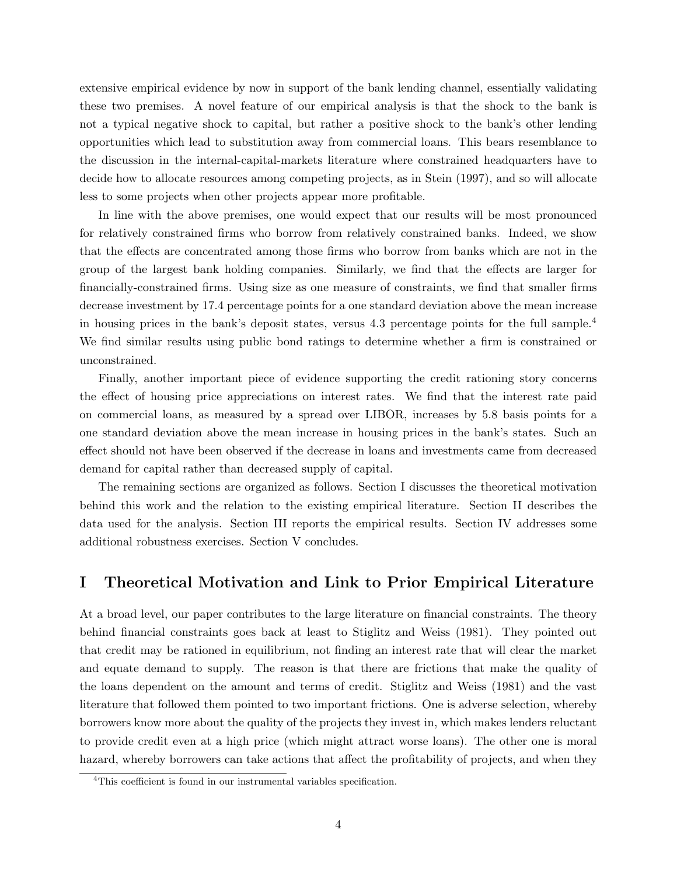extensive empirical evidence by now in support of the bank lending channel, essentially validating these two premises. A novel feature of our empirical analysis is that the shock to the bank is not a typical negative shock to capital, but rather a positive shock to the bank's other lending opportunities which lead to substitution away from commercial loans. This bears resemblance to the discussion in the internal-capital-markets literature where constrained headquarters have to decide how to allocate resources among competing projects, as in Stein (1997), and so will allocate less to some projects when other projects appear more profitable.

In line with the above premises, one would expect that our results will be most pronounced for relatively constrained firms who borrow from relatively constrained banks. Indeed, we show that the effects are concentrated among those firms who borrow from banks which are not in the group of the largest bank holding companies. Similarly, we find that the effects are larger for financially-constrained firms. Using size as one measure of constraints, we find that smaller firms decrease investment by 17.4 percentage points for a one standard deviation above the mean increase in housing prices in the bank's deposit states, versus [4](#page-0-0).3 percentage points for the full sample.<sup>4</sup> We find similar results using public bond ratings to determine whether a firm is constrained or unconstrained.

Finally, another important piece of evidence supporting the credit rationing story concerns the effect of housing price appreciations on interest rates. We find that the interest rate paid on commercial loans, as measured by a spread over LIBOR, increases by 5.8 basis points for a one standard deviation above the mean increase in housing prices in the bank's states. Such an effect should not have been observed if the decrease in loans and investments came from decreased demand for capital rather than decreased supply of capital.

The remaining sections are organized as follows. Section [I](#page-4-0) discusses the theoretical motivation behind this work and the relation to the existing empirical literature. Section [II](#page-8-0) describes the data used for the analysis. Section [III](#page-16-0) reports the empirical results. Section [IV](#page-29-0) addresses some additional robustness exercises. Section [V](#page-32-0) concludes.

# <span id="page-4-0"></span>I Theoretical Motivation and Link to Prior Empirical Literature

At a broad level, our paper contributes to the large literature on financial constraints. The theory behind financial constraints goes back at least to Stiglitz and Weiss (1981). They pointed out that credit may be rationed in equilibrium, not finding an interest rate that will clear the market and equate demand to supply. The reason is that there are frictions that make the quality of the loans dependent on the amount and terms of credit. Stiglitz and Weiss (1981) and the vast literature that followed them pointed to two important frictions. One is adverse selection, whereby borrowers know more about the quality of the projects they invest in, which makes lenders reluctant to provide credit even at a high price (which might attract worse loans). The other one is moral hazard, whereby borrowers can take actions that affect the profitability of projects, and when they

<sup>&</sup>lt;sup>4</sup>This coefficient is found in our instrumental variables specification.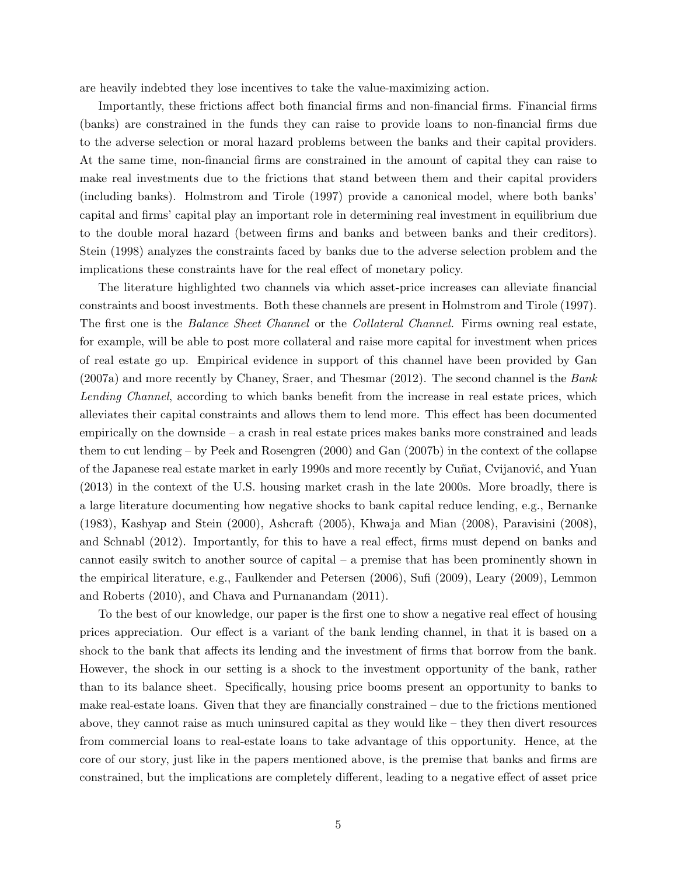are heavily indebted they lose incentives to take the value-maximizing action.

Importantly, these frictions affect both financial firms and non-financial firms. Financial firms (banks) are constrained in the funds they can raise to provide loans to non-financial firms due to the adverse selection or moral hazard problems between the banks and their capital providers. At the same time, non-financial firms are constrained in the amount of capital they can raise to make real investments due to the frictions that stand between them and their capital providers (including banks). Holmstrom and Tirole (1997) provide a canonical model, where both banks' capital and firms' capital play an important role in determining real investment in equilibrium due to the double moral hazard (between firms and banks and between banks and their creditors). Stein (1998) analyzes the constraints faced by banks due to the adverse selection problem and the implications these constraints have for the real effect of monetary policy.

The literature highlighted two channels via which asset-price increases can alleviate financial constraints and boost investments. Both these channels are present in Holmstrom and Tirole (1997). The first one is the *Balance Sheet Channel* or the *Collateral Channel*. Firms owning real estate, for example, will be able to post more collateral and raise more capital for investment when prices of real estate go up. Empirical evidence in support of this channel have been provided by Gan (2007a) and more recently by Chaney, Sraer, and Thesmar (2012). The second channel is the Bank Lending Channel, according to which banks benefit from the increase in real estate prices, which alleviates their capital constraints and allows them to lend more. This effect has been documented empirically on the downside – a crash in real estate prices makes banks more constrained and leads them to cut lending – by Peek and Rosengren (2000) and Gan (2007b) in the context of the collapse of the Japanese real estate market in early 1990s and more recently by Cuñat, Cvijanović, and Yuan (2013) in the context of the U.S. housing market crash in the late 2000s. More broadly, there is a large literature documenting how negative shocks to bank capital reduce lending, e.g., Bernanke (1983), Kashyap and Stein (2000), Ashcraft (2005), Khwaja and Mian (2008), Paravisini (2008), and Schnabl (2012). Importantly, for this to have a real effect, firms must depend on banks and cannot easily switch to another source of capital – a premise that has been prominently shown in the empirical literature, e.g., Faulkender and Petersen (2006), Sufi (2009), Leary (2009), Lemmon and Roberts (2010), and Chava and Purnanandam (2011).

To the best of our knowledge, our paper is the first one to show a negative real effect of housing prices appreciation. Our effect is a variant of the bank lending channel, in that it is based on a shock to the bank that affects its lending and the investment of firms that borrow from the bank. However, the shock in our setting is a shock to the investment opportunity of the bank, rather than to its balance sheet. Specifically, housing price booms present an opportunity to banks to make real-estate loans. Given that they are financially constrained – due to the frictions mentioned above, they cannot raise as much uninsured capital as they would like  $-$  they then divert resources from commercial loans to real-estate loans to take advantage of this opportunity. Hence, at the core of our story, just like in the papers mentioned above, is the premise that banks and firms are constrained, but the implications are completely different, leading to a negative effect of asset price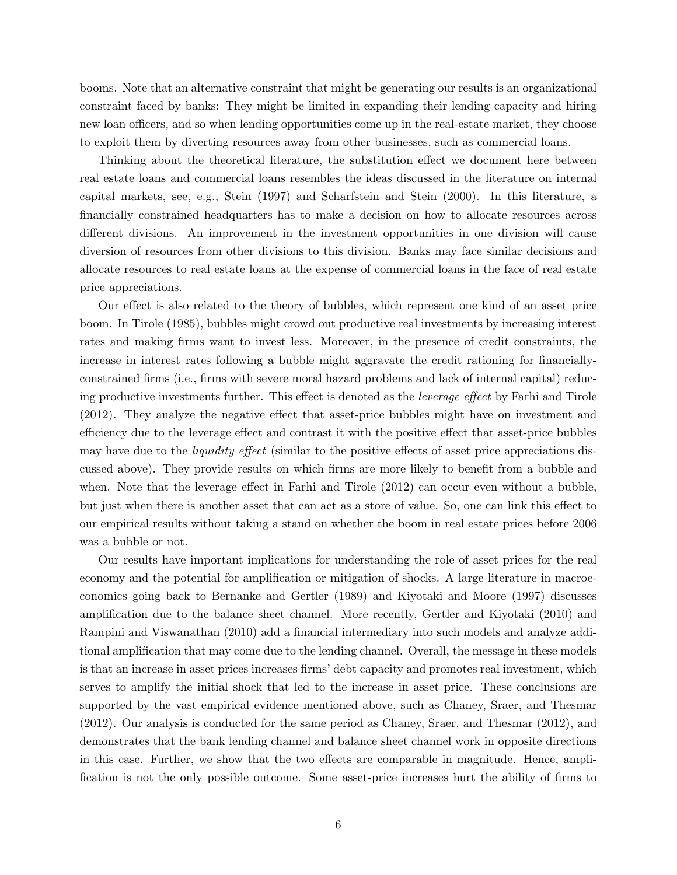booms. Note that an alternative constraint that might be generating our results is an organizational constraint faced by banks: They might be limited in expanding their lending capacity and hiring new loan officers, and so when lending opportunities come up in the real-estate market, they choose to exploit them by diverting resources away from other businesses, such as commercial loans.

Thinking about the theoretical literature, the substitution effect we document here between real estate loans and commercial loans resembles the ideas discussed in the literature on internal capital markets, see, e.g., Stein (1997) and Scharfstein and Stein (2000). In this literature, a financially constrained headquarters has to make a decision on how to allocate resources across different divisions. An improvement in the investment opportunities in one division will cause diversion of resources from other divisions to this division. Banks may face similar decisions and allocate resources to real estate loans at the expense of commercial loans in the face of real estate price appreciations.

Our effect is also related to the theory of bubbles, which represent one kind of an asset price boom. In Tirole (1985), bubbles might crowd out productive real investments by increasing interest rates and making firms want to invest less. Moreover, in the presence of credit constraints, the increase in interest rates following a bubble might aggravate the credit rationing for financiallyconstrained firms (i.e., firms with severe moral hazard problems and lack of internal capital) reducing productive investments further. This effect is denoted as the leverage effect by Farhi and Tirole (2012). They analyze the negative effect that asset-price bubbles might have on investment and efficiency due to the leverage effect and contrast it with the positive effect that asset-price bubbles may have due to the *liquidity effect* (similar to the positive effects of asset price appreciations discussed above). They provide results on which firms are more likely to benefit from a bubble and when. Note that the leverage effect in Farhi and Tirole  $(2012)$  can occur even without a bubble, but just when there is another asset that can act as a store of value. So, one can link this effect to our empirical results without taking a stand on whether the boom in real estate prices before 2006 was a bubble or not.

Our results have important implications for understanding the role of asset prices for the real economy and the potential for amplification or mitigation of shocks. A large literature in macroeconomics going back to Bernanke and Gertler (1989) and Kiyotaki and Moore (1997) discusses amplification due to the balance sheet channel. More recently, Gertler and Kiyotaki (2010) and Rampini and Viswanathan (2010) add a financial intermediary into such models and analyze additional amplification that may come due to the lending channel. Overall, the message in these models is that an increase in asset prices increases firms' debt capacity and promotes real investment, which serves to amplify the initial shock that led to the increase in asset price. These conclusions are supported by the vast empirical evidence mentioned above, such as Chaney, Sraer, and Thesmar (2012). Our analysis is conducted for the same period as Chaney, Sraer, and Thesmar (2012), and demonstrates that the bank lending channel and balance sheet channel work in opposite directions in this case. Further, we show that the two effects are comparable in magnitude. Hence, amplification is not the only possible outcome. Some asset-price increases hurt the ability of firms to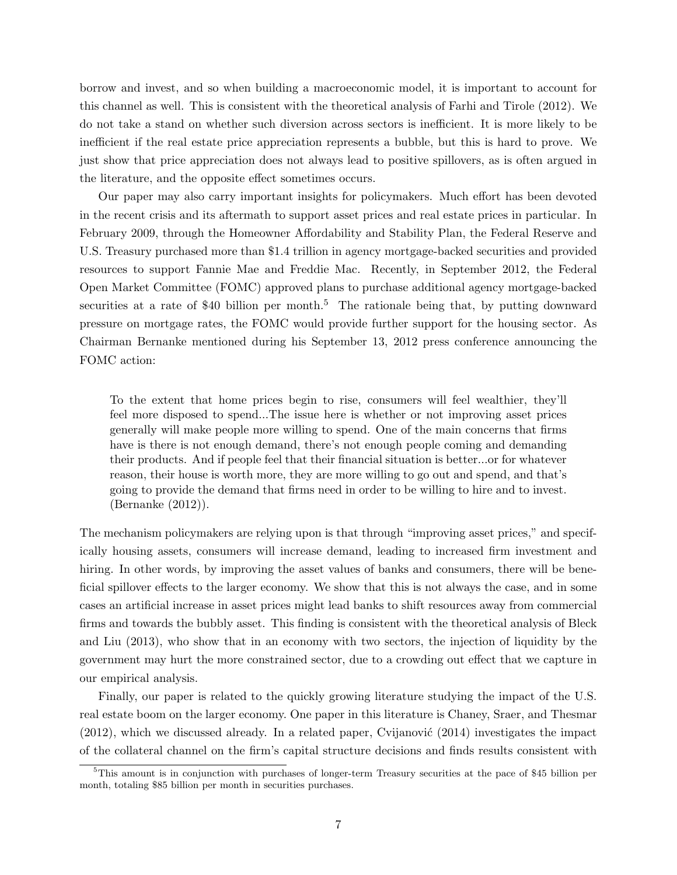borrow and invest, and so when building a macroeconomic model, it is important to account for this channel as well. This is consistent with the theoretical analysis of Farhi and Tirole (2012). We do not take a stand on whether such diversion across sectors is inefficient. It is more likely to be inefficient if the real estate price appreciation represents a bubble, but this is hard to prove. We just show that price appreciation does not always lead to positive spillovers, as is often argued in the literature, and the opposite effect sometimes occurs.

Our paper may also carry important insights for policymakers. Much effort has been devoted in the recent crisis and its aftermath to support asset prices and real estate prices in particular. In February 2009, through the Homeowner Affordability and Stability Plan, the Federal Reserve and U.S. Treasury purchased more than \$1.4 trillion in agency mortgage-backed securities and provided resources to support Fannie Mae and Freddie Mac. Recently, in September 2012, the Federal Open Market Committee (FOMC) approved plans to purchase additional agency mortgage-backed securities at a rate of \$40 billion per month.<sup>[5](#page-0-0)</sup> The rationale being that, by putting downward pressure on mortgage rates, the FOMC would provide further support for the housing sector. As Chairman Bernanke mentioned during his September 13, 2012 press conference announcing the FOMC action:

To the extent that home prices begin to rise, consumers will feel wealthier, they'll feel more disposed to spend...The issue here is whether or not improving asset prices generally will make people more willing to spend. One of the main concerns that firms have is there is not enough demand, there's not enough people coming and demanding their products. And if people feel that their financial situation is better...or for whatever reason, their house is worth more, they are more willing to go out and spend, and that's going to provide the demand that firms need in order to be willing to hire and to invest. (Bernanke (2012)).

The mechanism policymakers are relying upon is that through "improving asset prices," and specifically housing assets, consumers will increase demand, leading to increased firm investment and hiring. In other words, by improving the asset values of banks and consumers, there will be beneficial spillover effects to the larger economy. We show that this is not always the case, and in some cases an artificial increase in asset prices might lead banks to shift resources away from commercial firms and towards the bubbly asset. This finding is consistent with the theoretical analysis of Bleck and Liu (2013), who show that in an economy with two sectors, the injection of liquidity by the government may hurt the more constrained sector, due to a crowding out effect that we capture in our empirical analysis.

Finally, our paper is related to the quickly growing literature studying the impact of the U.S. real estate boom on the larger economy. One paper in this literature is Chaney, Sraer, and Thesmar  $(2012)$ , which we discussed already. In a related paper, Cvijanović  $(2014)$  investigates the impact of the collateral channel on the firm's capital structure decisions and finds results consistent with

<sup>5</sup>This amount is in conjunction with purchases of longer-term Treasury securities at the pace of \$45 billion per month, totaling \$85 billion per month in securities purchases.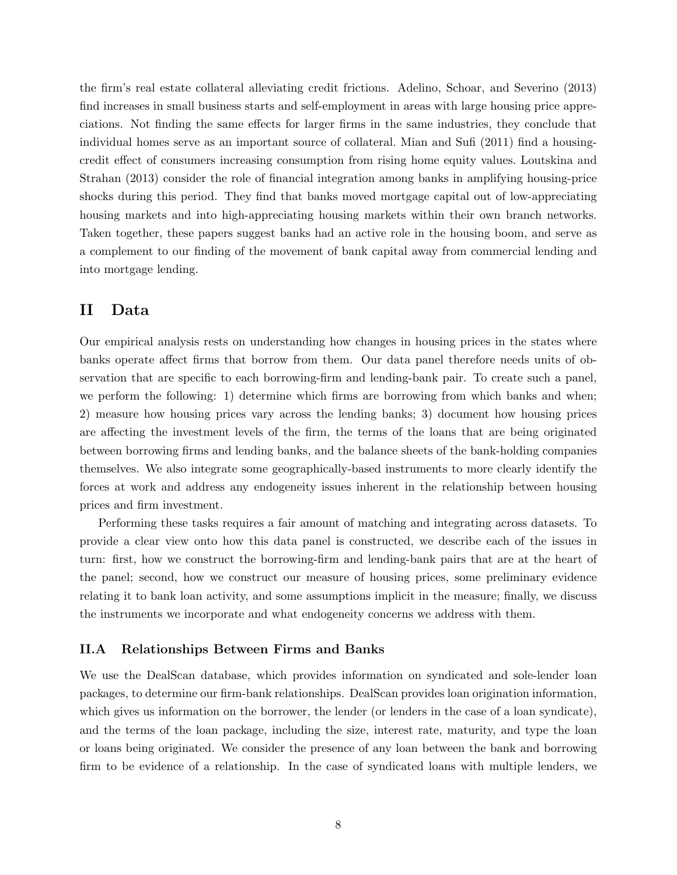the firm's real estate collateral alleviating credit frictions. Adelino, Schoar, and Severino (2013) find increases in small business starts and self-employment in areas with large housing price appreciations. Not finding the same effects for larger firms in the same industries, they conclude that individual homes serve as an important source of collateral. Mian and Sufi (2011) find a housingcredit effect of consumers increasing consumption from rising home equity values. Loutskina and Strahan (2013) consider the role of financial integration among banks in amplifying housing-price shocks during this period. They find that banks moved mortgage capital out of low-appreciating housing markets and into high-appreciating housing markets within their own branch networks. Taken together, these papers suggest banks had an active role in the housing boom, and serve as a complement to our finding of the movement of bank capital away from commercial lending and into mortgage lending.

# <span id="page-8-0"></span>II Data

Our empirical analysis rests on understanding how changes in housing prices in the states where banks operate affect firms that borrow from them. Our data panel therefore needs units of observation that are specific to each borrowing-firm and lending-bank pair. To create such a panel, we perform the following: 1) determine which firms are borrowing from which banks and when; 2) measure how housing prices vary across the lending banks; 3) document how housing prices are affecting the investment levels of the firm, the terms of the loans that are being originated between borrowing firms and lending banks, and the balance sheets of the bank-holding companies themselves. We also integrate some geographically-based instruments to more clearly identify the forces at work and address any endogeneity issues inherent in the relationship between housing prices and firm investment.

Performing these tasks requires a fair amount of matching and integrating across datasets. To provide a clear view onto how this data panel is constructed, we describe each of the issues in turn: first, how we construct the borrowing-firm and lending-bank pairs that are at the heart of the panel; second, how we construct our measure of housing prices, some preliminary evidence relating it to bank loan activity, and some assumptions implicit in the measure; finally, we discuss the instruments we incorporate and what endogeneity concerns we address with them.

# <span id="page-8-1"></span>II.A Relationships Between Firms and Banks

We use the DealScan database, which provides information on syndicated and sole-lender loan packages, to determine our firm-bank relationships. DealScan provides loan origination information, which gives us information on the borrower, the lender (or lenders in the case of a loan syndicate), and the terms of the loan package, including the size, interest rate, maturity, and type the loan or loans being originated. We consider the presence of any loan between the bank and borrowing firm to be evidence of a relationship. In the case of syndicated loans with multiple lenders, we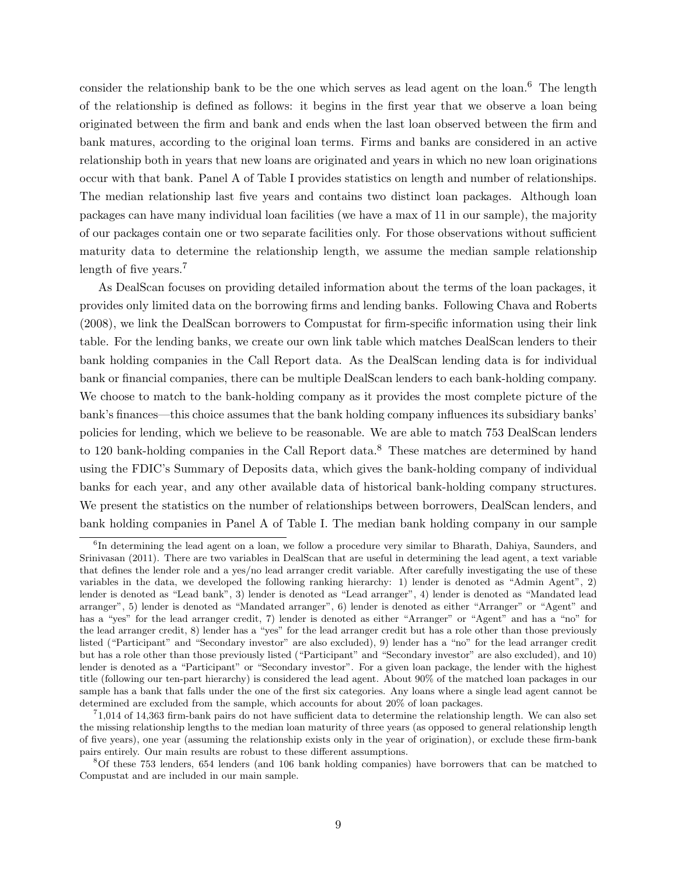consider the relationship bank to be the one which serves as lead agent on the loan.<sup>[6](#page-0-0)</sup> The length of the relationship is defined as follows: it begins in the first year that we observe a loan being originated between the firm and bank and ends when the last loan observed between the firm and bank matures, according to the original loan terms. Firms and banks are considered in an active relationship both in years that new loans are originated and years in which no new loan originations occur with that bank. Panel A of Table [I](#page-38-0) provides statistics on length and number of relationships. The median relationship last five years and contains two distinct loan packages. Although loan packages can have many individual loan facilities (we have a max of 11 in our sample), the majority of our packages contain one or two separate facilities only. For those observations without sufficient maturity data to determine the relationship length, we assume the median sample relationship length of five years.<sup>[7](#page-0-0)</sup>

As DealScan focuses on providing detailed information about the terms of the loan packages, it provides only limited data on the borrowing firms and lending banks. Following Chava and Roberts (2008), we link the DealScan borrowers to Compustat for firm-specific information using their link table. For the lending banks, we create our own link table which matches DealScan lenders to their bank holding companies in the Call Report data. As the DealScan lending data is for individual bank or financial companies, there can be multiple DealScan lenders to each bank-holding company. We choose to match to the bank-holding company as it provides the most complete picture of the bank's finances—this choice assumes that the bank holding company influences its subsidiary banks' policies for lending, which we believe to be reasonable. We are able to match 753 DealScan lenders to 120 bank-holding companies in the Call Report data.<sup>[8](#page-0-0)</sup> These matches are determined by hand using the FDIC's Summary of Deposits data, which gives the bank-holding company of individual banks for each year, and any other available data of historical bank-holding company structures. We present the statistics on the number of relationships between borrowers, DealScan lenders, and bank holding companies in Panel A of Table [I.](#page-38-0) The median bank holding company in our sample

<sup>&</sup>lt;sup>6</sup>In determining the lead agent on a loan, we follow a procedure very similar to Bharath, Dahiya, Saunders, and Srinivasan (2011). There are two variables in DealScan that are useful in determining the lead agent, a text variable that defines the lender role and a yes/no lead arranger credit variable. After carefully investigating the use of these variables in the data, we developed the following ranking hierarchy: 1) lender is denoted as "Admin Agent", 2) lender is denoted as "Lead bank", 3) lender is denoted as "Lead arranger", 4) lender is denoted as "Mandated lead arranger", 5) lender is denoted as "Mandated arranger", 6) lender is denoted as either "Arranger" or "Agent" and has a "yes" for the lead arranger credit, 7) lender is denoted as either "Arranger" or "Agent" and has a "no" for the lead arranger credit, 8) lender has a "yes" for the lead arranger credit but has a role other than those previously listed ("Participant" and "Secondary investor" are also excluded), 9) lender has a "no" for the lead arranger credit but has a role other than those previously listed ("Participant" and "Secondary investor" are also excluded), and 10) lender is denoted as a "Participant" or "Secondary investor". For a given loan package, the lender with the highest title (following our ten-part hierarchy) is considered the lead agent. About 90% of the matched loan packages in our sample has a bank that falls under the one of the first six categories. Any loans where a single lead agent cannot be determined are excluded from the sample, which accounts for about 20% of loan packages.

<sup>7</sup> 1,014 of 14,363 firm-bank pairs do not have sufficient data to determine the relationship length. We can also set the missing relationship lengths to the median loan maturity of three years (as opposed to general relationship length of five years), one year (assuming the relationship exists only in the year of origination), or exclude these firm-bank pairs entirely. Our main results are robust to these different assumptions.

<sup>8</sup>Of these 753 lenders, 654 lenders (and 106 bank holding companies) have borrowers that can be matched to Compustat and are included in our main sample.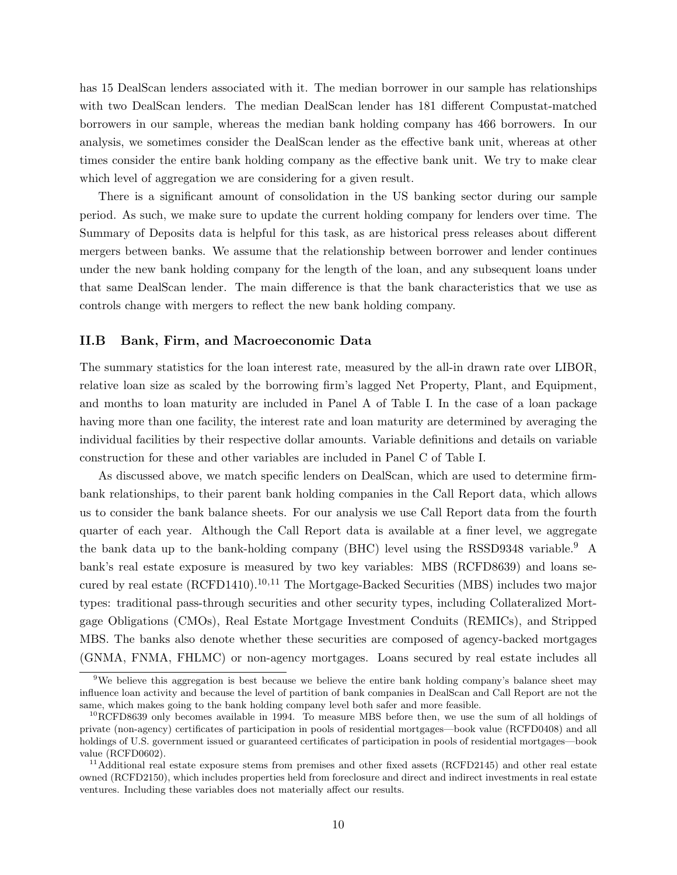has 15 DealScan lenders associated with it. The median borrower in our sample has relationships with two DealScan lenders. The median DealScan lender has 181 different Compustat-matched borrowers in our sample, whereas the median bank holding company has 466 borrowers. In our analysis, we sometimes consider the DealScan lender as the effective bank unit, whereas at other times consider the entire bank holding company as the effective bank unit. We try to make clear which level of aggregation we are considering for a given result.

There is a significant amount of consolidation in the US banking sector during our sample period. As such, we make sure to update the current holding company for lenders over time. The Summary of Deposits data is helpful for this task, as are historical press releases about different mergers between banks. We assume that the relationship between borrower and lender continues under the new bank holding company for the length of the loan, and any subsequent loans under that same DealScan lender. The main difference is that the bank characteristics that we use as controls change with mergers to reflect the new bank holding company.

# II.B Bank, Firm, and Macroeconomic Data

The summary statistics for the loan interest rate, measured by the all-in drawn rate over LIBOR, relative loan size as scaled by the borrowing firm's lagged Net Property, Plant, and Equipment, and months to loan maturity are included in Panel A of Table [I.](#page-38-0) In the case of a loan package having more than one facility, the interest rate and loan maturity are determined by averaging the individual facilities by their respective dollar amounts. Variable definitions and details on variable construction for these and other variables are included in Panel C of Table [I.](#page-38-0)

As discussed above, we match specific lenders on DealScan, which are used to determine firmbank relationships, to their parent bank holding companies in the Call Report data, which allows us to consider the bank balance sheets. For our analysis we use Call Report data from the fourth quarter of each year. Although the Call Report data is available at a finer level, we aggregate the bank data up to the bank-holding company (BHC) level using the RSSD[9](#page-0-0)348 variable.<sup>9</sup> A bank's real estate exposure is measured by two key variables: MBS (RCFD8639) and loans secured by real estate  $(RCFD1410).^{10,11}$  $(RCFD1410).^{10,11}$  $(RCFD1410).^{10,11}$  The Mortgage-Backed Securities (MBS) includes two major types: traditional pass-through securities and other security types, including Collateralized Mortgage Obligations (CMOs), Real Estate Mortgage Investment Conduits (REMICs), and Stripped MBS. The banks also denote whether these securities are composed of agency-backed mortgages (GNMA, FNMA, FHLMC) or non-agency mortgages. Loans secured by real estate includes all

<sup>&</sup>lt;sup>9</sup>We believe this aggregation is best because we believe the entire bank holding company's balance sheet may influence loan activity and because the level of partition of bank companies in DealScan and Call Report are not the same, which makes going to the bank holding company level both safer and more feasible.

<sup>&</sup>lt;sup>10</sup>RCFD8639 only becomes available in 1994. To measure MBS before then, we use the sum of all holdings of private (non-agency) certificates of participation in pools of residential mortgages—book value (RCFD0408) and all holdings of U.S. government issued or guaranteed certificates of participation in pools of residential mortgages—book value (RCFD0602).

<sup>&</sup>lt;sup>11</sup>Additional real estate exposure stems from premises and other fixed assets (RCFD2145) and other real estate owned (RCFD2150), which includes properties held from foreclosure and direct and indirect investments in real estate ventures. Including these variables does not materially affect our results.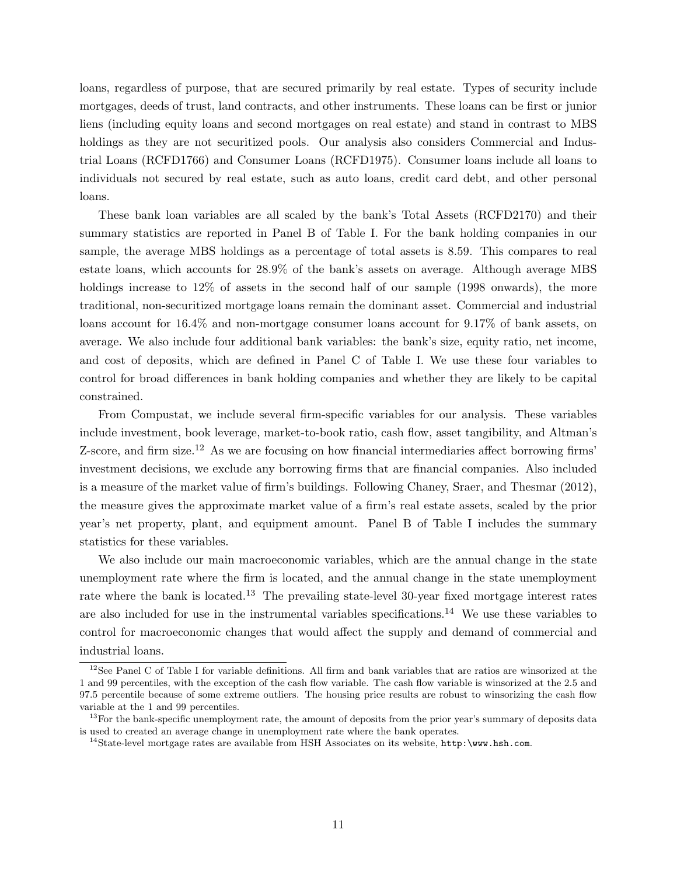loans, regardless of purpose, that are secured primarily by real estate. Types of security include mortgages, deeds of trust, land contracts, and other instruments. These loans can be first or junior liens (including equity loans and second mortgages on real estate) and stand in contrast to MBS holdings as they are not securitized pools. Our analysis also considers Commercial and Industrial Loans (RCFD1766) and Consumer Loans (RCFD1975). Consumer loans include all loans to individuals not secured by real estate, such as auto loans, credit card debt, and other personal loans.

These bank loan variables are all scaled by the bank's Total Assets (RCFD2170) and their summary statistics are reported in Panel B of Table [I.](#page-38-0) For the bank holding companies in our sample, the average MBS holdings as a percentage of total assets is 8.59. This compares to real estate loans, which accounts for 28.9% of the bank's assets on average. Although average MBS holdings increase to 12\% of assets in the second half of our sample (1998 onwards), the more traditional, non-securitized mortgage loans remain the dominant asset. Commercial and industrial loans account for 16.4% and non-mortgage consumer loans account for 9.17% of bank assets, on average. We also include four additional bank variables: the bank's size, equity ratio, net income, and cost of deposits, which are defined in Panel C of Table [I.](#page-38-0) We use these four variables to control for broad differences in bank holding companies and whether they are likely to be capital constrained.

From Compustat, we include several firm-specific variables for our analysis. These variables include investment, book leverage, market-to-book ratio, cash flow, asset tangibility, and Altman's Z-score, and firm size.<sup>[12](#page-0-0)</sup> As we are focusing on how financial intermediaries affect borrowing firms' investment decisions, we exclude any borrowing firms that are financial companies. Also included is a measure of the market value of firm's buildings. Following Chaney, Sraer, and Thesmar (2012), the measure gives the approximate market value of a firm's real estate assets, scaled by the prior year's net property, plant, and equipment amount. Panel B of Table [I](#page-38-0) includes the summary statistics for these variables.

We also include our main macroeconomic variables, which are the annual change in the state unemployment rate where the firm is located, and the annual change in the state unemployment rate where the bank is located.<sup>[13](#page-0-0)</sup> The prevailing state-level 30-year fixed mortgage interest rates are also included for use in the instrumental variables specifications.<sup>[14](#page-0-0)</sup> We use these variables to control for macroeconomic changes that would affect the supply and demand of commercial and industrial loans.

<sup>12</sup>See Panel C of Table [I](#page-38-0) for variable definitions. All firm and bank variables that are ratios are winsorized at the 1 and 99 percentiles, with the exception of the cash flow variable. The cash flow variable is winsorized at the 2.5 and 97.5 percentile because of some extreme outliers. The housing price results are robust to winsorizing the cash flow variable at the 1 and 99 percentiles.

 $13$ For the bank-specific unemployment rate, the amount of deposits from the prior year's summary of deposits data is used to created an average change in unemployment rate where the bank operates.

<sup>&</sup>lt;sup>14</sup>State-level mortgage rates are available from HSH Associates on its website, <http:\www.hsh.com>.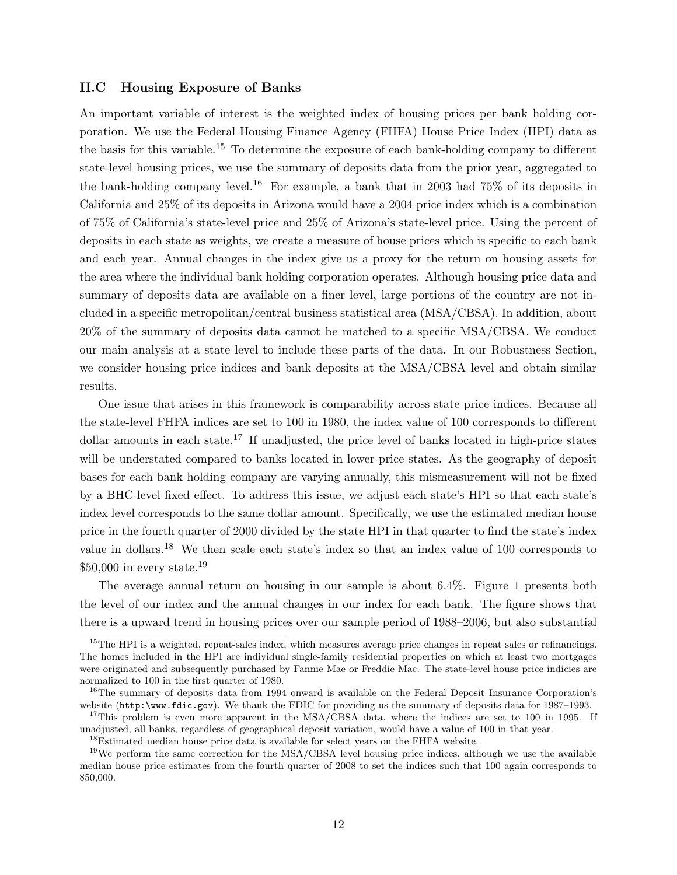# II.C Housing Exposure of Banks

An important variable of interest is the weighted index of housing prices per bank holding corporation. We use the Federal Housing Finance Agency (FHFA) House Price Index (HPI) data as the basis for this variable.[15](#page-0-0) To determine the exposure of each bank-holding company to different state-level housing prices, we use the summary of deposits data from the prior year, aggregated to the bank-holding company level.<sup>[16](#page-0-0)</sup> For example, a bank that in 2003 had  $75\%$  of its deposits in California and 25% of its deposits in Arizona would have a 2004 price index which is a combination of 75% of California's state-level price and 25% of Arizona's state-level price. Using the percent of deposits in each state as weights, we create a measure of house prices which is specific to each bank and each year. Annual changes in the index give us a proxy for the return on housing assets for the area where the individual bank holding corporation operates. Although housing price data and summary of deposits data are available on a finer level, large portions of the country are not included in a specific metropolitan/central business statistical area (MSA/CBSA). In addition, about 20% of the summary of deposits data cannot be matched to a specific MSA/CBSA. We conduct our main analysis at a state level to include these parts of the data. In our Robustness Section, we consider housing price indices and bank deposits at the MSA/CBSA level and obtain similar results.

One issue that arises in this framework is comparability across state price indices. Because all the state-level FHFA indices are set to 100 in 1980, the index value of 100 corresponds to different dollar amounts in each state.<sup>[17](#page-0-0)</sup> If unadjusted, the price level of banks located in high-price states will be understated compared to banks located in lower-price states. As the geography of deposit bases for each bank holding company are varying annually, this mismeasurement will not be fixed by a BHC-level fixed effect. To address this issue, we adjust each state's HPI so that each state's index level corresponds to the same dollar amount. Specifically, we use the estimated median house price in the fourth quarter of 2000 divided by the state HPI in that quarter to find the state's index value in dollars.[18](#page-0-0) We then scale each state's index so that an index value of 100 corresponds to  $$50,000$  in every state.<sup>[19](#page-0-0)</sup>

The average annual return on housing in our sample is about 6.4%. Figure [1](#page-36-0) presents both the level of our index and the annual changes in our index for each bank. The figure shows that there is a upward trend in housing prices over our sample period of 1988–2006, but also substantial

<sup>&</sup>lt;sup>15</sup>The HPI is a weighted, repeat-sales index, which measures average price changes in repeat sales or refinancings. The homes included in the HPI are individual single-family residential properties on which at least two mortgages were originated and subsequently purchased by Fannie Mae or Freddie Mac. The state-level house price indicies are normalized to 100 in the first quarter of 1980.

<sup>&</sup>lt;sup>16</sup>The summary of deposits data from 1994 onward is available on the Federal Deposit Insurance Corporation's website (<http:\www.fdic.gov>). We thank the FDIC for providing us the summary of deposits data for 1987–1993.

<sup>&</sup>lt;sup>17</sup>This problem is even more apparent in the MSA/CBSA data, where the indices are set to 100 in 1995. If unadjusted, all banks, regardless of geographical deposit variation, would have a value of 100 in that year.

<sup>&</sup>lt;sup>18</sup>Estimated median house price data is available for select years on the FHFA website.

 $19$ We perform the same correction for the MSA/CBSA level housing price indices, although we use the available median house price estimates from the fourth quarter of 2008 to set the indices such that 100 again corresponds to \$50,000.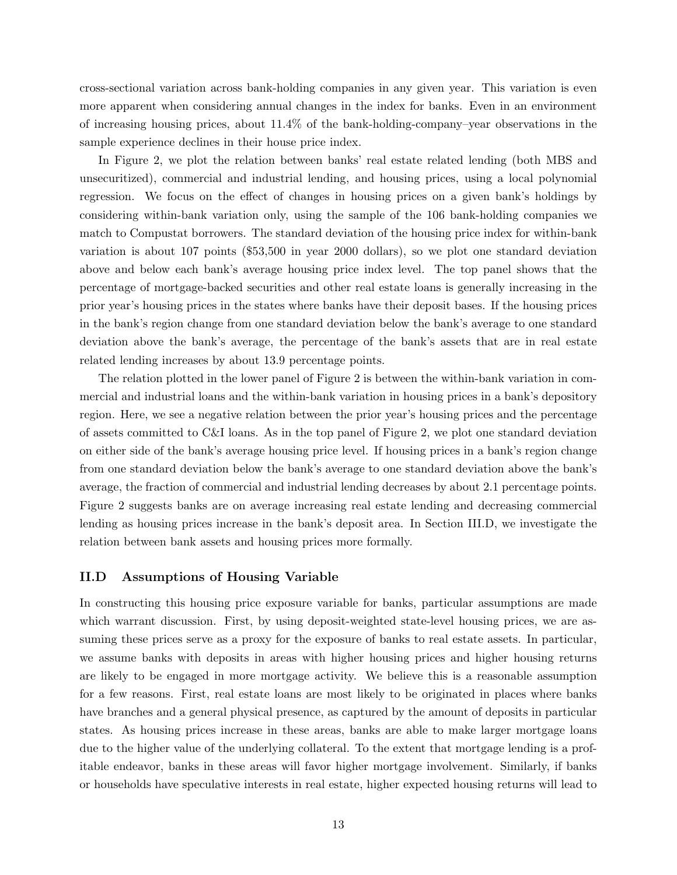cross-sectional variation across bank-holding companies in any given year. This variation is even more apparent when considering annual changes in the index for banks. Even in an environment of increasing housing prices, about 11.4% of the bank-holding-company–year observations in the sample experience declines in their house price index.

In Figure [2,](#page-37-0) we plot the relation between banks' real estate related lending (both MBS and unsecuritized), commercial and industrial lending, and housing prices, using a local polynomial regression. We focus on the effect of changes in housing prices on a given bank's holdings by considering within-bank variation only, using the sample of the 106 bank-holding companies we match to Compustat borrowers. The standard deviation of the housing price index for within-bank variation is about 107 points (\$53,500 in year 2000 dollars), so we plot one standard deviation above and below each bank's average housing price index level. The top panel shows that the percentage of mortgage-backed securities and other real estate loans is generally increasing in the prior year's housing prices in the states where banks have their deposit bases. If the housing prices in the bank's region change from one standard deviation below the bank's average to one standard deviation above the bank's average, the percentage of the bank's assets that are in real estate related lending increases by about 13.9 percentage points.

The relation plotted in the lower panel of Figure [2](#page-37-0) is between the within-bank variation in commercial and industrial loans and the within-bank variation in housing prices in a bank's depository region. Here, we see a negative relation between the prior year's housing prices and the percentage of assets committed to C&I loans. As in the top panel of Figure [2,](#page-37-0) we plot one standard deviation on either side of the bank's average housing price level. If housing prices in a bank's region change from one standard deviation below the bank's average to one standard deviation above the bank's average, the fraction of commercial and industrial lending decreases by about 2.1 percentage points. Figure [2](#page-37-0) suggests banks are on average increasing real estate lending and decreasing commercial lending as housing prices increase in the bank's deposit area. In Section [III.D,](#page-25-0) we investigate the relation between bank assets and housing prices more formally.

## <span id="page-13-0"></span>II.D Assumptions of Housing Variable

In constructing this housing price exposure variable for banks, particular assumptions are made which warrant discussion. First, by using deposit-weighted state-level housing prices, we are assuming these prices serve as a proxy for the exposure of banks to real estate assets. In particular, we assume banks with deposits in areas with higher housing prices and higher housing returns are likely to be engaged in more mortgage activity. We believe this is a reasonable assumption for a few reasons. First, real estate loans are most likely to be originated in places where banks have branches and a general physical presence, as captured by the amount of deposits in particular states. As housing prices increase in these areas, banks are able to make larger mortgage loans due to the higher value of the underlying collateral. To the extent that mortgage lending is a profitable endeavor, banks in these areas will favor higher mortgage involvement. Similarly, if banks or households have speculative interests in real estate, higher expected housing returns will lead to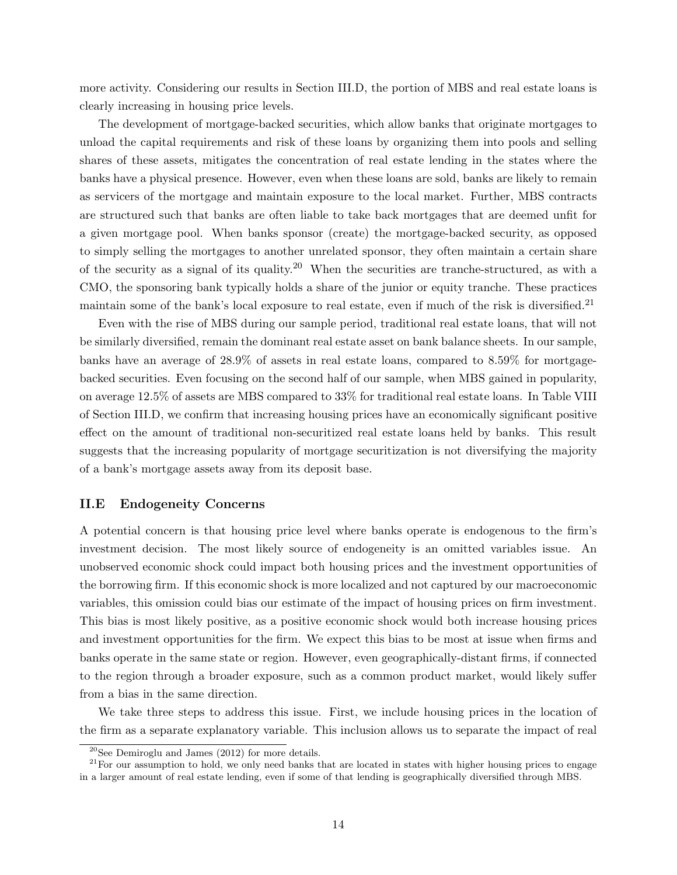more activity. Considering our results in Section [III.D,](#page-25-0) the portion of MBS and real estate loans is clearly increasing in housing price levels.

The development of mortgage-backed securities, which allow banks that originate mortgages to unload the capital requirements and risk of these loans by organizing them into pools and selling shares of these assets, mitigates the concentration of real estate lending in the states where the banks have a physical presence. However, even when these loans are sold, banks are likely to remain as servicers of the mortgage and maintain exposure to the local market. Further, MBS contracts are structured such that banks are often liable to take back mortgages that are deemed unfit for a given mortgage pool. When banks sponsor (create) the mortgage-backed security, as opposed to simply selling the mortgages to another unrelated sponsor, they often maintain a certain share of the security as a signal of its quality.[20](#page-0-0) When the securities are tranche-structured, as with a CMO, the sponsoring bank typically holds a share of the junior or equity tranche. These practices maintain some of the bank's local exposure to real estate, even if much of the risk is diversified.<sup>[21](#page-0-0)</sup>

Even with the rise of MBS during our sample period, traditional real estate loans, that will not be similarly diversified, remain the dominant real estate asset on bank balance sheets. In our sample, banks have an average of 28.9% of assets in real estate loans, compared to 8.59% for mortgagebacked securities. Even focusing on the second half of our sample, when MBS gained in popularity, on average 12.5% of assets are MBS compared to 33% for traditional real estate loans. In Table [VIII](#page-47-0) of Section [III.D,](#page-25-0) we confirm that increasing housing prices have an economically significant positive effect on the amount of traditional non-securitized real estate loans held by banks. This result suggests that the increasing popularity of mortgage securitization is not diversifying the majority of a bank's mortgage assets away from its deposit base.

# <span id="page-14-0"></span>II.E Endogeneity Concerns

A potential concern is that housing price level where banks operate is endogenous to the firm's investment decision. The most likely source of endogeneity is an omitted variables issue. An unobserved economic shock could impact both housing prices and the investment opportunities of the borrowing firm. If this economic shock is more localized and not captured by our macroeconomic variables, this omission could bias our estimate of the impact of housing prices on firm investment. This bias is most likely positive, as a positive economic shock would both increase housing prices and investment opportunities for the firm. We expect this bias to be most at issue when firms and banks operate in the same state or region. However, even geographically-distant firms, if connected to the region through a broader exposure, such as a common product market, would likely suffer from a bias in the same direction.

We take three steps to address this issue. First, we include housing prices in the location of the firm as a separate explanatory variable. This inclusion allows us to separate the impact of real

 $20$ See Demiroglu and James (2012) for more details.

 $21$  For our assumption to hold, we only need banks that are located in states with higher housing prices to engage in a larger amount of real estate lending, even if some of that lending is geographically diversified through MBS.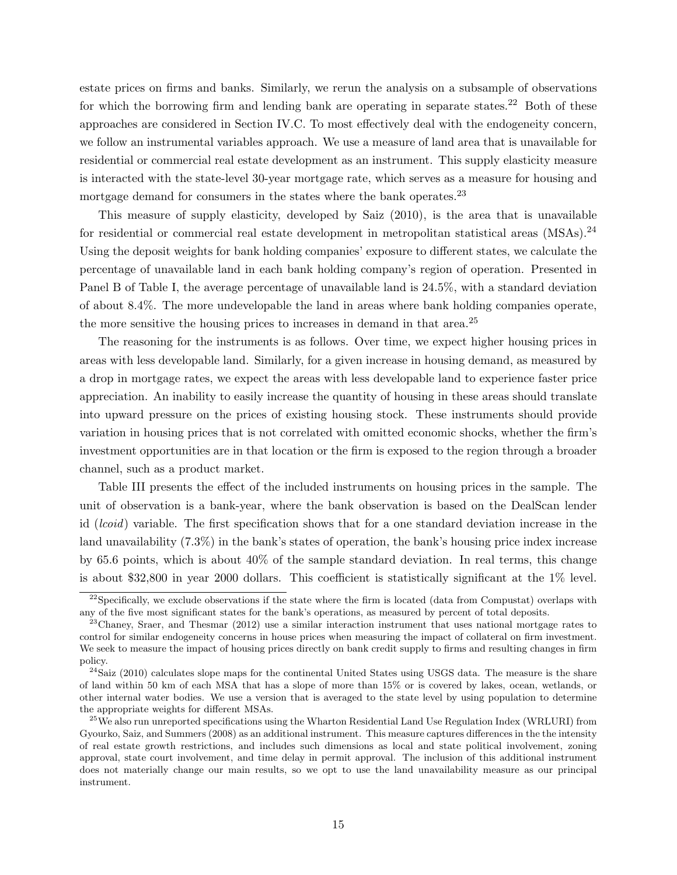estate prices on firms and banks. Similarly, we rerun the analysis on a subsample of observations for which the borrowing firm and lending bank are operating in separate states.<sup>[22](#page-0-0)</sup> Both of these approaches are considered in Section [IV.C.](#page-31-0) To most effectively deal with the endogeneity concern, we follow an instrumental variables approach. We use a measure of land area that is unavailable for residential or commercial real estate development as an instrument. This supply elasticity measure is interacted with the state-level 30-year mortgage rate, which serves as a measure for housing and mortgage demand for consumers in the states where the bank operates.<sup>[23](#page-0-0)</sup>

This measure of supply elasticity, developed by Saiz (2010), is the area that is unavailable for residential or commercial real estate development in metropolitan statistical areas  $(MSAs).^{24}$  $(MSAs).^{24}$  $(MSAs).^{24}$ Using the deposit weights for bank holding companies' exposure to different states, we calculate the percentage of unavailable land in each bank holding company's region of operation. Presented in Panel B of Table [I,](#page-38-0) the average percentage of unavailable land is 24.5%, with a standard deviation of about 8.4%. The more undevelopable the land in areas where bank holding companies operate, the more sensitive the housing prices to increases in demand in that area.<sup>[25](#page-0-0)</sup>

The reasoning for the instruments is as follows. Over time, we expect higher housing prices in areas with less developable land. Similarly, for a given increase in housing demand, as measured by a drop in mortgage rates, we expect the areas with less developable land to experience faster price appreciation. An inability to easily increase the quantity of housing in these areas should translate into upward pressure on the prices of existing housing stock. These instruments should provide variation in housing prices that is not correlated with omitted economic shocks, whether the firm's investment opportunities are in that location or the firm is exposed to the region through a broader channel, such as a product market.

Table [III](#page-42-0) presents the effect of the included instruments on housing prices in the sample. The unit of observation is a bank-year, where the bank observation is based on the DealScan lender id (lcoid) variable. The first specification shows that for a one standard deviation increase in the land unavailability (7.3%) in the bank's states of operation, the bank's housing price index increase by 65.6 points, which is about 40% of the sample standard deviation. In real terms, this change is about \$32,800 in year 2000 dollars. This coefficient is statistically significant at the 1% level.

 $^{22}$ Specifically, we exclude observations if the state where the firm is located (data from Compustat) overlaps with any of the five most significant states for the bank's operations, as measured by percent of total deposits.

 $^{23}$ Chaney, Sraer, and Thesmar (2012) use a similar interaction instrument that uses national mortgage rates to control for similar endogeneity concerns in house prices when measuring the impact of collateral on firm investment. We seek to measure the impact of housing prices directly on bank credit supply to firms and resulting changes in firm policy.

 $^{24}$ Saiz (2010) calculates slope maps for the continental United States using USGS data. The measure is the share of land within 50 km of each MSA that has a slope of more than 15% or is covered by lakes, ocean, wetlands, or other internal water bodies. We use a version that is averaged to the state level by using population to determine the appropriate weights for different MSAs.

<sup>&</sup>lt;sup>25</sup>We also run unreported specifications using the Wharton Residential Land Use Regulation Index (WRLURI) from Gyourko, Saiz, and Summers (2008) as an additional instrument. This measure captures differences in the the intensity of real estate growth restrictions, and includes such dimensions as local and state political involvement, zoning approval, state court involvement, and time delay in permit approval. The inclusion of this additional instrument does not materially change our main results, so we opt to use the land unavailability measure as our principal instrument.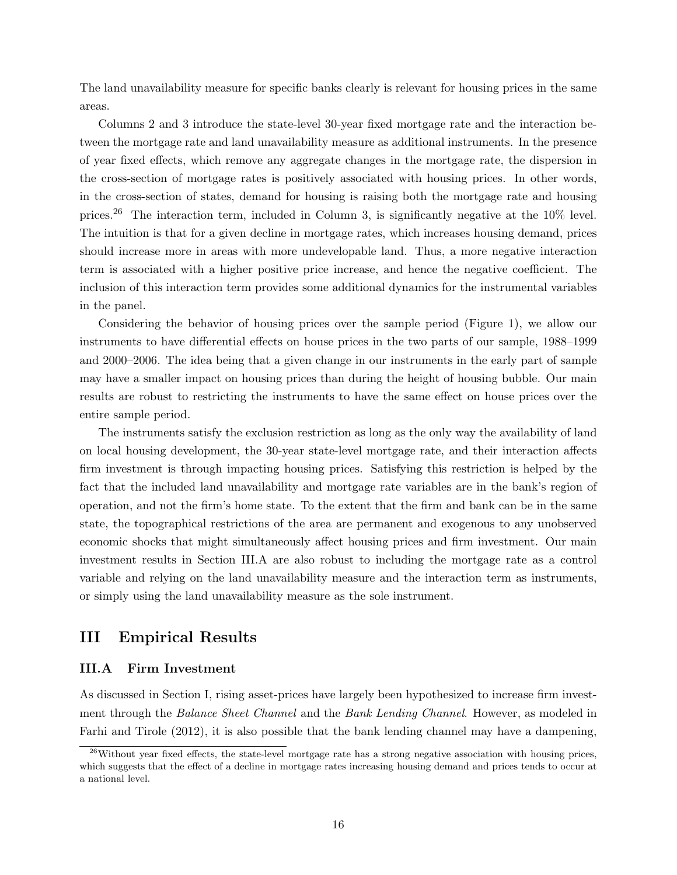The land unavailability measure for specific banks clearly is relevant for housing prices in the same areas.

Columns 2 and 3 introduce the state-level 30-year fixed mortgage rate and the interaction between the mortgage rate and land unavailability measure as additional instruments. In the presence of year fixed effects, which remove any aggregate changes in the mortgage rate, the dispersion in the cross-section of mortgage rates is positively associated with housing prices. In other words, in the cross-section of states, demand for housing is raising both the mortgage rate and housing prices.<sup>[26](#page-0-0)</sup> The interaction term, included in Column 3, is significantly negative at the 10% level. The intuition is that for a given decline in mortgage rates, which increases housing demand, prices should increase more in areas with more undevelopable land. Thus, a more negative interaction term is associated with a higher positive price increase, and hence the negative coefficient. The inclusion of this interaction term provides some additional dynamics for the instrumental variables in the panel.

Considering the behavior of housing prices over the sample period (Figure [1\)](#page-36-0), we allow our instruments to have differential effects on house prices in the two parts of our sample, 1988–1999 and 2000–2006. The idea being that a given change in our instruments in the early part of sample may have a smaller impact on housing prices than during the height of housing bubble. Our main results are robust to restricting the instruments to have the same effect on house prices over the entire sample period.

The instruments satisfy the exclusion restriction as long as the only way the availability of land on local housing development, the 30-year state-level mortgage rate, and their interaction affects firm investment is through impacting housing prices. Satisfying this restriction is helped by the fact that the included land unavailability and mortgage rate variables are in the bank's region of operation, and not the firm's home state. To the extent that the firm and bank can be in the same state, the topographical restrictions of the area are permanent and exogenous to any unobserved economic shocks that might simultaneously affect housing prices and firm investment. Our main investment results in Section [III.A](#page-16-1) are also robust to including the mortgage rate as a control variable and relying on the land unavailability measure and the interaction term as instruments, or simply using the land unavailability measure as the sole instrument.

# <span id="page-16-0"></span>III Empirical Results

# <span id="page-16-1"></span>III.A Firm Investment

As discussed in Section [I,](#page-4-0) rising asset-prices have largely been hypothesized to increase firm investment through the Balance Sheet Channel and the Bank Lending Channel. However, as modeled in Farhi and Tirole (2012), it is also possible that the bank lending channel may have a dampening,

 $^{26}$ Without year fixed effects, the state-level mortgage rate has a strong negative association with housing prices, which suggests that the effect of a decline in mortgage rates increasing housing demand and prices tends to occur at a national level.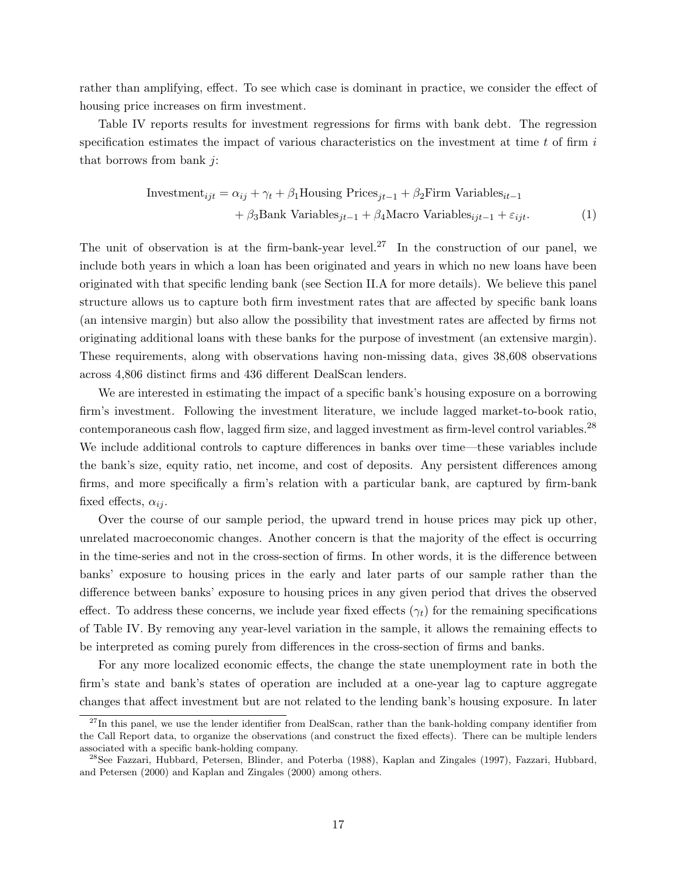rather than amplifying, effect. To see which case is dominant in practice, we consider the effect of housing price increases on firm investment.

Table [IV](#page-43-0) reports results for investment regressions for firms with bank debt. The regression specification estimates the impact of various characteristics on the investment at time  $t$  of firm  $i$ that borrows from bank  $i$ :

Investment<sub>ijt</sub> = 
$$
\alpha_{ij} + \gamma_t + \beta_1
$$
Houseing Prices<sub>*jt-1*</sub> +  $\beta_2$  Firm Variables<sub>*it-1*</sub>  
+  $\beta_3$ Bank Variables<sub>*jt-1*</sub> +  $\beta_4$ Macro Variables<sub>*ijt-1*</sub> +  $\varepsilon_{ijt}$ . (1)

The unit of observation is at the firm-bank-year level.<sup>[27](#page-0-0)</sup> In the construction of our panel, we include both years in which a loan has been originated and years in which no new loans have been originated with that specific lending bank (see Section [II.A](#page-8-1) for more details). We believe this panel structure allows us to capture both firm investment rates that are affected by specific bank loans (an intensive margin) but also allow the possibility that investment rates are affected by firms not originating additional loans with these banks for the purpose of investment (an extensive margin). These requirements, along with observations having non-missing data, gives 38,608 observations across 4,806 distinct firms and 436 different DealScan lenders.

We are interested in estimating the impact of a specific bank's housing exposure on a borrowing firm's investment. Following the investment literature, we include lagged market-to-book ratio, contemporaneous cash flow, lagged firm size, and lagged investment as firm-level control variables.[28](#page-0-0) We include additional controls to capture differences in banks over time—these variables include the bank's size, equity ratio, net income, and cost of deposits. Any persistent differences among firms, and more specifically a firm's relation with a particular bank, are captured by firm-bank fixed effects,  $\alpha_{ij}$ .

Over the course of our sample period, the upward trend in house prices may pick up other, unrelated macroeconomic changes. Another concern is that the majority of the effect is occurring in the time-series and not in the cross-section of firms. In other words, it is the difference between banks' exposure to housing prices in the early and later parts of our sample rather than the difference between banks' exposure to housing prices in any given period that drives the observed effect. To address these concerns, we include year fixed effects  $(\gamma_t)$  for the remaining specifications of Table [IV.](#page-43-0) By removing any year-level variation in the sample, it allows the remaining effects to be interpreted as coming purely from differences in the cross-section of firms and banks.

For any more localized economic effects, the change the state unemployment rate in both the firm's state and bank's states of operation are included at a one-year lag to capture aggregate changes that affect investment but are not related to the lending bank's housing exposure. In later

 $^{27}$ In this panel, we use the lender identifier from DealScan, rather than the bank-holding company identifier from the Call Report data, to organize the observations (and construct the fixed effects). There can be multiple lenders associated with a specific bank-holding company.

<sup>28</sup>See Fazzari, Hubbard, Petersen, Blinder, and Poterba (1988), Kaplan and Zingales (1997), Fazzari, Hubbard, and Petersen (2000) and Kaplan and Zingales (2000) among others.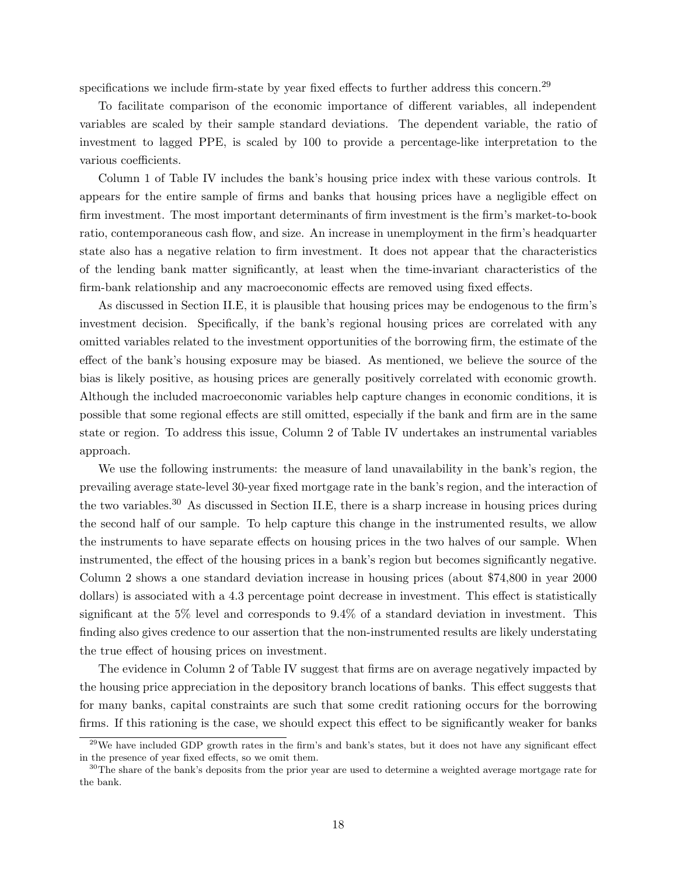specifications we include firm-state by year fixed effects to further address this concern.<sup>[29](#page-0-0)</sup>

To facilitate comparison of the economic importance of different variables, all independent variables are scaled by their sample standard deviations. The dependent variable, the ratio of investment to lagged PPE, is scaled by 100 to provide a percentage-like interpretation to the various coefficients.

Column 1 of Table [IV](#page-43-0) includes the bank's housing price index with these various controls. It appears for the entire sample of firms and banks that housing prices have a negligible effect on firm investment. The most important determinants of firm investment is the firm's market-to-book ratio, contemporaneous cash flow, and size. An increase in unemployment in the firm's headquarter state also has a negative relation to firm investment. It does not appear that the characteristics of the lending bank matter significantly, at least when the time-invariant characteristics of the firm-bank relationship and any macroeconomic effects are removed using fixed effects.

As discussed in Section [II.E,](#page-14-0) it is plausible that housing prices may be endogenous to the firm's investment decision. Specifically, if the bank's regional housing prices are correlated with any omitted variables related to the investment opportunities of the borrowing firm, the estimate of the effect of the bank's housing exposure may be biased. As mentioned, we believe the source of the bias is likely positive, as housing prices are generally positively correlated with economic growth. Although the included macroeconomic variables help capture changes in economic conditions, it is possible that some regional effects are still omitted, especially if the bank and firm are in the same state or region. To address this issue, Column 2 of Table [IV](#page-43-0) undertakes an instrumental variables approach.

We use the following instruments: the measure of land unavailability in the bank's region, the prevailing average state-level 30-year fixed mortgage rate in the bank's region, and the interaction of the two variables.[30](#page-0-0) As discussed in Section [II.E,](#page-14-0) there is a sharp increase in housing prices during the second half of our sample. To help capture this change in the instrumented results, we allow the instruments to have separate effects on housing prices in the two halves of our sample. When instrumented, the effect of the housing prices in a bank's region but becomes significantly negative. Column 2 shows a one standard deviation increase in housing prices (about \$74,800 in year 2000 dollars) is associated with a 4.3 percentage point decrease in investment. This effect is statistically significant at the 5% level and corresponds to 9.4% of a standard deviation in investment. This finding also gives credence to our assertion that the non-instrumented results are likely understating the true effect of housing prices on investment.

The evidence in Column 2 of Table [IV](#page-43-0) suggest that firms are on average negatively impacted by the housing price appreciation in the depository branch locations of banks. This effect suggests that for many banks, capital constraints are such that some credit rationing occurs for the borrowing firms. If this rationing is the case, we should expect this effect to be significantly weaker for banks

 $^{29}$ We have included GDP growth rates in the firm's and bank's states, but it does not have any significant effect in the presence of year fixed effects, so we omit them.

<sup>&</sup>lt;sup>30</sup>The share of the bank's deposits from the prior year are used to determine a weighted average mortgage rate for the bank.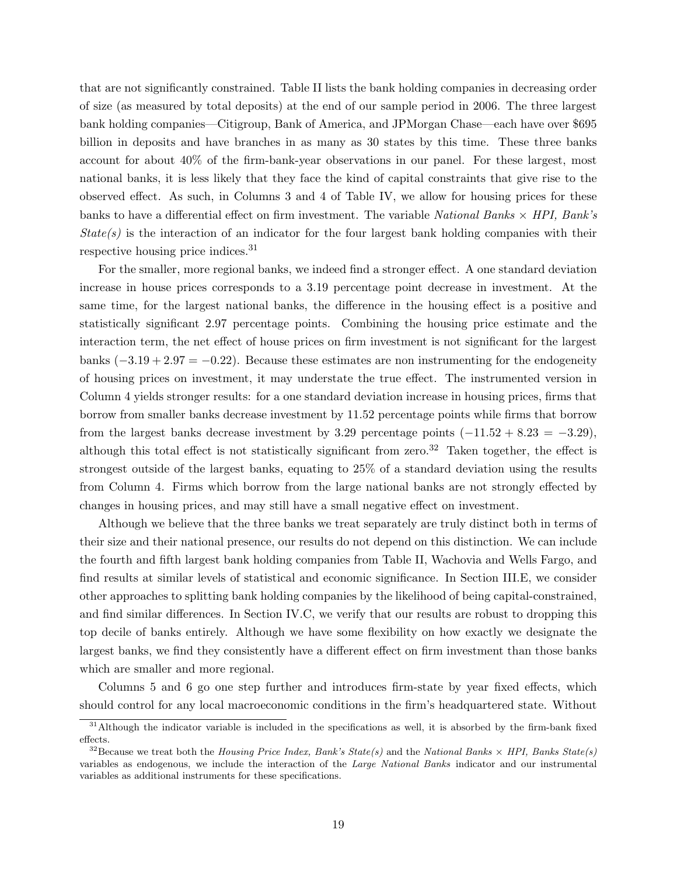that are not significantly constrained. Table [II](#page-41-0) lists the bank holding companies in decreasing order of size (as measured by total deposits) at the end of our sample period in 2006. The three largest bank holding companies—Citigroup, Bank of America, and JPMorgan Chase—each have over \$695 billion in deposits and have branches in as many as 30 states by this time. These three banks account for about 40% of the firm-bank-year observations in our panel. For these largest, most national banks, it is less likely that they face the kind of capital constraints that give rise to the observed effect. As such, in Columns 3 and 4 of Table [IV,](#page-43-0) we allow for housing prices for these banks to have a differential effect on firm investment. The variable National Banks  $\times$  HPI, Bank's  $State(s)$  is the interaction of an indicator for the four largest bank holding companies with their respective housing price indices.[31](#page-0-0)

For the smaller, more regional banks, we indeed find a stronger effect. A one standard deviation increase in house prices corresponds to a 3.19 percentage point decrease in investment. At the same time, for the largest national banks, the difference in the housing effect is a positive and statistically significant 2.97 percentage points. Combining the housing price estimate and the interaction term, the net effect of house prices on firm investment is not significant for the largest banks  $(-3.19 + 2.97 = -0.22)$ . Because these estimates are non instrumenting for the endogeneity of housing prices on investment, it may understate the true effect. The instrumented version in Column 4 yields stronger results: for a one standard deviation increase in housing prices, firms that borrow from smaller banks decrease investment by 11.52 percentage points while firms that borrow from the largest banks decrease investment by 3.29 percentage points  $(-11.52 + 8.23 = -3.29)$ , although this total effect is not statistically significant from zero.<sup>[32](#page-0-0)</sup> Taken together, the effect is strongest outside of the largest banks, equating to 25% of a standard deviation using the results from Column 4. Firms which borrow from the large national banks are not strongly effected by changes in housing prices, and may still have a small negative effect on investment.

Although we believe that the three banks we treat separately are truly distinct both in terms of their size and their national presence, our results do not depend on this distinction. We can include the fourth and fifth largest bank holding companies from Table [II,](#page-41-0) Wachovia and Wells Fargo, and find results at similar levels of statistical and economic significance. In Section [III.E,](#page-27-0) we consider other approaches to splitting bank holding companies by the likelihood of being capital-constrained, and find similar differences. In Section [IV.C,](#page-31-0) we verify that our results are robust to dropping this top decile of banks entirely. Although we have some flexibility on how exactly we designate the largest banks, we find they consistently have a different effect on firm investment than those banks which are smaller and more regional.

Columns 5 and 6 go one step further and introduces firm-state by year fixed effects, which should control for any local macroeconomic conditions in the firm's headquartered state. Without

<sup>&</sup>lt;sup>31</sup>Although the indicator variable is included in the specifications as well, it is absorbed by the firm-bank fixed effects.

<sup>&</sup>lt;sup>32</sup>Because we treat both the Housing Price Index, Bank's State(s) and the National Banks  $\times$  HPI, Banks State(s) variables as endogenous, we include the interaction of the Large National Banks indicator and our instrumental variables as additional instruments for these specifications.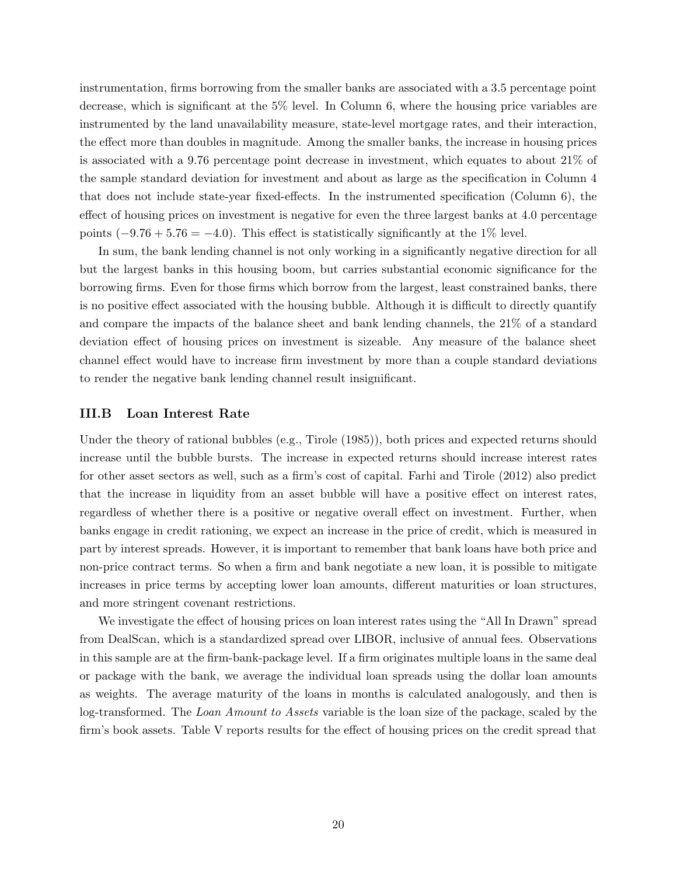instrumentation, firms borrowing from the smaller banks are associated with a 3.5 percentage point decrease, which is significant at the 5% level. In Column 6, where the housing price variables are instrumented by the land unavailability measure, state-level mortgage rates, and their interaction, the effect more than doubles in magnitude. Among the smaller banks, the increase in housing prices is associated with a 9.76 percentage point decrease in investment, which equates to about 21% of the sample standard deviation for investment and about as large as the specification in Column 4 that does not include state-year fixed-effects. In the instrumented specification (Column 6), the effect of housing prices on investment is negative for even the three largest banks at 4.0 percentage points  $(-9.76 + 5.76 = -4.0)$ . This effect is statistically significantly at the 1% level.

In sum, the bank lending channel is not only working in a significantly negative direction for all but the largest banks in this housing boom, but carries substantial economic significance for the borrowing firms. Even for those firms which borrow from the largest, least constrained banks, there is no positive effect associated with the housing bubble. Although it is difficult to directly quantify and compare the impacts of the balance sheet and bank lending channels, the 21% of a standard deviation effect of housing prices on investment is sizeable. Any measure of the balance sheet channel effect would have to increase firm investment by more than a couple standard deviations to render the negative bank lending channel result insignificant.

# <span id="page-20-0"></span>III.B Loan Interest Rate

Under the theory of rational bubbles (e.g., Tirole (1985)), both prices and expected returns should increase until the bubble bursts. The increase in expected returns should increase interest rates for other asset sectors as well, such as a firm's cost of capital. Farhi and Tirole (2012) also predict that the increase in liquidity from an asset bubble will have a positive effect on interest rates, regardless of whether there is a positive or negative overall effect on investment. Further, when banks engage in credit rationing, we expect an increase in the price of credit, which is measured in part by interest spreads. However, it is important to remember that bank loans have both price and non-price contract terms. So when a firm and bank negotiate a new loan, it is possible to mitigate increases in price terms by accepting lower loan amounts, different maturities or loan structures, and more stringent covenant restrictions.

We investigate the effect of housing prices on loan interest rates using the "All In Drawn" spread from DealScan, which is a standardized spread over LIBOR, inclusive of annual fees. Observations in this sample are at the firm-bank-package level. If a firm originates multiple loans in the same deal or package with the bank, we average the individual loan spreads using the dollar loan amounts as weights. The average maturity of the loans in months is calculated analogously, and then is log-transformed. The Loan Amount to Assets variable is the loan size of the package, scaled by the firm's book assets. Table [V](#page-44-0) reports results for the effect of housing prices on the credit spread that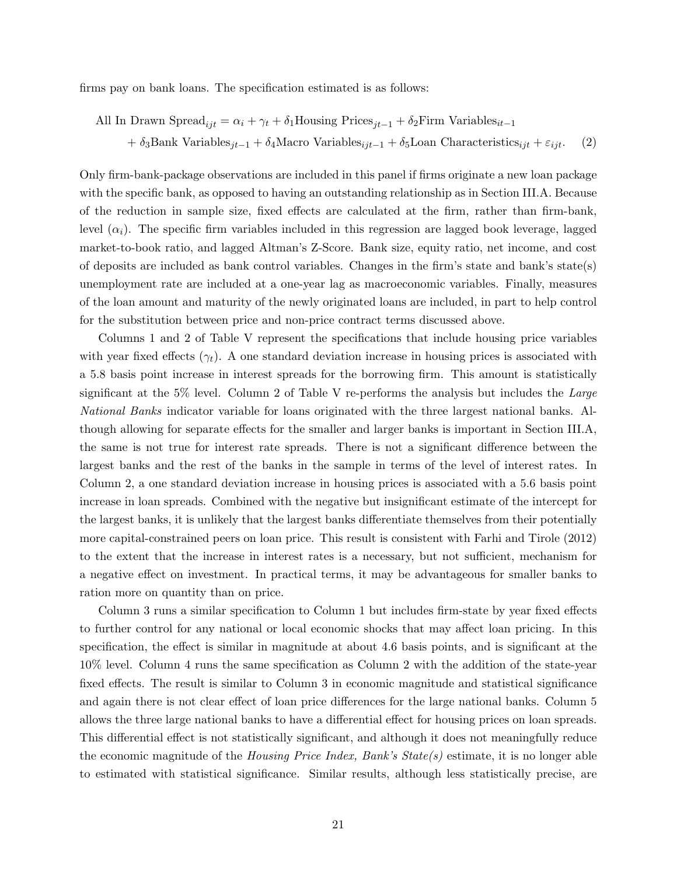firms pay on bank loans. The specification estimated is as follows:

All In Drawn 
$$
Speed_{ijt} = \alpha_i + \gamma_t + \delta_1
$$
 Housing Prices<sub>jt-1</sub> +  $\delta_2$  Firm Variables<sub>it-1</sub> +  $\delta_3$ Bank Variables<sub>jt-1</sub> +  $\delta_4$ Macro Variables<sub>ijt-1</sub> +  $\delta_5$  Loan Characteristics<sub>ijt</sub> +  $\varepsilon_{ijt}$ . (2)

Only firm-bank-package observations are included in this panel if firms originate a new loan package with the specific bank, as opposed to having an outstanding relationship as in Section [III.A.](#page-16-1) Because of the reduction in sample size, fixed effects are calculated at the firm, rather than firm-bank, level  $(\alpha_i)$ . The specific firm variables included in this regression are lagged book leverage, lagged market-to-book ratio, and lagged Altman's Z-Score. Bank size, equity ratio, net income, and cost of deposits are included as bank control variables. Changes in the firm's state and bank's state(s) unemployment rate are included at a one-year lag as macroeconomic variables. Finally, measures of the loan amount and maturity of the newly originated loans are included, in part to help control for the substitution between price and non-price contract terms discussed above.

Columns 1 and 2 of Table [V](#page-44-0) represent the specifications that include housing price variables with year fixed effects  $(\gamma_t)$ . A one standard deviation increase in housing prices is associated with a 5.8 basis point increase in interest spreads for the borrowing firm. This amount is statistically significant at the 5% level. Column 2 of Table [V](#page-44-0) re-performs the analysis but includes the Large National Banks indicator variable for loans originated with the three largest national banks. Although allowing for separate effects for the smaller and larger banks is important in Section [III.A,](#page-16-1) the same is not true for interest rate spreads. There is not a significant difference between the largest banks and the rest of the banks in the sample in terms of the level of interest rates. In Column 2, a one standard deviation increase in housing prices is associated with a 5.6 basis point increase in loan spreads. Combined with the negative but insignificant estimate of the intercept for the largest banks, it is unlikely that the largest banks differentiate themselves from their potentially more capital-constrained peers on loan price. This result is consistent with Farhi and Tirole (2012) to the extent that the increase in interest rates is a necessary, but not sufficient, mechanism for a negative effect on investment. In practical terms, it may be advantageous for smaller banks to ration more on quantity than on price.

Column 3 runs a similar specification to Column 1 but includes firm-state by year fixed effects to further control for any national or local economic shocks that may affect loan pricing. In this specification, the effect is similar in magnitude at about 4.6 basis points, and is significant at the 10% level. Column 4 runs the same specification as Column 2 with the addition of the state-year fixed effects. The result is similar to Column 3 in economic magnitude and statistical significance and again there is not clear effect of loan price differences for the large national banks. Column 5 allows the three large national banks to have a differential effect for housing prices on loan spreads. This differential effect is not statistically significant, and although it does not meaningfully reduce the economic magnitude of the *Housing Price Index, Bank's State(s)* estimate, it is no longer able to estimated with statistical significance. Similar results, although less statistically precise, are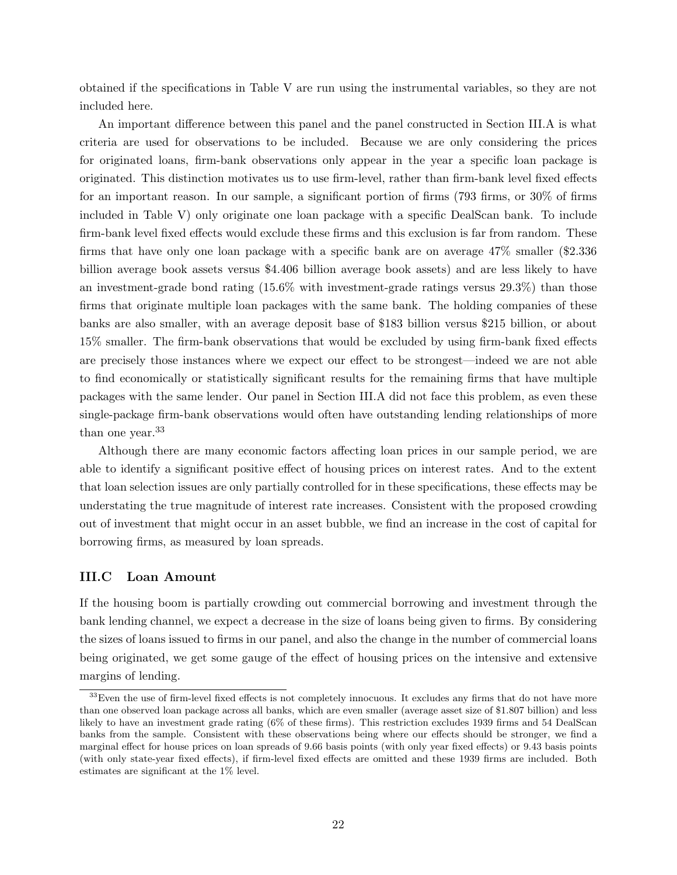obtained if the specifications in Table [V](#page-44-0) are run using the instrumental variables, so they are not included here.

An important difference between this panel and the panel constructed in Section [III.A](#page-16-1) is what criteria are used for observations to be included. Because we are only considering the prices for originated loans, firm-bank observations only appear in the year a specific loan package is originated. This distinction motivates us to use firm-level, rather than firm-bank level fixed effects for an important reason. In our sample, a significant portion of firms (793 firms, or 30% of firms included in Table [V\)](#page-44-0) only originate one loan package with a specific DealScan bank. To include firm-bank level fixed effects would exclude these firms and this exclusion is far from random. These firms that have only one loan package with a specific bank are on average 47% smaller (\$2.336 billion average book assets versus \$4.406 billion average book assets) and are less likely to have an investment-grade bond rating  $(15.6\%$  with investment-grade ratings versus  $(29.3\%)$  than those firms that originate multiple loan packages with the same bank. The holding companies of these banks are also smaller, with an average deposit base of \$183 billion versus \$215 billion, or about 15% smaller. The firm-bank observations that would be excluded by using firm-bank fixed effects are precisely those instances where we expect our effect to be strongest—indeed we are not able to find economically or statistically significant results for the remaining firms that have multiple packages with the same lender. Our panel in Section [III.A](#page-16-1) did not face this problem, as even these single-package firm-bank observations would often have outstanding lending relationships of more than one year.<sup>[33](#page-0-0)</sup>

Although there are many economic factors affecting loan prices in our sample period, we are able to identify a significant positive effect of housing prices on interest rates. And to the extent that loan selection issues are only partially controlled for in these specifications, these effects may be understating the true magnitude of interest rate increases. Consistent with the proposed crowding out of investment that might occur in an asset bubble, we find an increase in the cost of capital for borrowing firms, as measured by loan spreads.

# <span id="page-22-0"></span>III.C Loan Amount

If the housing boom is partially crowding out commercial borrowing and investment through the bank lending channel, we expect a decrease in the size of loans being given to firms. By considering the sizes of loans issued to firms in our panel, and also the change in the number of commercial loans being originated, we get some gauge of the effect of housing prices on the intensive and extensive margins of lending.

<sup>&</sup>lt;sup>33</sup>Even the use of firm-level fixed effects is not completely innocuous. It excludes any firms that do not have more than one observed loan package across all banks, which are even smaller (average asset size of \$1.807 billion) and less likely to have an investment grade rating (6% of these firms). This restriction excludes 1939 firms and 54 DealScan banks from the sample. Consistent with these observations being where our effects should be stronger, we find a marginal effect for house prices on loan spreads of 9.66 basis points (with only year fixed effects) or 9.43 basis points (with only state-year fixed effects), if firm-level fixed effects are omitted and these 1939 firms are included. Both estimates are significant at the 1% level.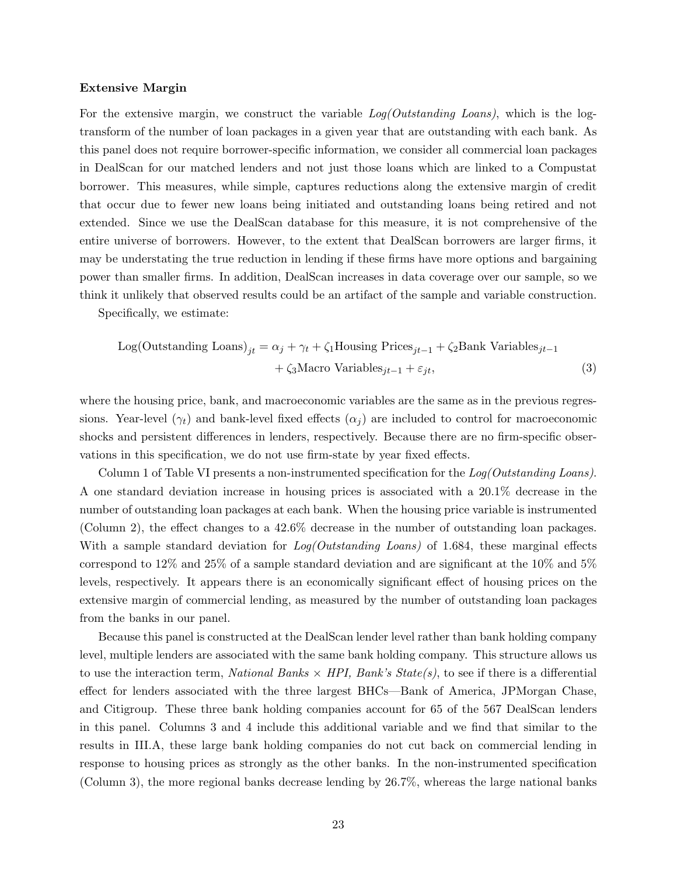### Extensive Margin

For the extensive margin, we construct the variable  $Log(Outstanding Loans)$ , which is the logtransform of the number of loan packages in a given year that are outstanding with each bank. As this panel does not require borrower-specific information, we consider all commercial loan packages in DealScan for our matched lenders and not just those loans which are linked to a Compustat borrower. This measures, while simple, captures reductions along the extensive margin of credit that occur due to fewer new loans being initiated and outstanding loans being retired and not extended. Since we use the DealScan database for this measure, it is not comprehensive of the entire universe of borrowers. However, to the extent that DealScan borrowers are larger firms, it may be understating the true reduction in lending if these firms have more options and bargaining power than smaller firms. In addition, DealScan increases in data coverage over our sample, so we think it unlikely that observed results could be an artifact of the sample and variable construction.

Specifically, we estimate:

Log(Outstanding Loans)<sub>jt</sub> = 
$$
\alpha_j + \gamma_t + \zeta_1
$$
House<sub>jt-1</sub> +  $\zeta_2$ Bank Variables<sub>jt-1</sub>  
+  $\zeta_3$ Macro Variables<sub>jt-1</sub> +  $\varepsilon_{jt}$ , (3)

where the housing price, bank, and macroeconomic variables are the same as in the previous regressions. Year-level ( $\gamma_t$ ) and bank-level fixed effects ( $\alpha_j$ ) are included to control for macroeconomic shocks and persistent differences in lenders, respectively. Because there are no firm-specific observations in this specification, we do not use firm-state by year fixed effects.

Column 1 of Table [VI](#page-45-0) presents a non-instrumented specification for the Log(Outstanding Loans). A one standard deviation increase in housing prices is associated with a 20.1% decrease in the number of outstanding loan packages at each bank. When the housing price variable is instrumented (Column 2), the effect changes to a 42.6% decrease in the number of outstanding loan packages. With a sample standard deviation for  $Log(Outstanding Loans)$  of 1.684, these marginal effects correspond to 12% and 25% of a sample standard deviation and are significant at the 10% and 5% levels, respectively. It appears there is an economically significant effect of housing prices on the extensive margin of commercial lending, as measured by the number of outstanding loan packages from the banks in our panel.

Because this panel is constructed at the DealScan lender level rather than bank holding company level, multiple lenders are associated with the same bank holding company. This structure allows us to use the interaction term, *National Banks*  $\times$  *HPI*, *Bank's State(s)*, to see if there is a differential effect for lenders associated with the three largest BHCs—Bank of America, JPMorgan Chase, and Citigroup. These three bank holding companies account for 65 of the 567 DealScan lenders in this panel. Columns 3 and 4 include this additional variable and we find that similar to the results in [III.A,](#page-16-1) these large bank holding companies do not cut back on commercial lending in response to housing prices as strongly as the other banks. In the non-instrumented specification (Column 3), the more regional banks decrease lending by 26.7%, whereas the large national banks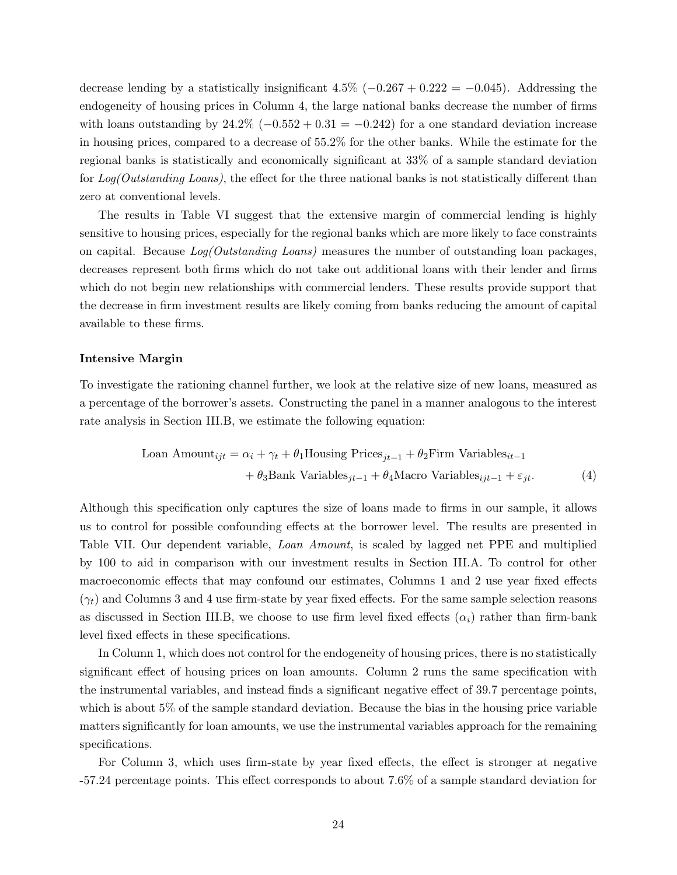decrease lending by a statistically insignificant 4.5% ( $-0.267 + 0.222 = -0.045$ ). Addressing the endogeneity of housing prices in Column 4, the large national banks decrease the number of firms with loans outstanding by  $24.2\%$  ( $-0.552 + 0.31 = -0.242$ ) for a one standard deviation increase in housing prices, compared to a decrease of 55.2% for the other banks. While the estimate for the regional banks is statistically and economically significant at 33% of a sample standard deviation for Log(Outstanding Loans), the effect for the three national banks is not statistically different than zero at conventional levels.

The results in Table [VI](#page-45-0) suggest that the extensive margin of commercial lending is highly sensitive to housing prices, especially for the regional banks which are more likely to face constraints on capital. Because Log(Outstanding Loans) measures the number of outstanding loan packages, decreases represent both firms which do not take out additional loans with their lender and firms which do not begin new relationships with commercial lenders. These results provide support that the decrease in firm investment results are likely coming from banks reducing the amount of capital available to these firms.

### Intensive Margin

To investigate the rationing channel further, we look at the relative size of new loans, measured as a percentage of the borrower's assets. Constructing the panel in a manner analogous to the interest rate analysis in Section [III.B,](#page-20-0) we estimate the following equation:

$$
\text{Loan Amount}_{ijt} = \alpha_i + \gamma_t + \theta_1 \text{Housing Prices}_{jt-1} + \theta_2 \text{Firm Variables}_{it-1} + \theta_3 \text{Bank Variables}_{jt-1} + \theta_4 \text{Macco Variables}_{ijt-1} + \varepsilon_{jt}. \tag{4}
$$

Although this specification only captures the size of loans made to firms in our sample, it allows us to control for possible confounding effects at the borrower level. The results are presented in Table [VII.](#page-46-0) Our dependent variable, Loan Amount, is scaled by lagged net PPE and multiplied by 100 to aid in comparison with our investment results in Section [III.A.](#page-16-1) To control for other macroeconomic effects that may confound our estimates, Columns 1 and 2 use year fixed effects  $(\gamma_t)$  and Columns 3 and 4 use firm-state by year fixed effects. For the same sample selection reasons as discussed in Section [III.B,](#page-20-0) we choose to use firm level fixed effects  $(\alpha_i)$  rather than firm-bank level fixed effects in these specifications.

In Column 1, which does not control for the endogeneity of housing prices, there is no statistically significant effect of housing prices on loan amounts. Column 2 runs the same specification with the instrumental variables, and instead finds a significant negative effect of 39.7 percentage points, which is about 5% of the sample standard deviation. Because the bias in the housing price variable matters significantly for loan amounts, we use the instrumental variables approach for the remaining specifications.

For Column 3, which uses firm-state by year fixed effects, the effect is stronger at negative -57.24 percentage points. This effect corresponds to about 7.6% of a sample standard deviation for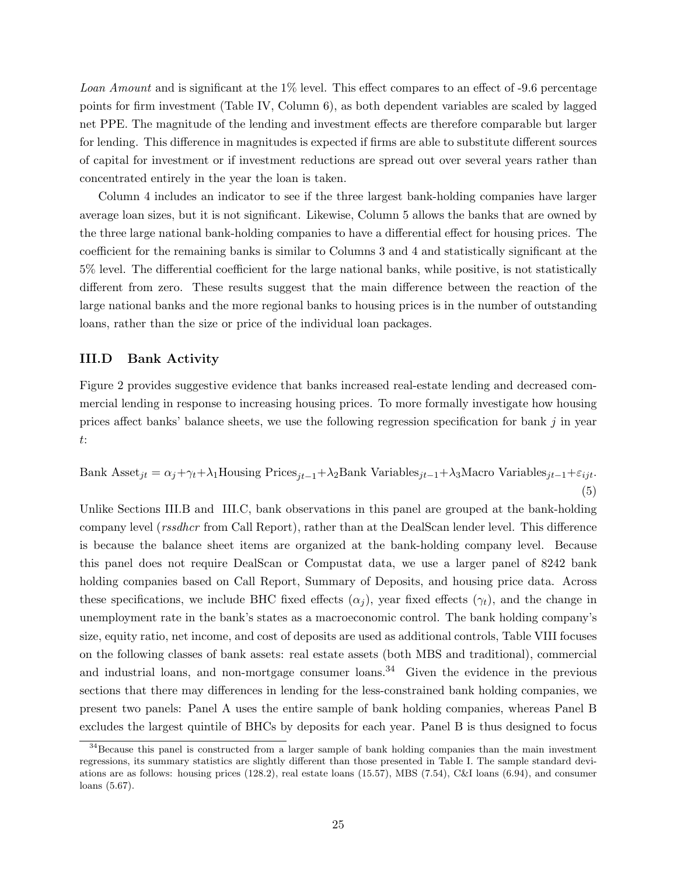Loan Amount and is significant at the 1% level. This effect compares to an effect of -9.6 percentage points for firm investment (Table [IV,](#page-43-0) Column 6), as both dependent variables are scaled by lagged net PPE. The magnitude of the lending and investment effects are therefore comparable but larger for lending. This difference in magnitudes is expected if firms are able to substitute different sources of capital for investment or if investment reductions are spread out over several years rather than concentrated entirely in the year the loan is taken.

Column 4 includes an indicator to see if the three largest bank-holding companies have larger average loan sizes, but it is not significant. Likewise, Column 5 allows the banks that are owned by the three large national bank-holding companies to have a differential effect for housing prices. The coefficient for the remaining banks is similar to Columns 3 and 4 and statistically significant at the 5% level. The differential coefficient for the large national banks, while positive, is not statistically different from zero. These results suggest that the main difference between the reaction of the large national banks and the more regional banks to housing prices is in the number of outstanding loans, rather than the size or price of the individual loan packages.

# <span id="page-25-0"></span>III.D Bank Activity

Figure [2](#page-37-0) provides suggestive evidence that banks increased real-estate lending and decreased commercial lending in response to increasing housing prices. To more formally investigate how housing prices affect banks' balance sheets, we use the following regression specification for bank  $j$  in year t:

Bank Asset<sub>jt</sub> = 
$$
\alpha_j + \gamma_t + \lambda_1
$$
House<sub>jt-1</sub> +  $\lambda_2$ Bank Variables<sub>jt-1</sub> +  $\lambda_3$ Macro Variables<sub>jt-1</sub> +  $\varepsilon_{ijt}$ .  
(5)

Unlike Sections [III.B](#page-20-0) and [III.C,](#page-22-0) bank observations in this panel are grouped at the bank-holding company level (rssdhcr from Call Report), rather than at the DealScan lender level. This difference is because the balance sheet items are organized at the bank-holding company level. Because this panel does not require DealScan or Compustat data, we use a larger panel of 8242 bank holding companies based on Call Report, Summary of Deposits, and housing price data. Across these specifications, we include BHC fixed effects  $(\alpha_i)$ , year fixed effects  $(\gamma_t)$ , and the change in unemployment rate in the bank's states as a macroeconomic control. The bank holding company's size, equity ratio, net income, and cost of deposits are used as additional controls, Table [VIII](#page-47-0) focuses on the following classes of bank assets: real estate assets (both MBS and traditional), commercial and industrial loans, and non-mortgage consumer loans.<sup>[34](#page-0-0)</sup> Given the evidence in the previous sections that there may differences in lending for the less-constrained bank holding companies, we present two panels: Panel A uses the entire sample of bank holding companies, whereas Panel B excludes the largest quintile of BHCs by deposits for each year. Panel B is thus designed to focus

<sup>&</sup>lt;sup>34</sup>Because this panel is constructed from a larger sample of bank holding companies than the main investment regressions, its summary statistics are slightly different than those presented in Table [I.](#page-38-0) The sample standard deviations are as follows: housing prices (128.2), real estate loans (15.57), MBS (7.54), C&I loans (6.94), and consumer loans (5.67).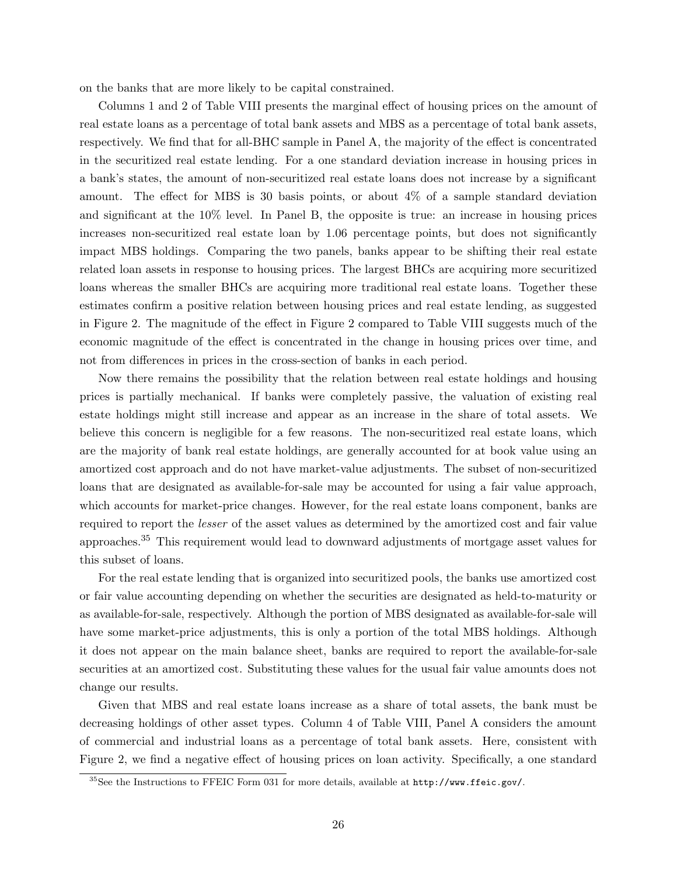on the banks that are more likely to be capital constrained.

Columns 1 and 2 of Table [VIII](#page-47-0) presents the marginal effect of housing prices on the amount of real estate loans as a percentage of total bank assets and MBS as a percentage of total bank assets, respectively. We find that for all-BHC sample in Panel A, the majority of the effect is concentrated in the securitized real estate lending. For a one standard deviation increase in housing prices in a bank's states, the amount of non-securitized real estate loans does not increase by a significant amount. The effect for MBS is 30 basis points, or about 4% of a sample standard deviation and significant at the 10% level. In Panel B, the opposite is true: an increase in housing prices increases non-securitized real estate loan by 1.06 percentage points, but does not significantly impact MBS holdings. Comparing the two panels, banks appear to be shifting their real estate related loan assets in response to housing prices. The largest BHCs are acquiring more securitized loans whereas the smaller BHCs are acquiring more traditional real estate loans. Together these estimates confirm a positive relation between housing prices and real estate lending, as suggested in Figure [2.](#page-37-0) The magnitude of the effect in Figure [2](#page-37-0) compared to Table [VIII](#page-47-0) suggests much of the economic magnitude of the effect is concentrated in the change in housing prices over time, and not from differences in prices in the cross-section of banks in each period.

Now there remains the possibility that the relation between real estate holdings and housing prices is partially mechanical. If banks were completely passive, the valuation of existing real estate holdings might still increase and appear as an increase in the share of total assets. We believe this concern is negligible for a few reasons. The non-securitized real estate loans, which are the majority of bank real estate holdings, are generally accounted for at book value using an amortized cost approach and do not have market-value adjustments. The subset of non-securitized loans that are designated as available-for-sale may be accounted for using a fair value approach, which accounts for market-price changes. However, for the real estate loans component, banks are required to report the lesser of the asset values as determined by the amortized cost and fair value approaches.[35](#page-0-0) This requirement would lead to downward adjustments of mortgage asset values for this subset of loans.

For the real estate lending that is organized into securitized pools, the banks use amortized cost or fair value accounting depending on whether the securities are designated as held-to-maturity or as available-for-sale, respectively. Although the portion of MBS designated as available-for-sale will have some market-price adjustments, this is only a portion of the total MBS holdings. Although it does not appear on the main balance sheet, banks are required to report the available-for-sale securities at an amortized cost. Substituting these values for the usual fair value amounts does not change our results.

Given that MBS and real estate loans increase as a share of total assets, the bank must be decreasing holdings of other asset types. Column 4 of Table [VIII,](#page-47-0) Panel A considers the amount of commercial and industrial loans as a percentage of total bank assets. Here, consistent with Figure [2,](#page-37-0) we find a negative effect of housing prices on loan activity. Specifically, a one standard

<sup>35</sup>See the Instructions to FFEIC Form 031 for more details, available at <http://www.ffeic.gov/>.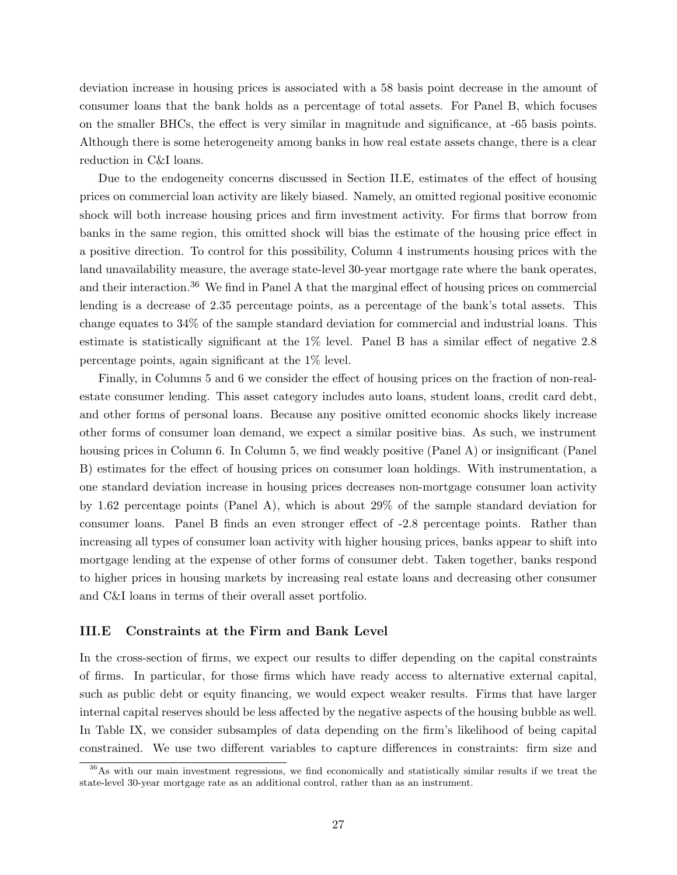deviation increase in housing prices is associated with a 58 basis point decrease in the amount of consumer loans that the bank holds as a percentage of total assets. For Panel B, which focuses on the smaller BHCs, the effect is very similar in magnitude and significance, at -65 basis points. Although there is some heterogeneity among banks in how real estate assets change, there is a clear reduction in C&I loans.

Due to the endogeneity concerns discussed in Section [II.E,](#page-14-0) estimates of the effect of housing prices on commercial loan activity are likely biased. Namely, an omitted regional positive economic shock will both increase housing prices and firm investment activity. For firms that borrow from banks in the same region, this omitted shock will bias the estimate of the housing price effect in a positive direction. To control for this possibility, Column 4 instruments housing prices with the land unavailability measure, the average state-level 30-year mortgage rate where the bank operates, and their interaction.<sup>[36](#page-0-0)</sup> We find in Panel A that the marginal effect of housing prices on commercial lending is a decrease of 2.35 percentage points, as a percentage of the bank's total assets. This change equates to 34% of the sample standard deviation for commercial and industrial loans. This estimate is statistically significant at the 1% level. Panel B has a similar effect of negative 2.8 percentage points, again significant at the 1% level.

Finally, in Columns 5 and 6 we consider the effect of housing prices on the fraction of non-realestate consumer lending. This asset category includes auto loans, student loans, credit card debt, and other forms of personal loans. Because any positive omitted economic shocks likely increase other forms of consumer loan demand, we expect a similar positive bias. As such, we instrument housing prices in Column 6. In Column 5, we find weakly positive (Panel A) or insignificant (Panel B) estimates for the effect of housing prices on consumer loan holdings. With instrumentation, a one standard deviation increase in housing prices decreases non-mortgage consumer loan activity by 1.62 percentage points (Panel A), which is about 29% of the sample standard deviation for consumer loans. Panel B finds an even stronger effect of -2.8 percentage points. Rather than increasing all types of consumer loan activity with higher housing prices, banks appear to shift into mortgage lending at the expense of other forms of consumer debt. Taken together, banks respond to higher prices in housing markets by increasing real estate loans and decreasing other consumer and C&I loans in terms of their overall asset portfolio.

# <span id="page-27-0"></span>III.E Constraints at the Firm and Bank Level

In the cross-section of firms, we expect our results to differ depending on the capital constraints of firms. In particular, for those firms which have ready access to alternative external capital, such as public debt or equity financing, we would expect weaker results. Firms that have larger internal capital reserves should be less affected by the negative aspects of the housing bubble as well. In Table [IX,](#page-49-0) we consider subsamples of data depending on the firm's likelihood of being capital constrained. We use two different variables to capture differences in constraints: firm size and

 $36\text{As}$  with our main investment regressions, we find economically and statistically similar results if we treat the state-level 30-year mortgage rate as an additional control, rather than as an instrument.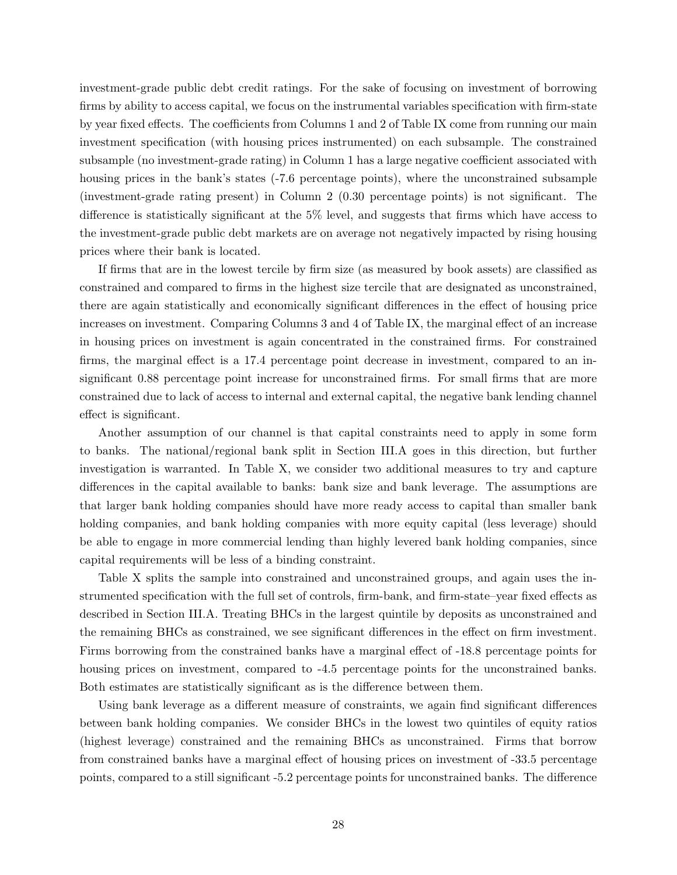investment-grade public debt credit ratings. For the sake of focusing on investment of borrowing firms by ability to access capital, we focus on the instrumental variables specification with firm-state by year fixed effects. The coefficients from Columns 1 and 2 of Table [IX](#page-49-0) come from running our main investment specification (with housing prices instrumented) on each subsample. The constrained subsample (no investment-grade rating) in Column 1 has a large negative coefficient associated with housing prices in the bank's states (-7.6 percentage points), where the unconstrained subsample (investment-grade rating present) in Column 2 (0.30 percentage points) is not significant. The difference is statistically significant at the 5% level, and suggests that firms which have access to the investment-grade public debt markets are on average not negatively impacted by rising housing prices where their bank is located.

If firms that are in the lowest tercile by firm size (as measured by book assets) are classified as constrained and compared to firms in the highest size tercile that are designated as unconstrained, there are again statistically and economically significant differences in the effect of housing price increases on investment. Comparing Columns 3 and 4 of Table [IX,](#page-49-0) the marginal effect of an increase in housing prices on investment is again concentrated in the constrained firms. For constrained firms, the marginal effect is a 17.4 percentage point decrease in investment, compared to an insignificant 0.88 percentage point increase for unconstrained firms. For small firms that are more constrained due to lack of access to internal and external capital, the negative bank lending channel effect is significant.

Another assumption of our channel is that capital constraints need to apply in some form to banks. The national/regional bank split in Section [III.A](#page-16-1) goes in this direction, but further investigation is warranted. In Table [X,](#page-50-0) we consider two additional measures to try and capture differences in the capital available to banks: bank size and bank leverage. The assumptions are that larger bank holding companies should have more ready access to capital than smaller bank holding companies, and bank holding companies with more equity capital (less leverage) should be able to engage in more commercial lending than highly levered bank holding companies, since capital requirements will be less of a binding constraint.

Table [X](#page-50-0) splits the sample into constrained and unconstrained groups, and again uses the instrumented specification with the full set of controls, firm-bank, and firm-state–year fixed effects as described in Section [III.A.](#page-16-1) Treating BHCs in the largest quintile by deposits as unconstrained and the remaining BHCs as constrained, we see significant differences in the effect on firm investment. Firms borrowing from the constrained banks have a marginal effect of -18.8 percentage points for housing prices on investment, compared to -4.5 percentage points for the unconstrained banks. Both estimates are statistically significant as is the difference between them.

Using bank leverage as a different measure of constraints, we again find significant differences between bank holding companies. We consider BHCs in the lowest two quintiles of equity ratios (highest leverage) constrained and the remaining BHCs as unconstrained. Firms that borrow from constrained banks have a marginal effect of housing prices on investment of -33.5 percentage points, compared to a still significant -5.2 percentage points for unconstrained banks. The difference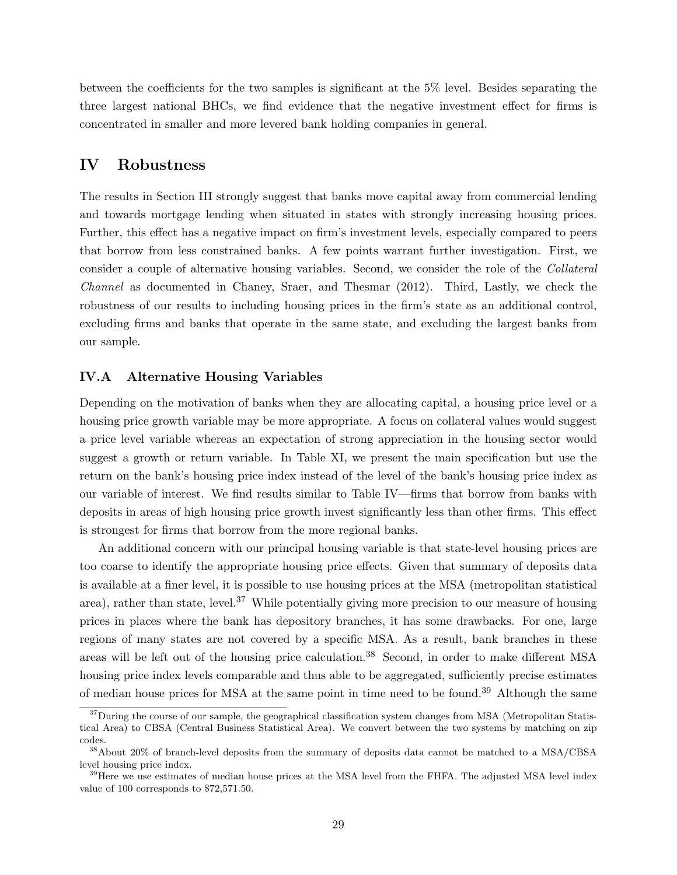between the coefficients for the two samples is significant at the 5% level. Besides separating the three largest national BHCs, we find evidence that the negative investment effect for firms is concentrated in smaller and more levered bank holding companies in general.

# <span id="page-29-0"></span>IV Robustness

The results in Section [III](#page-16-0) strongly suggest that banks move capital away from commercial lending and towards mortgage lending when situated in states with strongly increasing housing prices. Further, this effect has a negative impact on firm's investment levels, especially compared to peers that borrow from less constrained banks. A few points warrant further investigation. First, we consider a couple of alternative housing variables. Second, we consider the role of the Collateral Channel as documented in Chaney, Sraer, and Thesmar (2012). Third, Lastly, we check the robustness of our results to including housing prices in the firm's state as an additional control, excluding firms and banks that operate in the same state, and excluding the largest banks from our sample.

# IV.A Alternative Housing Variables

Depending on the motivation of banks when they are allocating capital, a housing price level or a housing price growth variable may be more appropriate. A focus on collateral values would suggest a price level variable whereas an expectation of strong appreciation in the housing sector would suggest a growth or return variable. In Table [XI,](#page-51-0) we present the main specification but use the return on the bank's housing price index instead of the level of the bank's housing price index as our variable of interest. We find results similar to Table [IV—](#page-43-0)firms that borrow from banks with deposits in areas of high housing price growth invest significantly less than other firms. This effect is strongest for firms that borrow from the more regional banks.

An additional concern with our principal housing variable is that state-level housing prices are too coarse to identify the appropriate housing price effects. Given that summary of deposits data is available at a finer level, it is possible to use housing prices at the MSA (metropolitan statistical area), rather than state, level.<sup>[37](#page-0-0)</sup> While potentially giving more precision to our measure of housing prices in places where the bank has depository branches, it has some drawbacks. For one, large regions of many states are not covered by a specific MSA. As a result, bank branches in these areas will be left out of the housing price calculation.<sup>[38](#page-0-0)</sup> Second, in order to make different MSA housing price index levels comparable and thus able to be aggregated, sufficiently precise estimates of median house prices for MSA at the same point in time need to be found.[39](#page-0-0) Although the same

<sup>&</sup>lt;sup>37</sup>During the course of our sample, the geographical classification system changes from MSA (Metropolitan Statistical Area) to CBSA (Central Business Statistical Area). We convert between the two systems by matching on zip codes.

<sup>38</sup>About 20% of branch-level deposits from the summary of deposits data cannot be matched to a MSA/CBSA level housing price index.

<sup>&</sup>lt;sup>39</sup>Here we use estimates of median house prices at the MSA level from the FHFA. The adjusted MSA level index value of 100 corresponds to \$72,571.50.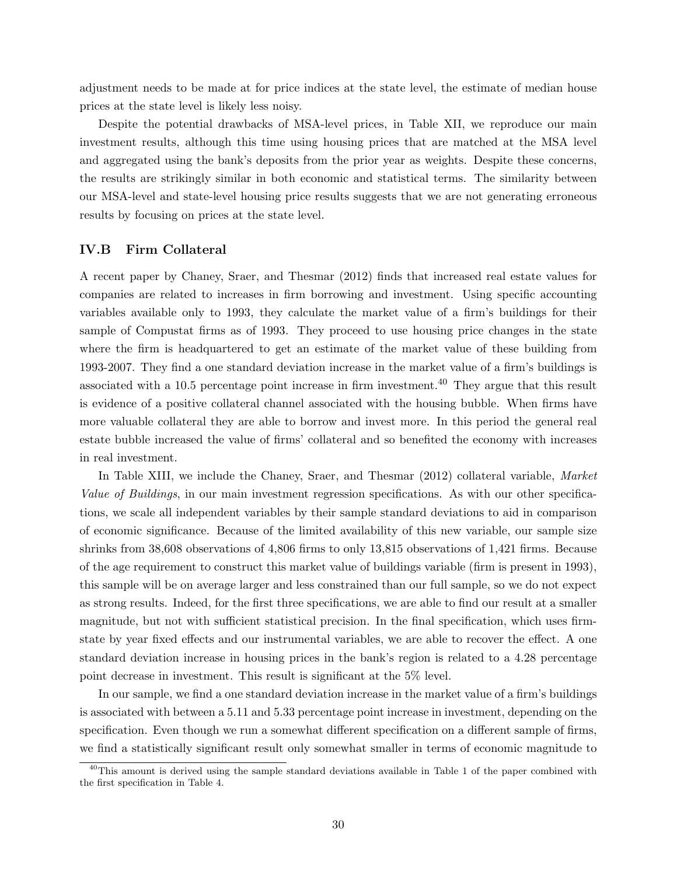adjustment needs to be made at for price indices at the state level, the estimate of median house prices at the state level is likely less noisy.

Despite the potential drawbacks of MSA-level prices, in Table [XII,](#page-52-0) we reproduce our main investment results, although this time using housing prices that are matched at the MSA level and aggregated using the bank's deposits from the prior year as weights. Despite these concerns, the results are strikingly similar in both economic and statistical terms. The similarity between our MSA-level and state-level housing price results suggests that we are not generating erroneous results by focusing on prices at the state level.

# IV.B Firm Collateral

A recent paper by Chaney, Sraer, and Thesmar (2012) finds that increased real estate values for companies are related to increases in firm borrowing and investment. Using specific accounting variables available only to 1993, they calculate the market value of a firm's buildings for their sample of Compustat firms as of 1993. They proceed to use housing price changes in the state where the firm is headquartered to get an estimate of the market value of these building from 1993-2007. They find a one standard deviation increase in the market value of a firm's buildings is associated with a 10.5 percentage point increase in firm investment.<sup>[40](#page-0-0)</sup> They argue that this result is evidence of a positive collateral channel associated with the housing bubble. When firms have more valuable collateral they are able to borrow and invest more. In this period the general real estate bubble increased the value of firms' collateral and so benefited the economy with increases in real investment.

In Table [XIII,](#page-53-0) we include the Chaney, Sraer, and Thesmar (2012) collateral variable, Market Value of Buildings, in our main investment regression specifications. As with our other specifications, we scale all independent variables by their sample standard deviations to aid in comparison of economic significance. Because of the limited availability of this new variable, our sample size shrinks from 38,608 observations of 4,806 firms to only 13,815 observations of 1,421 firms. Because of the age requirement to construct this market value of buildings variable (firm is present in 1993), this sample will be on average larger and less constrained than our full sample, so we do not expect as strong results. Indeed, for the first three specifications, we are able to find our result at a smaller magnitude, but not with sufficient statistical precision. In the final specification, which uses firmstate by year fixed effects and our instrumental variables, we are able to recover the effect. A one standard deviation increase in housing prices in the bank's region is related to a 4.28 percentage point decrease in investment. This result is significant at the 5% level.

In our sample, we find a one standard deviation increase in the market value of a firm's buildings is associated with between a 5.11 and 5.33 percentage point increase in investment, depending on the specification. Even though we run a somewhat different specification on a different sample of firms, we find a statistically significant result only somewhat smaller in terms of economic magnitude to

<sup>&</sup>lt;sup>40</sup>This amount is derived using the sample standard deviations available in Table 1 of the paper combined with the first specification in Table 4.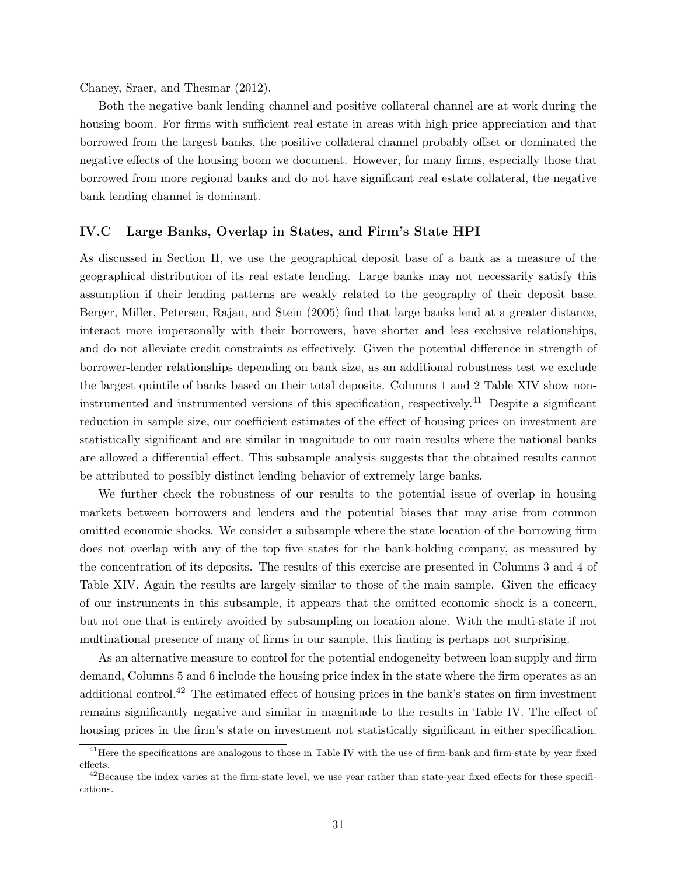Chaney, Sraer, and Thesmar (2012).

Both the negative bank lending channel and positive collateral channel are at work during the housing boom. For firms with sufficient real estate in areas with high price appreciation and that borrowed from the largest banks, the positive collateral channel probably offset or dominated the negative effects of the housing boom we document. However, for many firms, especially those that borrowed from more regional banks and do not have significant real estate collateral, the negative bank lending channel is dominant.

# <span id="page-31-0"></span>IV.C Large Banks, Overlap in States, and Firm's State HPI

As discussed in Section [II,](#page-8-0) we use the geographical deposit base of a bank as a measure of the geographical distribution of its real estate lending. Large banks may not necessarily satisfy this assumption if their lending patterns are weakly related to the geography of their deposit base. Berger, Miller, Petersen, Rajan, and Stein (2005) find that large banks lend at a greater distance, interact more impersonally with their borrowers, have shorter and less exclusive relationships, and do not alleviate credit constraints as effectively. Given the potential difference in strength of borrower-lender relationships depending on bank size, as an additional robustness test we exclude the largest quintile of banks based on their total deposits. Columns 1 and 2 Table [XIV](#page-54-0) show noninstrumented and instrumented versions of this specification, respectively.[41](#page-0-0) Despite a significant reduction in sample size, our coefficient estimates of the effect of housing prices on investment are statistically significant and are similar in magnitude to our main results where the national banks are allowed a differential effect. This subsample analysis suggests that the obtained results cannot be attributed to possibly distinct lending behavior of extremely large banks.

We further check the robustness of our results to the potential issue of overlap in housing markets between borrowers and lenders and the potential biases that may arise from common omitted economic shocks. We consider a subsample where the state location of the borrowing firm does not overlap with any of the top five states for the bank-holding company, as measured by the concentration of its deposits. The results of this exercise are presented in Columns 3 and 4 of Table [XIV.](#page-54-0) Again the results are largely similar to those of the main sample. Given the efficacy of our instruments in this subsample, it appears that the omitted economic shock is a concern, but not one that is entirely avoided by subsampling on location alone. With the multi-state if not multinational presence of many of firms in our sample, this finding is perhaps not surprising.

As an alternative measure to control for the potential endogeneity between loan supply and firm demand, Columns 5 and 6 include the housing price index in the state where the firm operates as an additional control.[42](#page-0-0) The estimated effect of housing prices in the bank's states on firm investment remains significantly negative and similar in magnitude to the results in Table [IV.](#page-43-0) The effect of housing prices in the firm's state on investment not statistically significant in either specification.

<sup>&</sup>lt;sup>41</sup>Here the specifications are analogous to those in Table [IV](#page-43-0) with the use of firm-bank and firm-state by year fixed effects.

 $42$ Because the index varies at the firm-state level, we use year rather than state-year fixed effects for these specifications.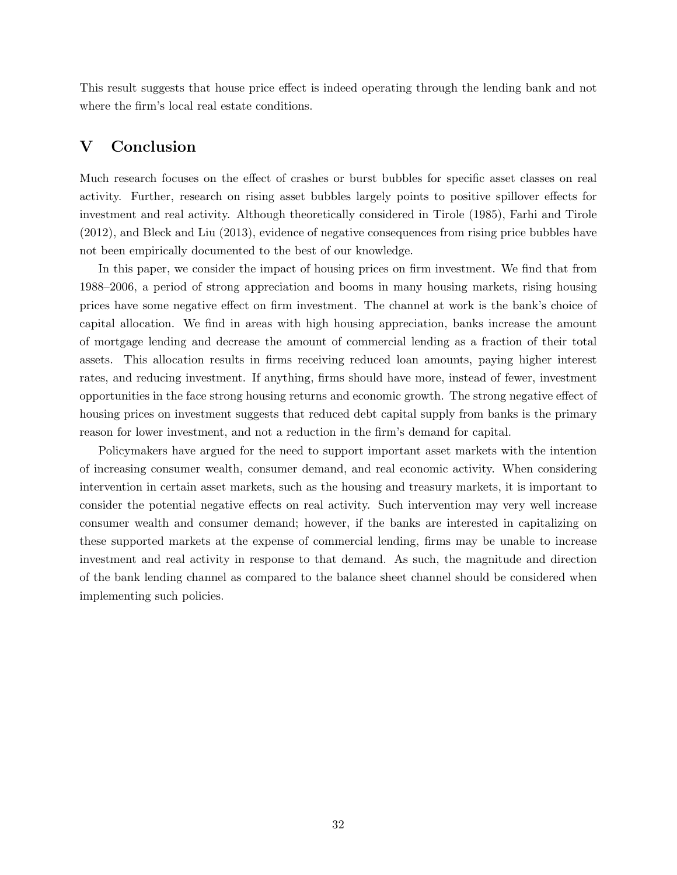This result suggests that house price effect is indeed operating through the lending bank and not where the firm's local real estate conditions.

# <span id="page-32-0"></span>V Conclusion

Much research focuses on the effect of crashes or burst bubbles for specific asset classes on real activity. Further, research on rising asset bubbles largely points to positive spillover effects for investment and real activity. Although theoretically considered in Tirole (1985), Farhi and Tirole (2012), and Bleck and Liu (2013), evidence of negative consequences from rising price bubbles have not been empirically documented to the best of our knowledge.

In this paper, we consider the impact of housing prices on firm investment. We find that from 1988–2006, a period of strong appreciation and booms in many housing markets, rising housing prices have some negative effect on firm investment. The channel at work is the bank's choice of capital allocation. We find in areas with high housing appreciation, banks increase the amount of mortgage lending and decrease the amount of commercial lending as a fraction of their total assets. This allocation results in firms receiving reduced loan amounts, paying higher interest rates, and reducing investment. If anything, firms should have more, instead of fewer, investment opportunities in the face strong housing returns and economic growth. The strong negative effect of housing prices on investment suggests that reduced debt capital supply from banks is the primary reason for lower investment, and not a reduction in the firm's demand for capital.

Policymakers have argued for the need to support important asset markets with the intention of increasing consumer wealth, consumer demand, and real economic activity. When considering intervention in certain asset markets, such as the housing and treasury markets, it is important to consider the potential negative effects on real activity. Such intervention may very well increase consumer wealth and consumer demand; however, if the banks are interested in capitalizing on these supported markets at the expense of commercial lending, firms may be unable to increase investment and real activity in response to that demand. As such, the magnitude and direction of the bank lending channel as compared to the balance sheet channel should be considered when implementing such policies.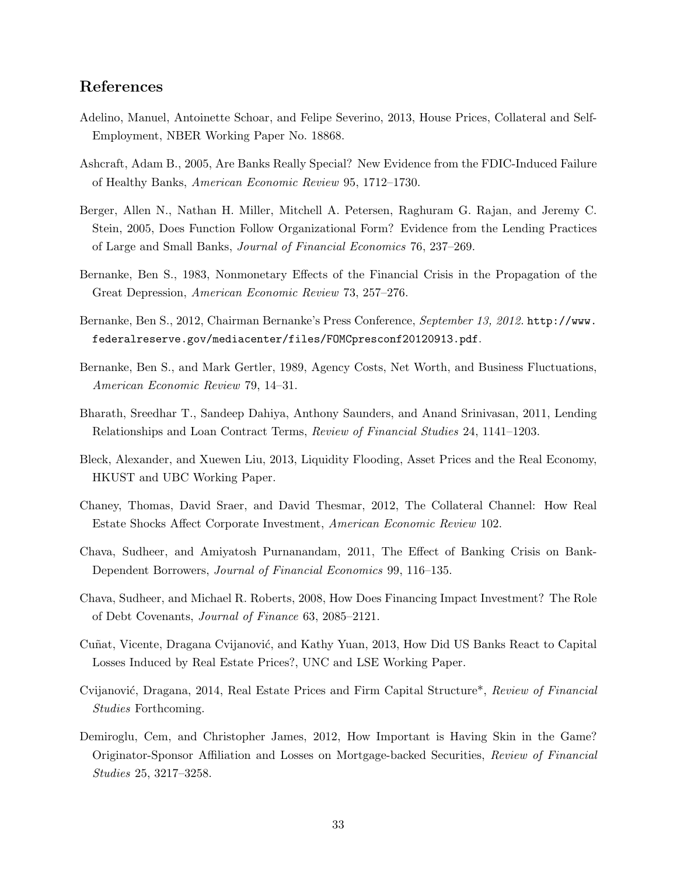# References

- Adelino, Manuel, Antoinette Schoar, and Felipe Severino, 2013, House Prices, Collateral and Self-Employment, NBER Working Paper No. 18868.
- Ashcraft, Adam B., 2005, Are Banks Really Special? New Evidence from the FDIC-Induced Failure of Healthy Banks, American Economic Review 95, 1712–1730.
- Berger, Allen N., Nathan H. Miller, Mitchell A. Petersen, Raghuram G. Rajan, and Jeremy C. Stein, 2005, Does Function Follow Organizational Form? Evidence from the Lending Practices of Large and Small Banks, Journal of Financial Economics 76, 237–269.
- Bernanke, Ben S., 1983, Nonmonetary Effects of the Financial Crisis in the Propagation of the Great Depression, American Economic Review 73, 257–276.
- Bernanke, Ben S., 2012, Chairman Bernanke's Press Conference, September 13, 2012. [http://www.](http://www.federalreserve.gov/mediacenter/files/FOMCpresconf20120913.pdf) [federalreserve.gov/mediacenter/files/FOMCpresconf20120913.pdf](http://www.federalreserve.gov/mediacenter/files/FOMCpresconf20120913.pdf).
- Bernanke, Ben S., and Mark Gertler, 1989, Agency Costs, Net Worth, and Business Fluctuations, American Economic Review 79, 14–31.
- Bharath, Sreedhar T., Sandeep Dahiya, Anthony Saunders, and Anand Srinivasan, 2011, Lending Relationships and Loan Contract Terms, Review of Financial Studies 24, 1141–1203.
- Bleck, Alexander, and Xuewen Liu, 2013, Liquidity Flooding, Asset Prices and the Real Economy, HKUST and UBC Working Paper.
- Chaney, Thomas, David Sraer, and David Thesmar, 2012, The Collateral Channel: How Real Estate Shocks Affect Corporate Investment, American Economic Review 102.
- Chava, Sudheer, and Amiyatosh Purnanandam, 2011, The Effect of Banking Crisis on Bank-Dependent Borrowers, Journal of Financial Economics 99, 116–135.
- Chava, Sudheer, and Michael R. Roberts, 2008, How Does Financing Impact Investment? The Role of Debt Covenants, Journal of Finance 63, 2085–2121.
- Cuñat, Vicente, Dragana Cvijanović, and Kathy Yuan, 2013, How Did US Banks React to Capital Losses Induced by Real Estate Prices?, UNC and LSE Working Paper.
- Cvijanović, Dragana, 2014, Real Estate Prices and Firm Capital Structure\*, Review of Financial Studies Forthcoming.
- Demiroglu, Cem, and Christopher James, 2012, How Important is Having Skin in the Game? Originator-Sponsor Affiliation and Losses on Mortgage-backed Securities, Review of Financial Studies 25, 3217–3258.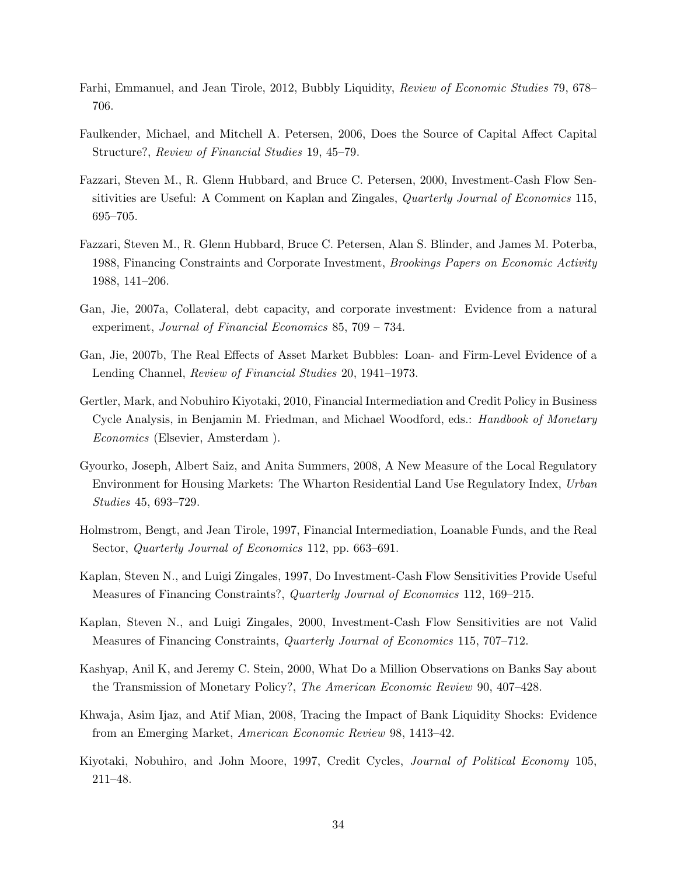- Farhi, Emmanuel, and Jean Tirole, 2012, Bubbly Liquidity, Review of Economic Studies 79, 678– 706.
- Faulkender, Michael, and Mitchell A. Petersen, 2006, Does the Source of Capital Affect Capital Structure?, Review of Financial Studies 19, 45–79.
- Fazzari, Steven M., R. Glenn Hubbard, and Bruce C. Petersen, 2000, Investment-Cash Flow Sensitivities are Useful: A Comment on Kaplan and Zingales, *Quarterly Journal of Economics* 115, 695–705.
- Fazzari, Steven M., R. Glenn Hubbard, Bruce C. Petersen, Alan S. Blinder, and James M. Poterba, 1988, Financing Constraints and Corporate Investment, Brookings Papers on Economic Activity 1988, 141–206.
- Gan, Jie, 2007a, Collateral, debt capacity, and corporate investment: Evidence from a natural experiment, Journal of Financial Economics 85, 709 – 734.
- Gan, Jie, 2007b, The Real Effects of Asset Market Bubbles: Loan- and Firm-Level Evidence of a Lending Channel, Review of Financial Studies 20, 1941–1973.
- Gertler, Mark, and Nobuhiro Kiyotaki, 2010, Financial Intermediation and Credit Policy in Business Cycle Analysis, in Benjamin M. Friedman, and Michael Woodford, eds.: *Handbook of Monetary* Economics (Elsevier, Amsterdam ).
- Gyourko, Joseph, Albert Saiz, and Anita Summers, 2008, A New Measure of the Local Regulatory Environment for Housing Markets: The Wharton Residential Land Use Regulatory Index, Urban Studies 45, 693–729.
- Holmstrom, Bengt, and Jean Tirole, 1997, Financial Intermediation, Loanable Funds, and the Real Sector, *Quarterly Journal of Economics* 112, pp. 663–691.
- Kaplan, Steven N., and Luigi Zingales, 1997, Do Investment-Cash Flow Sensitivities Provide Useful Measures of Financing Constraints?, Quarterly Journal of Economics 112, 169–215.
- Kaplan, Steven N., and Luigi Zingales, 2000, Investment-Cash Flow Sensitivities are not Valid Measures of Financing Constraints, Quarterly Journal of Economics 115, 707–712.
- Kashyap, Anil K, and Jeremy C. Stein, 2000, What Do a Million Observations on Banks Say about the Transmission of Monetary Policy?, The American Economic Review 90, 407–428.
- Khwaja, Asim Ijaz, and Atif Mian, 2008, Tracing the Impact of Bank Liquidity Shocks: Evidence from an Emerging Market, American Economic Review 98, 1413–42.
- Kiyotaki, Nobuhiro, and John Moore, 1997, Credit Cycles, Journal of Political Economy 105, 211–48.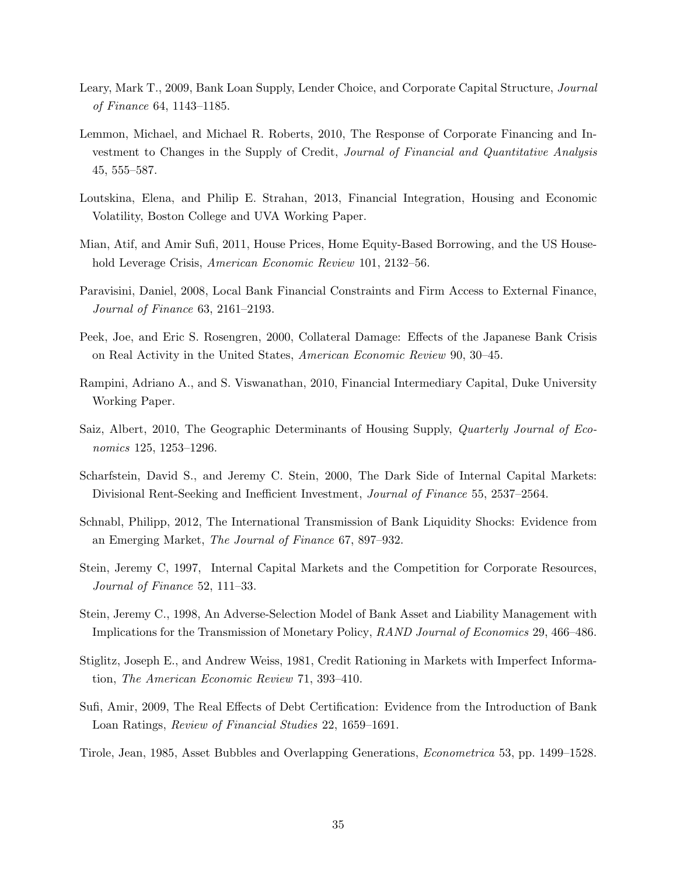- Leary, Mark T., 2009, Bank Loan Supply, Lender Choice, and Corporate Capital Structure, Journal of Finance 64, 1143–1185.
- Lemmon, Michael, and Michael R. Roberts, 2010, The Response of Corporate Financing and Investment to Changes in the Supply of Credit, Journal of Financial and Quantitative Analysis 45, 555–587.
- Loutskina, Elena, and Philip E. Strahan, 2013, Financial Integration, Housing and Economic Volatility, Boston College and UVA Working Paper.
- Mian, Atif, and Amir Sufi, 2011, House Prices, Home Equity-Based Borrowing, and the US Household Leverage Crisis, American Economic Review 101, 2132–56.
- Paravisini, Daniel, 2008, Local Bank Financial Constraints and Firm Access to External Finance, Journal of Finance 63, 2161–2193.
- Peek, Joe, and Eric S. Rosengren, 2000, Collateral Damage: Effects of the Japanese Bank Crisis on Real Activity in the United States, American Economic Review 90, 30–45.
- Rampini, Adriano A., and S. Viswanathan, 2010, Financial Intermediary Capital, Duke University Working Paper.
- Saiz, Albert, 2010, The Geographic Determinants of Housing Supply, *Quarterly Journal of Eco*nomics 125, 1253–1296.
- Scharfstein, David S., and Jeremy C. Stein, 2000, The Dark Side of Internal Capital Markets: Divisional Rent-Seeking and Inefficient Investment, Journal of Finance 55, 2537–2564.
- Schnabl, Philipp, 2012, The International Transmission of Bank Liquidity Shocks: Evidence from an Emerging Market, The Journal of Finance 67, 897–932.
- Stein, Jeremy C, 1997, Internal Capital Markets and the Competition for Corporate Resources, Journal of Finance 52, 111–33.
- Stein, Jeremy C., 1998, An Adverse-Selection Model of Bank Asset and Liability Management with Implications for the Transmission of Monetary Policy, RAND Journal of Economics 29, 466–486.
- Stiglitz, Joseph E., and Andrew Weiss, 1981, Credit Rationing in Markets with Imperfect Information, The American Economic Review 71, 393–410.
- Sufi, Amir, 2009, The Real Effects of Debt Certification: Evidence from the Introduction of Bank Loan Ratings, Review of Financial Studies 22, 1659–1691.
- Tirole, Jean, 1985, Asset Bubbles and Overlapping Generations, Econometrica 53, pp. 1499–1528.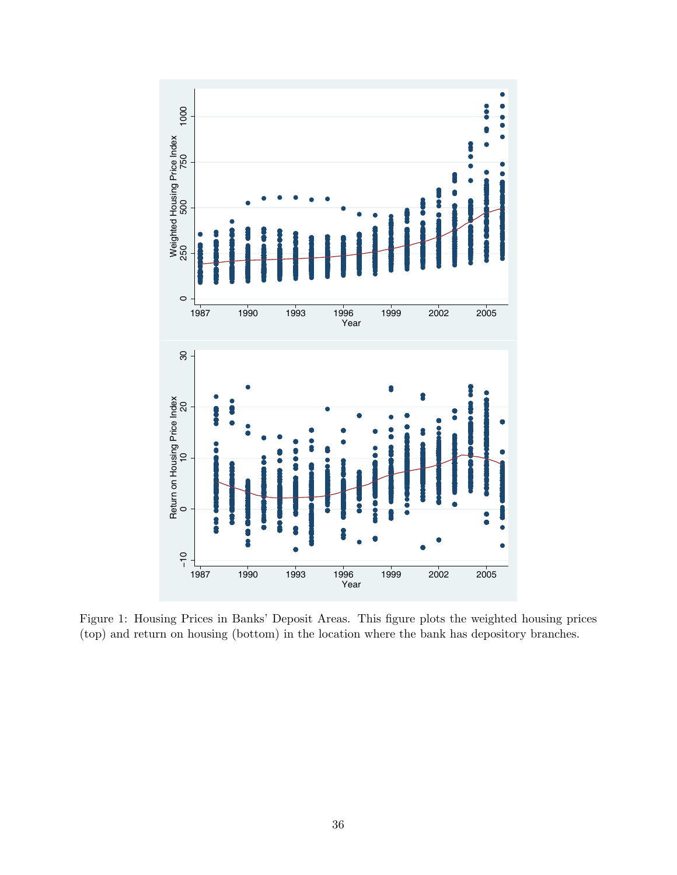<span id="page-36-0"></span>

Figure 1: Housing Prices in Banks' Deposit Areas. This figure plots the weighted housing prices (top) and return on housing (bottom) in the location where the bank has depository branches.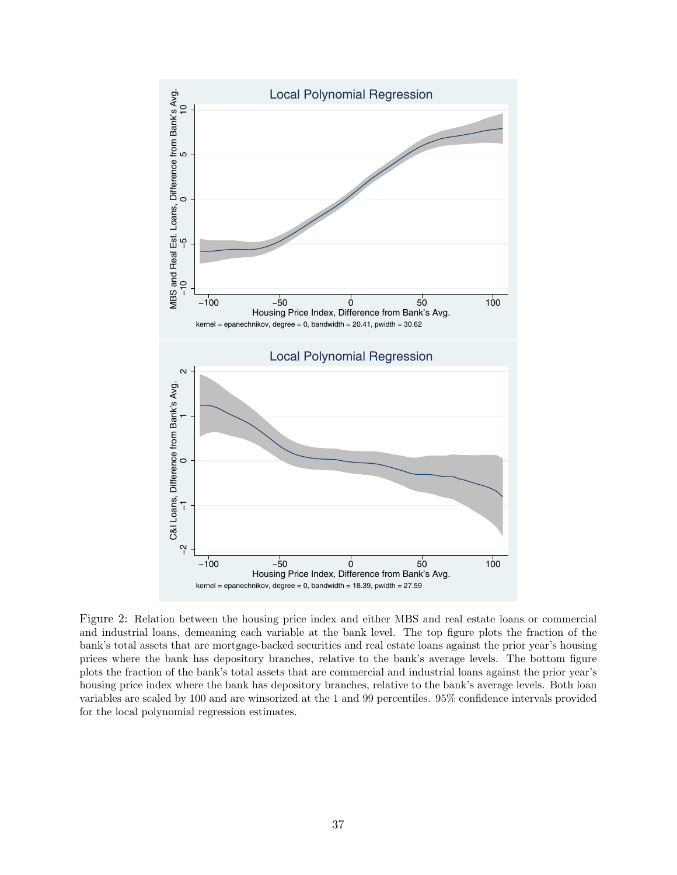<span id="page-37-0"></span>

Figure 2: Relation between the housing price index and either MBS and real estate loans or commercial and industrial loans, demeaning each variable at the bank level. The top figure plots the fraction of the bank's total assets that are mortgage-backed securities and real estate loans against the prior year's housing prices where the bank has depository branches, relative to the bank's average levels. The bottom figure plots the fraction of the bank's total assets that are commercial and industrial loans against the prior year's housing price index where the bank has depository branches, relative to the bank's average levels. Both loan variables are scaled by 100 and are winsorized at the 1 and 99 percentiles. 95% confidence intervals provided for the local polynomial regression estimates.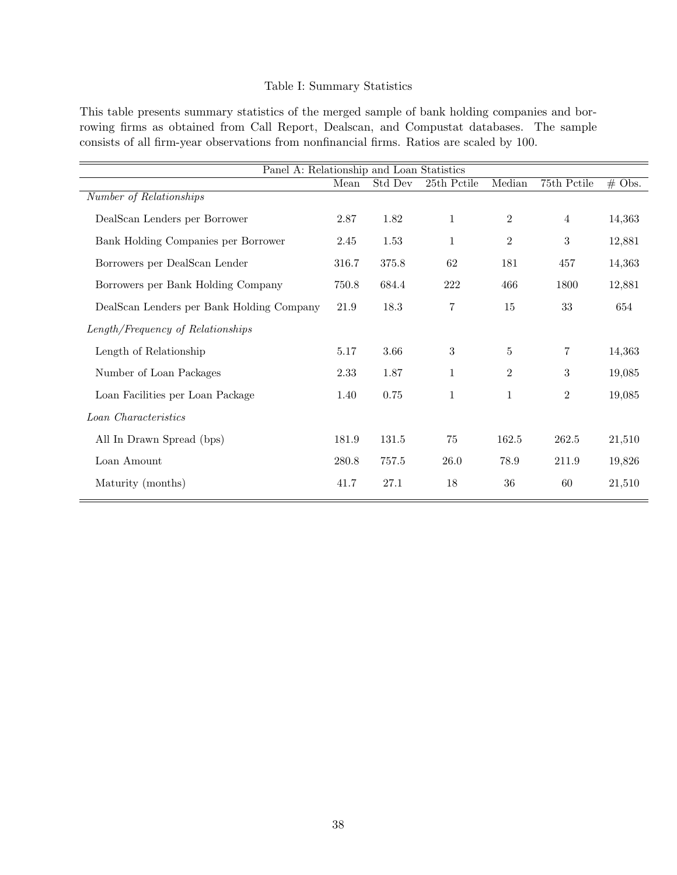# Table I: Summary Statistics

<span id="page-38-0"></span>This table presents summary statistics of the merged sample of bank holding companies and borrowing firms as obtained from Call Report, Dealscan, and Compustat databases. The sample consists of all firm-year observations from nonfinancial firms. Ratios are scaled by 100.

| Panel A: Relationship and Loan Statistics |       |         |                |                |                |          |
|-------------------------------------------|-------|---------|----------------|----------------|----------------|----------|
|                                           | Mean  | Std Dev | 25th Pctile    | Median         | 75th Pctile    | $#$ Obs. |
| Number of Relationships                   |       |         |                |                |                |          |
| DealScan Lenders per Borrower             | 2.87  | 1.82    | $\mathbf{1}$   | $\overline{2}$ | $\overline{4}$ | 14,363   |
| Bank Holding Companies per Borrower       | 2.45  | 1.53    | $\mathbf{1}$   | $\mathbf{2}$   | 3              | 12,881   |
| Borrowers per DealScan Lender             | 316.7 | 375.8   | 62             | 181            | 457            | 14,363   |
| Borrowers per Bank Holding Company        | 750.8 | 684.4   | 222            | 466            | 1800           | 12,881   |
| DealScan Lenders per Bank Holding Company | 21.9  | 18.3    | $\overline{7}$ | 15             | 33             | 654      |
| Length/Frequency of Relationships         |       |         |                |                |                |          |
| Length of Relationship                    | 5.17  | 3.66    | 3              | $\bf 5$        | 7              | 14,363   |
| Number of Loan Packages                   | 2.33  | 1.87    | $\mathbf{1}$   | $\mathbf{2}$   | 3              | 19,085   |
| Loan Facilities per Loan Package          | 1.40  | 0.75    | $\mathbf{1}$   | $\mathbf{1}$   | $\overline{2}$ | 19,085   |
| Loan Characteristics                      |       |         |                |                |                |          |
| All In Drawn Spread (bps)                 | 181.9 | 131.5   | 75             | 162.5          | 262.5          | 21,510   |
| Loan Amount                               | 280.8 | 757.5   | 26.0           | 78.9           | 211.9          | 19,826   |
| Maturity (months)                         | 41.7  | 27.1    | 18             | 36             | 60             | 21,510   |
|                                           |       |         |                |                |                |          |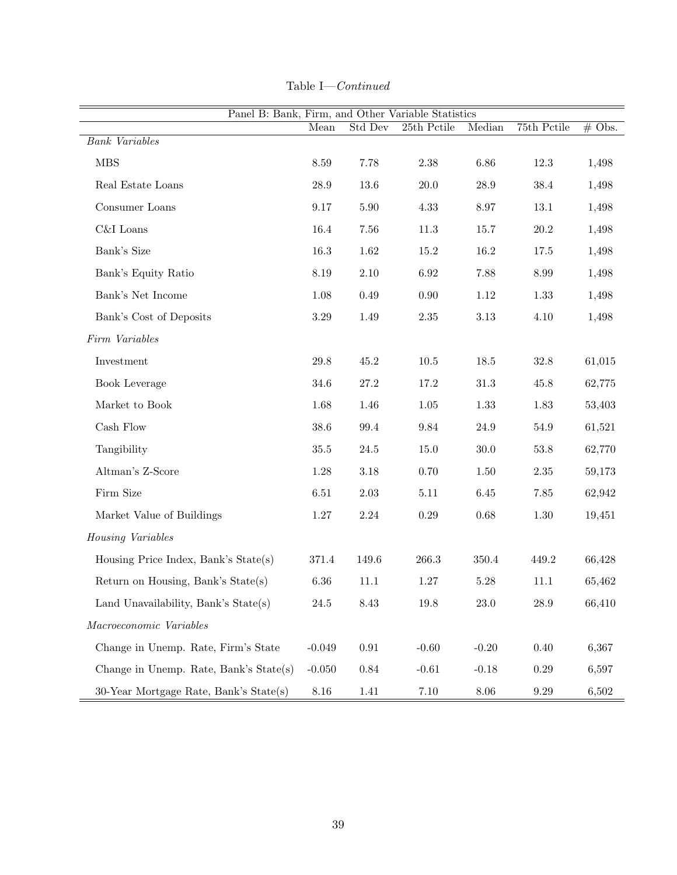| Panel B: Bank, Firm, and Other Variable Statistics |          |            |                     |          |             |          |
|----------------------------------------------------|----------|------------|---------------------|----------|-------------|----------|
|                                                    | Mean     | Std Dev    | 25th Pctile         | Median   | 75th Pctile | $#$ Obs. |
| <b>Bank</b> Variables                              |          |            |                     |          |             |          |
| <b>MBS</b>                                         | 8.59     | 7.78       | 2.38                | 6.86     | 12.3        | 1,498    |
| Real Estate Loans                                  | $28.9\,$ | 13.6       | $20.0\,$            | 28.9     | 38.4        | 1,498    |
| Consumer Loans                                     | $9.17\,$ | 5.90       | 4.33                | 8.97     | 13.1        | 1,498    |
| C&I Loans                                          | 16.4     | 7.56       | 11.3                | 15.7     | $20.2\,$    | 1,498    |
| Bank's Size                                        | 16.3     | 1.62       | 15.2                | 16.2     | 17.5        | 1,498    |
| Bank's Equity Ratio                                | $8.19\,$ | $2.10\,$   | 6.92                | 7.88     | 8.99        | 1,498    |
| Bank's Net Income                                  | 1.08     | 0.49       | 0.90                | 1.12     | 1.33        | 1,498    |
| Bank's Cost of Deposits                            | $3.29\,$ | 1.49       | $2.35\,$            | $3.13\,$ | 4.10        | 1,498    |
| $Firm\ Variables$                                  |          |            |                     |          |             |          |
| Investment                                         | 29.8     | 45.2       | $10.5\,$            | 18.5     | $32.8\,$    | 61,015   |
| Book Leverage                                      | 34.6     | 27.2       | 17.2                | 31.3     | 45.8        | 62,775   |
| Market to Book                                     | 1.68     | 1.46       | $1.05\,$            | 1.33     | 1.83        | 53,403   |
| Cash Flow                                          | $38.6\,$ | 99.4       | $\boldsymbol{9.84}$ | $24.9\,$ | $54.9\,$    | 61,521   |
| Tangibility                                        | $35.5\,$ | 24.5       | 15.0                | $30.0\,$ | $53.8\,$    | 62,770   |
| Altman's Z-Score                                   | 1.28     | 3.18       | 0.70                | $1.50\,$ | $2.35\,$    | 59,173   |
| Firm Size                                          | 6.51     | 2.03       | $5.11$              | 6.45     | 7.85        | 62,942   |
| Market Value of Buildings                          | $1.27\,$ | $2.24\,$   | 0.29                | 0.68     | 1.30        | 19,451   |
| Housing Variables                                  |          |            |                     |          |             |          |
| Housing Price Index, Bank's State(s)               | 371.4    | 149.6      | 266.3               | 350.4    | 449.2       | 66,428   |
| Return on Housing, Bank's State(s)                 | $6.36\,$ | $11.1\,$   | $1.27\,$            | 5.28     | $11.1\,$    | 65,462   |
| Land Unavailability, Bank's $State(s)$             | 24.5     | 8.43       | 19.8                | $23.0\,$ | $28.9\,$    | 66,410   |
| Macroeconomic Variables                            |          |            |                     |          |             |          |
| Change in Unemp. Rate, Firm's State                | $-0.049$ | $\rm 0.91$ | $-0.60$             | $-0.20$  | 0.40        | 6,367    |
| Change in Unemp. Rate, Bank's State(s)             | $-0.050$ | 0.84       | $-0.61$             | $-0.18$  | 0.29        | 6,597    |
| 30-Year Mortgage Rate, Bank's State(s)             | 8.16     | 1.41       | $7.10\,$            | $8.06\,$ | 9.29        | 6,502    |

| Table I— | $\emph{Continued}$ |
|----------|--------------------|
|----------|--------------------|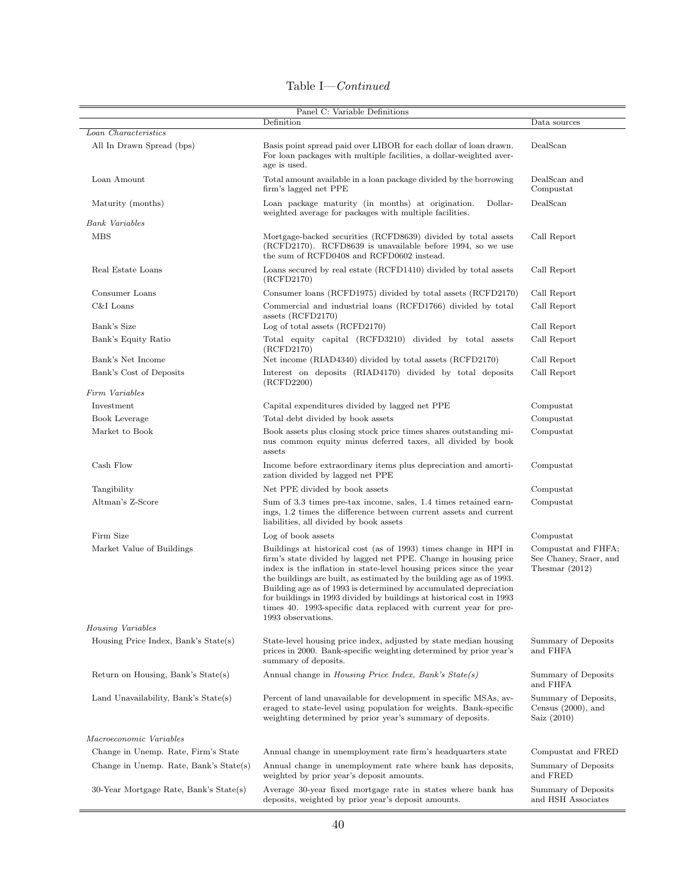| Table I- | $-Continued$ |
|----------|--------------|
|          |              |

|                                        | Panel C: Variable Definitions                                                                                                                                                                                                                                                                                                                                                                                                                                                                                               |                                                                   |
|----------------------------------------|-----------------------------------------------------------------------------------------------------------------------------------------------------------------------------------------------------------------------------------------------------------------------------------------------------------------------------------------------------------------------------------------------------------------------------------------------------------------------------------------------------------------------------|-------------------------------------------------------------------|
|                                        | Definition                                                                                                                                                                                                                                                                                                                                                                                                                                                                                                                  | Data sources                                                      |
| Loan Characteristics                   |                                                                                                                                                                                                                                                                                                                                                                                                                                                                                                                             |                                                                   |
| All In Drawn Spread (bps)              | Basis point spread paid over LIBOR for each dollar of loan drawn.<br>For loan packages with multiple facilities, a dollar-weighted aver-<br>age is used.                                                                                                                                                                                                                                                                                                                                                                    | DealScan                                                          |
| Loan Amount                            | Total amount available in a loan package divided by the borrowing<br>firm's lagged net PPE                                                                                                                                                                                                                                                                                                                                                                                                                                  | DealScan and<br>Compustat                                         |
| Maturity (months)                      | Loan package maturity (in months) at origination.<br>Dollar-<br>weighted average for packages with multiple facilities.                                                                                                                                                                                                                                                                                                                                                                                                     | DealScan                                                          |
| <b>Bank</b> Variables                  |                                                                                                                                                                                                                                                                                                                                                                                                                                                                                                                             |                                                                   |
| <b>MBS</b>                             | Mortgage-backed securities (RCFD8639) divided by total assets<br>(RCFD2170). RCFD8639 is unavailable before 1994, so we use<br>the sum of RCFD0408 and RCFD0602 instead.                                                                                                                                                                                                                                                                                                                                                    | Call Report                                                       |
| Real Estate Loans                      | Loans secured by real estate (RCFD1410) divided by total assets<br>(RCFD2170)                                                                                                                                                                                                                                                                                                                                                                                                                                               | Call Report                                                       |
| Consumer Loans                         | Consumer loans (RCFD1975) divided by total assets (RCFD2170)                                                                                                                                                                                                                                                                                                                                                                                                                                                                | Call Report                                                       |
| C&I Loans                              | Commercial and industrial loans (RCFD1766) divided by total<br>assets (RCFD2170)                                                                                                                                                                                                                                                                                                                                                                                                                                            | Call Report                                                       |
| Bank's Size                            | Log of total assets (RCFD2170)                                                                                                                                                                                                                                                                                                                                                                                                                                                                                              | Call Report                                                       |
| Bank's Equity Ratio                    | Total equity capital (RCFD3210) divided by total assets<br>(RCFD2170)                                                                                                                                                                                                                                                                                                                                                                                                                                                       | Call Report                                                       |
| Bank's Net Income                      | Net income (RIAD4340) divided by total assets (RCFD2170)                                                                                                                                                                                                                                                                                                                                                                                                                                                                    | Call Report                                                       |
| Bank's Cost of Deposits                | Interest on deposits (RIAD4170) divided by total deposits<br>(RCFD2200)                                                                                                                                                                                                                                                                                                                                                                                                                                                     | Call Report                                                       |
| Firm Variables                         |                                                                                                                                                                                                                                                                                                                                                                                                                                                                                                                             |                                                                   |
| Investment                             | Capital expenditures divided by lagged net PPE                                                                                                                                                                                                                                                                                                                                                                                                                                                                              | Compustat                                                         |
| Book Leverage                          | Total debt divided by book assets                                                                                                                                                                                                                                                                                                                                                                                                                                                                                           | Compustat                                                         |
| Market to Book                         | Book assets plus closing stock price times shares outstanding mi-<br>nus common equity minus deferred taxes, all divided by book<br>assets                                                                                                                                                                                                                                                                                                                                                                                  | Compustat                                                         |
| Cash Flow                              | Income before extraordinary items plus depreciation and amorti-<br>zation divided by lagged net PPE                                                                                                                                                                                                                                                                                                                                                                                                                         | Compustat                                                         |
| Tangibility                            | Net PPE divided by book assets                                                                                                                                                                                                                                                                                                                                                                                                                                                                                              | Compustat                                                         |
| Altman's Z-Score                       | Sum of 3.3 times pre-tax income, sales, 1.4 times retained earn-<br>ings, 1.2 times the difference between current assets and current<br>liabilities, all divided by book assets                                                                                                                                                                                                                                                                                                                                            | Compustat                                                         |
| Firm Size                              | Log of book assets                                                                                                                                                                                                                                                                                                                                                                                                                                                                                                          | Compustat                                                         |
| Market Value of Buildings              | Buildings at historical cost (as of 1993) times change in HPI in<br>firm's state divided by lagged net PPE. Change in housing price<br>index is the inflation in state-level housing prices since the year<br>the buildings are built, as estimated by the building age as of 1993.<br>Building age as of 1993 is determined by accumulated depreciation<br>for buildings in 1993 divided by buildings at historical cost in 1993<br>times 40. 1993-specific data replaced with current year for pre-<br>1993 observations. | Compustat and FHFA;<br>See Chaney, Sraer, and<br>Thesmar $(2012)$ |
| Housing Variables                      |                                                                                                                                                                                                                                                                                                                                                                                                                                                                                                                             |                                                                   |
| Housing Price Index, Bank's State(s)   | State-level housing price index, adjusted by state median housing<br>prices in 2000. Bank-specific weighting determined by prior year's<br>summary of deposits.                                                                                                                                                                                                                                                                                                                                                             | Summary of Deposits<br>and FHFA                                   |
| Return on Housing, Bank's State(s)     | Annual change in <i>Housing Price Index</i> , <i>Bank's State(s)</i>                                                                                                                                                                                                                                                                                                                                                                                                                                                        | Summary of Deposits<br>and FHFA                                   |
| Land Unavailability, Bank's State(s)   | Percent of land unavailable for development in specific MSAs, av-<br>eraged to state-level using population for weights. Bank-specific<br>weighting determined by prior year's summary of deposits.                                                                                                                                                                                                                                                                                                                         | Summary of Deposits,<br>Census $(2000)$ , and<br>Saiz $(2010)$    |
| Macroeconomic Variables                |                                                                                                                                                                                                                                                                                                                                                                                                                                                                                                                             |                                                                   |
| Change in Unemp. Rate, Firm's State    | Annual change in unemployment rate firm's headquarters state                                                                                                                                                                                                                                                                                                                                                                                                                                                                | Compustat and FRED                                                |
| Change in Unemp. Rate, Bank's State(s) | Annual change in unemployment rate where bank has deposits,<br>weighted by prior year's deposit amounts.                                                                                                                                                                                                                                                                                                                                                                                                                    | Summary of Deposits<br>and FRED                                   |
| 30-Year Mortgage Rate, Bank's State(s) | Average 30-year fixed mortgage rate in states where bank has<br>deposits, weighted by prior year's deposit amounts.                                                                                                                                                                                                                                                                                                                                                                                                         | Summary of Deposits<br>and HSH Associates                         |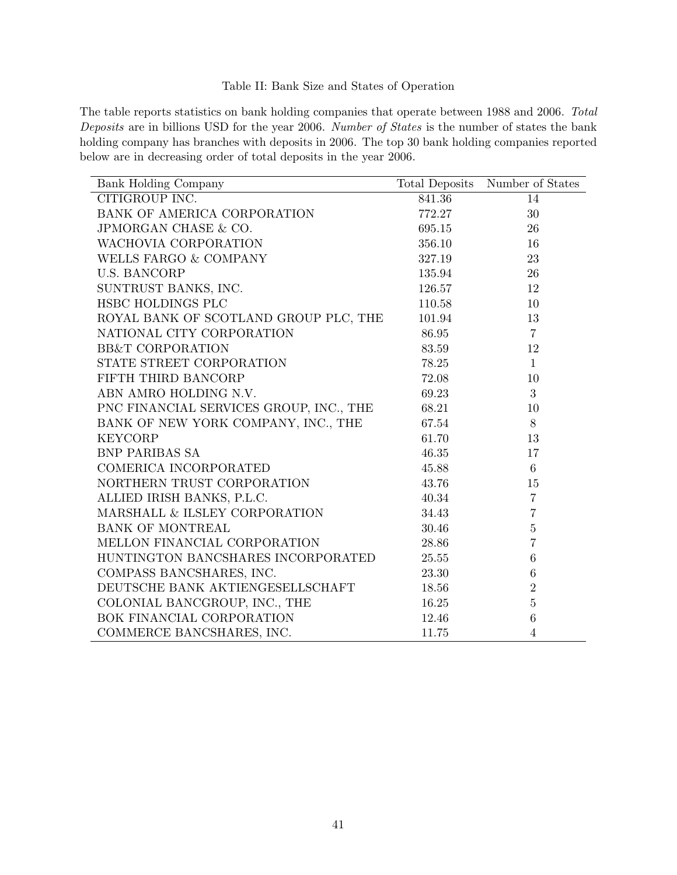# Table II: Bank Size and States of Operation

<span id="page-41-0"></span>The table reports statistics on bank holding companies that operate between 1988 and 2006. Total Deposits are in billions USD for the year 2006. Number of States is the number of states the bank holding company has branches with deposits in 2006. The top 30 bank holding companies reported below are in decreasing order of total deposits in the year 2006.

| <b>Bank Holding Company</b>             |        | Total Deposits Number of States |
|-----------------------------------------|--------|---------------------------------|
| CITIGROUP INC.                          | 841.36 | 14                              |
| BANK OF AMERICA CORPORATION             | 772.27 | 30                              |
| JPMORGAN CHASE & CO.                    | 695.15 | 26                              |
| WACHOVIA CORPORATION                    | 356.10 | 16                              |
| WELLS FARGO & COMPANY                   | 327.19 | 23                              |
| <b>U.S. BANCORP</b>                     | 135.94 | 26                              |
| SUNTRUST BANKS, INC.                    | 126.57 | 12                              |
| HSBC HOLDINGS PLC                       | 110.58 | 10                              |
| ROYAL BANK OF SCOTLAND GROUP PLC, THE   | 101.94 | 13                              |
| NATIONAL CITY CORPORATION               | 86.95  | $\overline{7}$                  |
| <b>BB&amp;T CORPORATION</b>             | 83.59  | 12                              |
| STATE STREET CORPORATION                | 78.25  | $\mathbf{1}$                    |
| FIFTH THIRD BANCORP                     | 72.08  | 10                              |
| ABN AMRO HOLDING N.V.                   | 69.23  | $\mathbf{3}$                    |
| PNC FINANCIAL SERVICES GROUP, INC., THE | 68.21  | 10                              |
| BANK OF NEW YORK COMPANY, INC., THE     | 67.54  | $8\,$                           |
| <b>KEYCORP</b>                          | 61.70  | 13                              |
| <b>BNP PARIBAS SA</b>                   | 46.35  | 17                              |
| COMERICA INCORPORATED                   | 45.88  | 6                               |
| NORTHERN TRUST CORPORATION              | 43.76  | 15                              |
| ALLIED IRISH BANKS, P.L.C.              | 40.34  | $\overline{7}$                  |
| MARSHALL & ILSLEY CORPORATION           | 34.43  | $\overline{7}$                  |
| BANK OF MONTREAL                        | 30.46  | $\overline{5}$                  |
| MELLON FINANCIAL CORPORATION            | 28.86  | $\overline{7}$                  |
| HUNTINGTON BANCSHARES INCORPORATED      | 25.55  | 6                               |
| COMPASS BANCSHARES, INC.                | 23.30  | $\,6$                           |
| DEUTSCHE BANK AKTIENGESELLSCHAFT        | 18.56  | $\overline{2}$                  |
| COLONIAL BANCGROUP, INC., THE           | 16.25  | $\overline{5}$                  |
| BOK FINANCIAL CORPORATION               | 12.46  | $\,6$                           |
| COMMERCE BANCSHARES, INC.               | 11.75  | $\overline{4}$                  |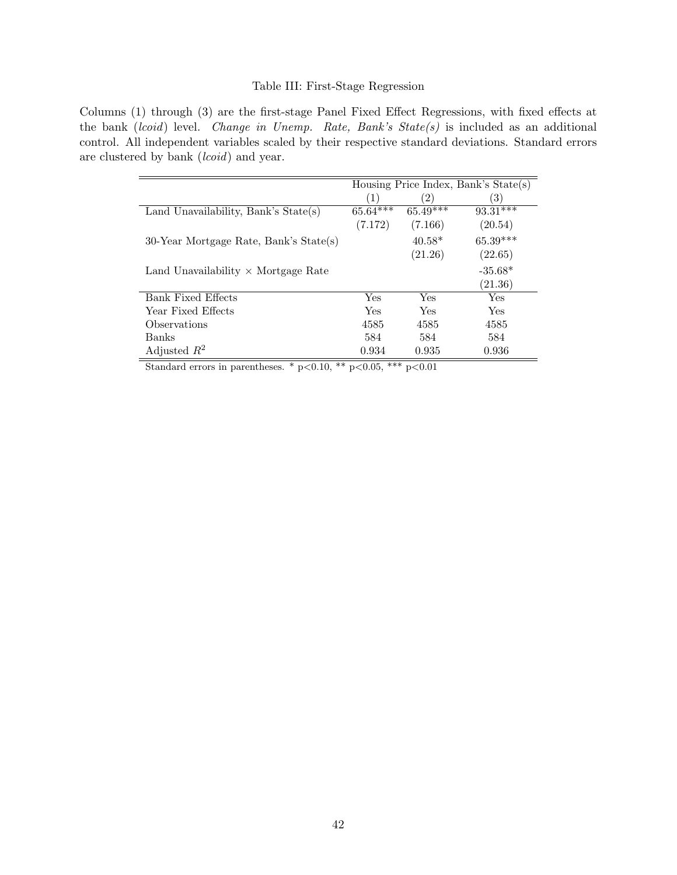# Table III: First-Stage Regression

<span id="page-42-0"></span>Columns (1) through (3) are the first-stage Panel Fixed Effect Regressions, with fixed effects at the bank (lcoid) level. Change in Unemp. Rate, Bank's  $State(s)$  is included as an additional control. All independent variables scaled by their respective standard deviations. Standard errors are clustered by bank (*lcoid*) and year.

|                                            | Housing Price Index, Bank's State(s) |            |            |
|--------------------------------------------|--------------------------------------|------------|------------|
|                                            | (1)                                  | $^{'}2)$   | 3)         |
| Land Unavailability, Bank's $State(s)$     | $65.64***$                           | $65.49***$ | $93.31***$ |
|                                            | (7.172)                              | (7.166)    | (20.54)    |
| 30-Year Mortgage Rate, Bank's State(s)     |                                      | $40.58*$   | 65.39***   |
|                                            |                                      | (21.26)    | (22.65)    |
| Land Unavailability $\times$ Mortgage Rate |                                      |            | $-35.68*$  |
|                                            |                                      |            | (21.36)    |
| Bank Fixed Effects                         | Yes                                  | Yes        | Yes        |
| Year Fixed Effects                         | Yes                                  | Yes        | <b>Yes</b> |
| Observations                               | 4585                                 | 4585       | 4585       |
| Banks                                      | 584                                  | 584        | 584        |
| Adjusted $R^2$                             | 0.934                                | 0.935      | 0.936      |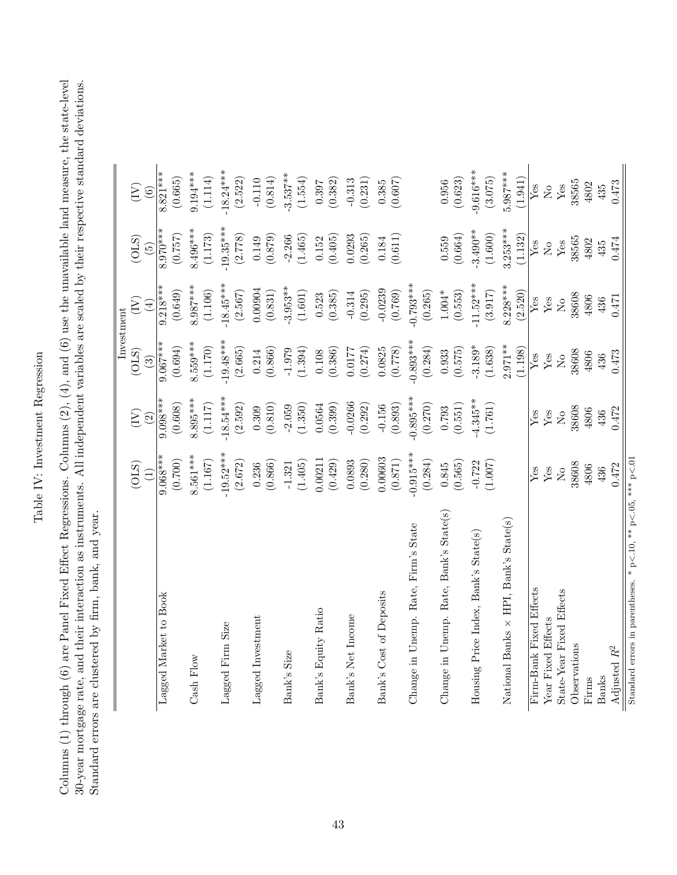# Table IV: Investment Regression Table IV: Investment Regression

<span id="page-43-0"></span>Columns (1) through (6) are Panel Fixed Effect Regressions. Columns (2), (4), and (6) use the unavailable land measure, the state-level 30-year mortgage rate, and their interaction as instruments. All independent variables are scaled by their respective standard deviations. Columns (1) through (6) are Panel Fixed Effect Regressions. Columns (2), (4), and (6) use the unavailable land measure, the state-level 30-year mortgage rate, and their interaction as instruments. All independent variables are scaled by their respective standard deviations. Standard errors are clustered by firm, bank, and year. Standard errors are clustered by firm, bank, and year.

|                                                              |             |                                   |               | Investment           |                           |                                     |
|--------------------------------------------------------------|-------------|-----------------------------------|---------------|----------------------|---------------------------|-------------------------------------|
|                                                              | (OLS)       | $\left(\sum_{i=1}^{n} a_i\right)$ | (OLS)         | (Y)                  | (OLS)                     | $\left( \sum_{i=1}^{n} a_i \right)$ |
|                                                              |             | $\widehat{c}$                     | $\widehat{S}$ | $\bigoplus$          | $\widetilde{5}$           | $\widehat{6}$                       |
| Lagged Market to Book                                        | $9.068***$  | $9.098***$                        | $9.067***$    | $9.218***$           | $8.970***$                | $8.821***$                          |
|                                                              | (0.700)     | (0.608)                           | (0.694)       | (0.649)              | (0.757)                   | (0.665)                             |
| Cash Flow                                                    | $8.561***$  | 8.895***                          | $3.559***$    | $8.987***$           | 8.496***                  | $9.194***$                          |
|                                                              | (1.167)     | (1.117)                           | (1.170)       | (1.106)              | (1.173)                   | (1.114)                             |
| Lagged Firm Size                                             | $-19.52***$ | $-18.54***$                       | $-19.48***$   | $-18.45***$          | $-19.35***$               | $-18.24***$                         |
|                                                              | (2.672)     | (2.592)                           | (2.665)       | (2.567)              | (2.778)                   | (2.522)                             |
| Lagged Investment                                            | 0.236       | 0.309                             | 0.214         | 0.00904              | 0.149                     | $-0.110$                            |
|                                                              | (0.866)     | (0.810)                           | (0.866)       | (0.831)              | (0.879)                   | (0.814)                             |
| Bank's Size                                                  | $-1.321$    | $-2.059$                          | $-1.979$      | $3.953**$            | $-2.266$                  | $-3.537**$                          |
|                                                              | (1.405)     | (1.350)                           | (1.394)       | (1.601)              | (1.465)                   | (1.554)                             |
| Bank's Equity Ratio                                          | 0.00211     | 0.0564                            | $0.108\,$     | 0.523                | 0.152                     | 0.397                               |
|                                                              | (0.429)     | (0.399)                           | (0.386)       | (0.385)              | (0.405)                   | (0.382)                             |
| Bank's Net Income                                            | 0.0893      | $-0.0266$                         | 0.0177        | $-0.314$             | 0.0293                    | $-0.313$                            |
|                                                              | (0.280)     | (0.292)                           | (0.274)       | (0.295)              | (0.265)                   | (0.231)                             |
| Bank's Cost of Deposits                                      | 0.00603     | $-0.156$                          | 0.0825        | $-0.0239$            | 0.184                     | 0.385                               |
|                                                              | (0.871)     | (0.893)                           | (0.778)       | (0.769)              | (0.611)                   | (0.607)                             |
| Change in Unemp. Rate, Firm's State                          | $-0.915***$ | $-0.895***$                       | $-0.893***$   | $-0.793***$          |                           |                                     |
|                                                              | (0.284)     | (0.270)                           | (0.284)       | (0.265)              |                           |                                     |
| Change in Unemp. Rate, Bank's State(s)                       | 0.845       | 0.793                             | 0.933         | $1.004*$             | 0.559                     | $(0.956$<br>$(0.623)$               |
|                                                              | (0.565)     | (0.551)                           | (0.575)       | $\left(0.553\right)$ | (0.664)                   |                                     |
| Housing Price Index, Bank's State(s)                         | $-0.722$    | $-4.345**$                        | $-3.189*$     | $-11.52***$          | $-3.490**$                | $-9.616***$                         |
|                                                              | (1.007)     | (1.761)                           | (1.638)       | (3.917)              | (1.600)                   | (3.075)                             |
| National Banks $\times$ HPI, Bank's State(s)                 |             |                                   | $2.971**$     | $8.228***$           | $3.253***$                | $5.987***$                          |
|                                                              |             |                                   | (1.198)       | (2.520)              | (1.132)                   | (1.941)                             |
| Firm-Bank Fixed Effects                                      | Yes         | Yes                               | Yes           | Yes                  | ${\rm Yes}$               | Yes                                 |
| Year Fixed Effects                                           | $Y$ es      | Yes                               | Yes           | ${\rm Yes}$          | $\rm \stackrel{\circ}{X}$ | $_{\rm N_o}$                        |
| State-Year Fixed Effects                                     | $_{\rm No}$ | $\rm \stackrel{\circ}{X}$         | $_{\rm N_o}$  | $_{\rm N_o}$         | $\mathbf{Yes}$            | $\mathbf{Yes}$                      |
| Observations                                                 | 38608       | 38608                             | 38608         | 38608                | 38565                     | 38565                               |
| Firms                                                        | 4806        | 4806                              | 4806          | 4806                 | 4802                      | 4802                                |
| <b>Banks</b>                                                 | 436         | 436                               | 436           | 436                  | 435                       | 435                                 |
| Adjusted $R^2$                                               | 0.472       | 0.472                             | 0.473         | 0.471                | 0.474                     | 0.473                               |
| Standard errors in parentheses. * p<.10, ** p<.05, *** p<.01 |             |                                   |               |                      |                           |                                     |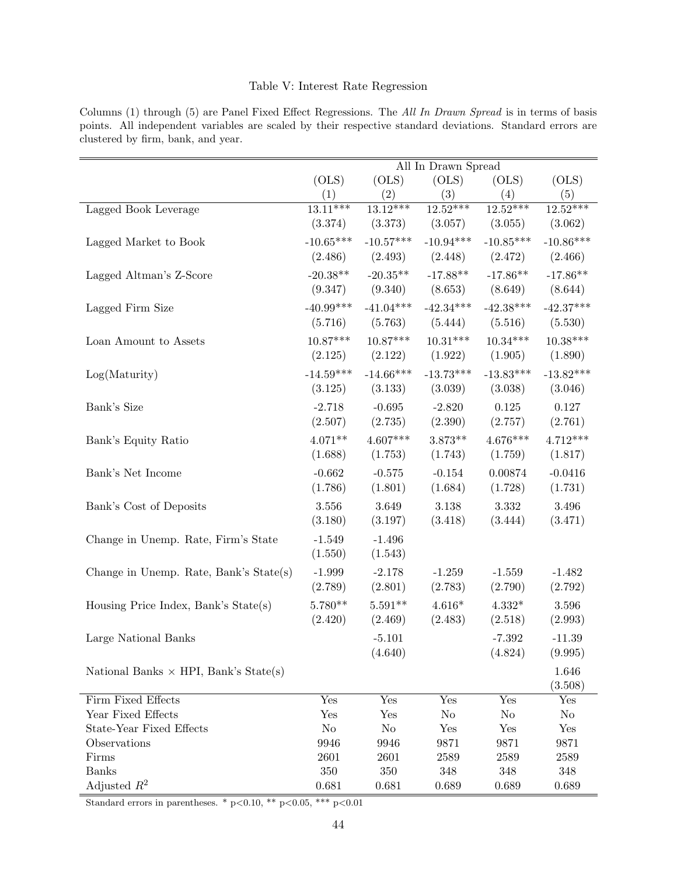# Table V: Interest Rate Regression

<span id="page-44-0"></span>Columns (1) through (5) are Panel Fixed Effect Regressions. The All In Drawn Spread is in terms of basis points. All independent variables are scaled by their respective standard deviations. Standard errors are clustered by firm, bank, and year.

|                                              |             |                | All In Drawn Spread |                |             |
|----------------------------------------------|-------------|----------------|---------------------|----------------|-------------|
|                                              | (OLS)       | (OLS)          | (OLS)               | (OLS)          | (OLS)       |
|                                              | (1)         | (2)            | (3)                 | (4)            | (5)         |
| Lagged Book Leverage                         | $13.11***$  | $13.12***$     | $12.52***$          | $12.52***$     | $12.52***$  |
|                                              | (3.374)     | (3.373)        | (3.057)             | (3.055)        | (3.062)     |
| Lagged Market to Book                        | $-10.65***$ | $-10.57***$    | $-10.94***$         | $-10.85***$    | $-10.86***$ |
|                                              | (2.486)     | (2.493)        | (2.448)             | (2.472)        | (2.466)     |
| Lagged Altman's Z-Score                      | $-20.38**$  | $-20.35**$     | $-17.88**$          | $-17.86**$     | $-17.86**$  |
|                                              | (9.347)     | (9.340)        | (8.653)             | (8.649)        | (8.644)     |
| Lagged Firm Size                             | $-40.99***$ | $-41.04***$    | $-42.34***$         | $-42.38***$    | $-42.37***$ |
|                                              | (5.716)     | (5.763)        | (5.444)             | (5.516)        | (5.530)     |
| Loan Amount to Assets                        | $10.87***$  | $10.87***$     | $10.31***$          | $10.34***$     | $10.38***$  |
|                                              | (2.125)     | (2.122)        | (1.922)             | (1.905)        | (1.890)     |
| Log(Maturity)                                | $-14.59***$ | $-14.66***$    | $-13.73***$         | $-13.83***$    | $-13.82***$ |
|                                              | (3.125)     | (3.133)        | (3.039)             | (3.038)        | (3.046)     |
| Bank's Size                                  | $-2.718$    | $-0.695$       | $-2.820$            | 0.125          | 0.127       |
|                                              | (2.507)     | (2.735)        | (2.390)             | (2.757)        | (2.761)     |
| Bank's Equity Ratio                          | $4.071**$   | $4.607***$     | $3.873**$           | $4.676***$     | $4.712***$  |
|                                              | (1.688)     | (1.753)        | (1.743)             | (1.759)        | (1.817)     |
| Bank's Net Income                            | $-0.662$    | $-0.575$       | $-0.154$            | 0.00874        | $-0.0416$   |
|                                              | (1.786)     | (1.801)        | (1.684)             | (1.728)        | (1.731)     |
| Bank's Cost of Deposits                      | 3.556       | 3.649          | 3.138               | 3.332          | 3.496       |
|                                              | (3.180)     | (3.197)        | (3.418)             | (3.444)        | (3.471)     |
| Change in Unemp. Rate, Firm's State          | $-1.549$    | $-1.496$       |                     |                |             |
|                                              | (1.550)     | (1.543)        |                     |                |             |
| Change in Unemp. Rate, Bank's State(s)       | $-1.999$    | $-2.178$       | $-1.259$            | $-1.559$       | $-1.482$    |
|                                              | (2.789)     | (2.801)        | (2.783)             | (2.790)        | (2.792)     |
| Housing Price Index, Bank's State(s)         | 5.780**     | $5.591**$      | $4.616*$            | $4.332*$       | 3.596       |
|                                              | (2.420)     | (2.469)        | (2.483)             | (2.518)        | (2.993)     |
| Large National Banks                         |             | $-5.101$       |                     | $-7.392$       | $-11.39$    |
|                                              |             | (4.640)        |                     | (4.824)        | (9.995)     |
|                                              |             |                |                     |                | 1.646       |
| National Banks $\times$ HPI, Bank's State(s) |             |                |                     |                | (3.508)     |
| Firm Fixed Effects                           | Yes         | Yes            | Yes                 | Yes            | Yes         |
| Year Fixed Effects                           | Yes         | Yes            | No                  | N <sub>o</sub> | No          |
| <b>State-Year Fixed Effects</b>              | No          | N <sub>o</sub> | Yes                 | Yes            | Yes         |
| Observations                                 | 9946        | 9946           | 9871                | 9871           | 9871        |
| Firms                                        | 2601        | 2601           | 2589                | 2589           | 2589        |
| <b>Banks</b>                                 | 350         | $350\,$        | 348                 | 348            | 348         |
| Adjusted $R^2$                               | 0.681       | 0.681          | 0.689               | 0.689          | 0.689       |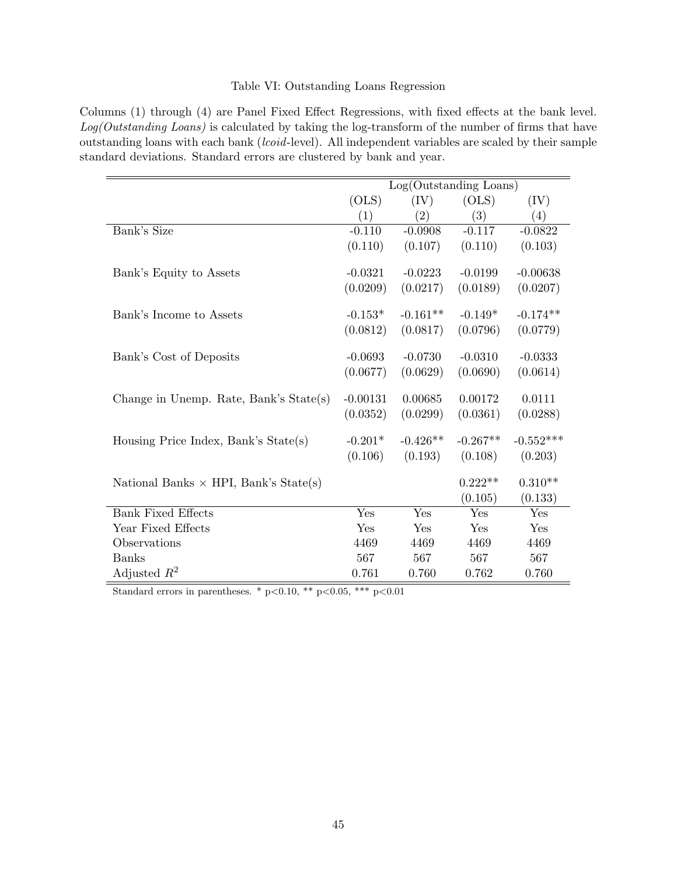# Table VI: Outstanding Loans Regression

<span id="page-45-0"></span>Columns (1) through (4) are Panel Fixed Effect Regressions, with fixed effects at the bank level. Log(Outstanding Loans) is calculated by taking the log-transform of the number of firms that have outstanding loans with each bank (lcoid-level). All independent variables are scaled by their sample standard deviations. Standard errors are clustered by bank and year.

|                                              |            | Log(Outstanding Loans) |            |             |
|----------------------------------------------|------------|------------------------|------------|-------------|
|                                              | (OLS)      | (IV)                   | (OLS)      | (IV)        |
|                                              | (1)        | (2)                    | (3)        | (4)         |
| Bank's Size                                  | $-0.110$   | $-0.0908$              | $-0.117$   | $-0.0822$   |
|                                              | (0.110)    | (0.107)                | (0.110)    | (0.103)     |
| Bank's Equity to Assets                      | $-0.0321$  | $-0.0223$              | $-0.0199$  | $-0.00638$  |
|                                              | (0.0209)   | (0.0217)               | (0.0189)   | (0.0207)    |
| Bank's Income to Assets                      | $-0.153*$  | $-0.161**$             | $-0.149*$  | $-0.174**$  |
|                                              | (0.0812)   | (0.0817)               | (0.0796)   | (0.0779)    |
| Bank's Cost of Deposits                      | $-0.0693$  | $-0.0730$              | $-0.0310$  | $-0.0333$   |
|                                              | (0.0677)   | (0.0629)               | (0.0690)   | (0.0614)    |
| Change in Unemp. Rate, Bank's State(s)       | $-0.00131$ | 0.00685                | 0.00172    | 0.0111      |
|                                              | (0.0352)   | (0.0299)               | (0.0361)   | (0.0288)    |
| Housing Price Index, Bank's State(s)         | $-0.201*$  | $-0.426**$             | $-0.267**$ | $-0.552***$ |
|                                              | (0.106)    | (0.193)                | (0.108)    | (0.203)     |
| National Banks $\times$ HPI, Bank's State(s) |            |                        | $0.222**$  | $0.310**$   |
|                                              |            |                        | (0.105)    | (0.133)     |
| <b>Bank Fixed Effects</b>                    | Yes        | Yes                    | Yes        | Yes         |
| Year Fixed Effects                           | Yes        | Yes                    | Yes        | Yes         |
| Observations                                 | 4469       | 4469                   | 4469       | 4469        |
| <b>Banks</b>                                 | 567        | 567                    | 567        | 567         |
| Adjusted $R^2$                               | 0.761      | 0.760                  | 0.762      | 0.760       |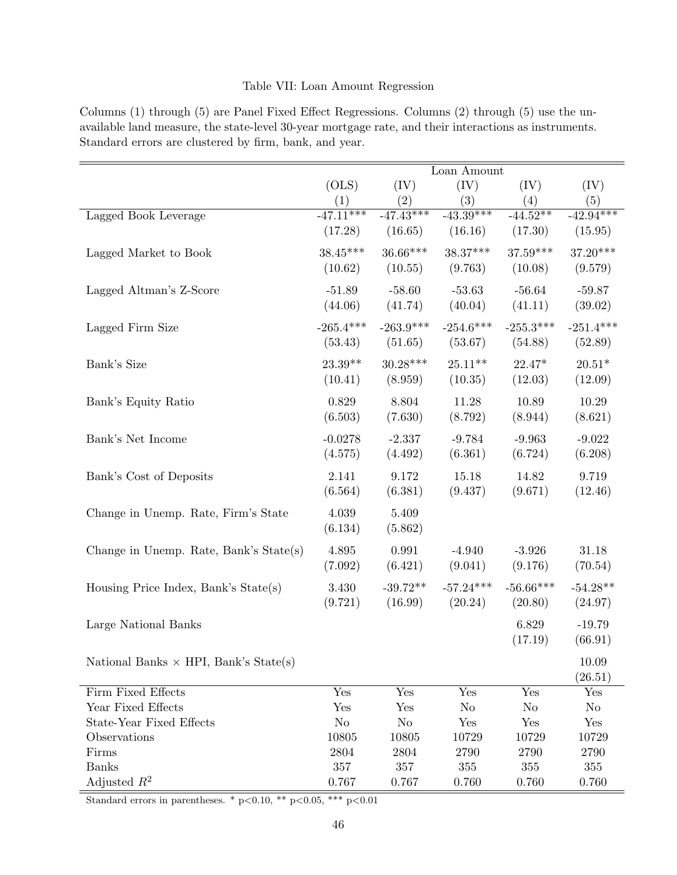# Table VII: Loan Amount Regression

|                                              |             |                        | Loan Amount |                |                        |
|----------------------------------------------|-------------|------------------------|-------------|----------------|------------------------|
|                                              | (OLS)       | (IV)                   | (IV)        | (IV)           | (IV)                   |
|                                              | (1)         | (2)                    | (3)         | (4)            | (5)                    |
| Lagged Book Leverage                         | $-47.11***$ | $-47.\overline{43***}$ | $-43.39***$ | $-44.52**$     | $-42.\overline{94***}$ |
|                                              | (17.28)     | (16.65)                | (16.16)     | (17.30)        | (15.95)                |
| Lagged Market to Book                        | $38.45***$  | $36.66***$             | $38.37***$  | $37.59***$     | $37.20***$             |
|                                              | (10.62)     | (10.55)                | (9.763)     | (10.08)        | (9.579)                |
|                                              |             |                        |             |                |                        |
| Lagged Altman's Z-Score                      | $-51.89$    | $-58.60$               | $-53.63$    | $-56.64$       | $-59.87$               |
|                                              | (44.06)     | (41.74)                | (40.04)     | (41.11)        | (39.02)                |
| Lagged Firm Size                             | $-265.4***$ | $-263.9***$            | $-254.6***$ | $-255.3***$    | $-251.4***$            |
|                                              | (53.43)     | (51.65)                | (53.67)     | (54.88)        | (52.89)                |
| Bank's Size                                  | $23.39**$   | $30.28***$             | $25.11**$   | $22.47*$       | $20.51*$               |
|                                              | (10.41)     | (8.959)                | (10.35)     | (12.03)        | (12.09)                |
|                                              |             |                        |             |                |                        |
| Bank's Equity Ratio                          | 0.829       | 8.804                  | 11.28       | 10.89          | 10.29                  |
|                                              | (6.503)     | (7.630)                | (8.792)     | (8.944)        | (8.621)                |
| Bank's Net Income                            | $-0.0278$   | $-2.337$               | $-9.784$    | $-9.963$       | $-9.022$               |
|                                              | (4.575)     | (4.492)                | (6.361)     | (6.724)        | (6.208)                |
| Bank's Cost of Deposits                      | 2.141       | 9.172                  | 15.18       | 14.82          | 9.719                  |
|                                              | (6.564)     | (6.381)                | (9.437)     | (9.671)        | (12.46)                |
|                                              |             |                        |             |                |                        |
| Change in Unemp. Rate, Firm's State          | 4.039       | 5.409                  |             |                |                        |
|                                              | (6.134)     | (5.862)                |             |                |                        |
| Change in Unemp. Rate, Bank's State(s)       | 4.895       | 0.991                  | $-4.940$    | $-3.926$       | 31.18                  |
|                                              | (7.092)     | (6.421)                | (9.041)     | (9.176)        | (70.54)                |
|                                              | 3.430       | $-39.72**$             | $-57.24***$ | $-56.66***$    | $-54.28**$             |
| Housing Price Index, Bank's $State(s)$       | (9.721)     | (16.99)                | (20.24)     | (20.80)        | (24.97)                |
|                                              |             |                        |             |                |                        |
| Large National Banks                         |             |                        |             | 6.829          | $-19.79$               |
|                                              |             |                        |             | (17.19)        | (66.91)                |
| National Banks $\times$ HPI, Bank's State(s) |             |                        |             |                | 10.09                  |
|                                              |             |                        |             |                | (26.51)                |
| Firm Fixed Effects                           | Yes         | Yes                    | Yes         | Yes            | Yes                    |
| Year Fixed Effects                           | Yes         | Yes                    | No          | N <sub>o</sub> | No                     |
| <b>State-Year Fixed Effects</b>              | No          | No                     | Yes         | Yes            | Yes                    |
| Observations                                 | 10805       | 10805                  | 10729       | 10729          | 10729                  |
| Firms                                        | 2804        | 2804                   | 2790        | 2790           | 2790                   |
| <b>Banks</b>                                 | 357         | 357                    | 355         | 355            | 355                    |
| Adjusted $R^2$                               | 0.767       | 0.767                  | 0.760       | 0.760          | 0.760                  |

<span id="page-46-0"></span>Columns (1) through (5) are Panel Fixed Effect Regressions. Columns (2) through (5) use the unavailable land measure, the state-level 30-year mortgage rate, and their interactions as instruments. Standard errors are clustered by firm, bank, and year.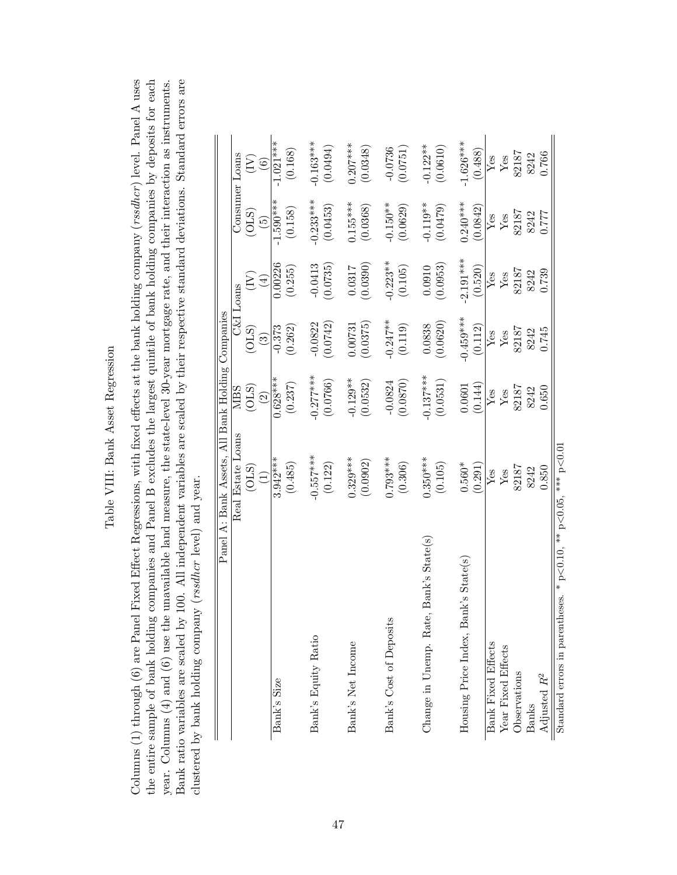| ה הייתרות הי                    |
|---------------------------------|
|                                 |
| ;<br>ג<br>č                     |
| 5a <sub>1</sub><br>$\mathsf{D}$ |
| тш                              |
| $\overline{\epsilon}$<br>ā      |

<span id="page-47-0"></span>Columns  $(1)$  through  $(6)$  are Panel Fixed Effect Regressions, with fixed effects at the bank holding company  $(rssdher)$  level. Panel A uses the entire sample of bank holding companies and Panel B excludes the largest quintile of bank holding companies by deposits for each Bank ratio variables are scaled by 100. All independent variables are scaled by their respective standard deviations. Standard errors are year. Columns  $(4)$  and  $(6)$  use the unavailable land measure, the state-level 30-year mortgage rate, and their interaction as instruments. Columns (1) through (6) are Panel Fixed Effect Regressions, with fixed effects at the bank holding company (rssdhcr ) level. Panel A uses the entire sample of bank holding companies and Panel B excludes the largest quintile of bank holding companies by deposits for each Bank ratio variables are scaled by 100. All independent variables are scaled by their respective standard deviations. Standard errors are year. Columns (4) and (6) use the unavailable land measure, the state-level 30-year mortgage rate, and their interaction as instruments. clustered by bank holding company (rssdhcr level) and year. clustered by bank holding company (rssdhcr level) and year.

|                                                                         | Panel A: Bank Assets, All Bank Holding Companies |             |             |             |                                   |                         |
|-------------------------------------------------------------------------|--------------------------------------------------|-------------|-------------|-------------|-----------------------------------|-------------------------|
|                                                                         | Real Estate Loans                                | NIBS        |             | C&I Loans   |                                   | Consumer Loans          |
|                                                                         | (01S)                                            | (OLS)       | (OLS)       | E           | (OLS)                             | $\sum\limits_{i=1}^{n}$ |
|                                                                         | $\left( \begin{matrix} 1 \end{matrix} \right)$   | $\boxed{2}$ | $\odot$     | $\tag{4}$   | $\begin{pmatrix} 5 \end{pmatrix}$ | $\odot$                 |
| Bank's Size                                                             | $3.942***$                                       | $0.628***$  | $-0.373$    | 0.00226     | $-1.590***$                       | $1.021***$              |
|                                                                         | (0.485)                                          | (0.237)     | (0.262)     | (0.255)     | (0.158)                           | (0.168)                 |
| Bank's Equity Ratio                                                     | $-0.557***$                                      | $-0.277***$ | $-0.0822$   | $-0.0413$   | $0.233***$                        | $0.163***$              |
|                                                                         | (0.122)                                          | (0.0766)    | (0.0742)    | (0.0735)    | (0.0453)                          | (0.0494)                |
| Bank's Net Income                                                       | $0.329***$                                       | $-0.129**$  | 0.00731     | 0.0317      | $0.155***$                        | $0.207***$              |
|                                                                         | (0.0902)                                         | (0.0532)    | (0.0375)    | (0.0390)    | (0.0368)                          | (0.0348)                |
| Bank's Cost of Deposits                                                 | $0.793***$                                       | $-0.0824$   | $-0.247***$ | $0.223**$   | $-0.150**$                        | $-0.0736$               |
|                                                                         | (0.306)                                          | (0.0870)    | (0.119)     | (0.105)     | (0.0629)                          | (0.0751)                |
| Change in Unemp. Rate, Bank's State(s)                                  | $0.350***$                                       | $0.137***$  | 0.0838      | 0.0910      | $-0.119**$                        | $-0.122**$              |
|                                                                         | (0.105)                                          | (0.0531)    | (0.0620)    | (0.0953)    | (0.0479)                          | (0.0610)                |
| Housing Price Index, Bank's State(s)                                    | $0.560*$                                         | 0.0601      | $-0.459***$ | $-2.191***$ | $0.240***$                        | $1.626***$              |
|                                                                         | (0.291)                                          | (0.144)     | (0.112)     | (0.520)     | (0.0842)                          | (0.488)                 |
| <b>Bank Fixed Effects</b>                                               | ${\rm Yes}$                                      | ${\rm Yes}$ | ${\rm Yes}$ | ${\rm Yes}$ | ${\rm Yes}$                       | ${\rm Yes}$             |
| Year Fixed Effects                                                      | ${\rm Yes}$                                      | ${\rm Yes}$ | ${\rm Yes}$ | ${\rm Yes}$ | ${\rm Yes}$                       | Yes                     |
| Observations                                                            | 82187                                            | 82187       | 82187       | 82187       | 82187                             | 82187                   |
| <b>Banks</b>                                                            | 8242                                             | 8242        | 8242        | 8242        | 8242                              | 8242                    |
| Adjusted $\mathbb{R}^2$                                                 | 0.850                                            | 0.650       | 0.745       | 0.739       | 0.777                             | 0.766                   |
| Standard errors in parentheses. * $p<0.10$ , ** $p<0.05$ , *** $p<0.01$ |                                                  |             |             |             |                                   |                         |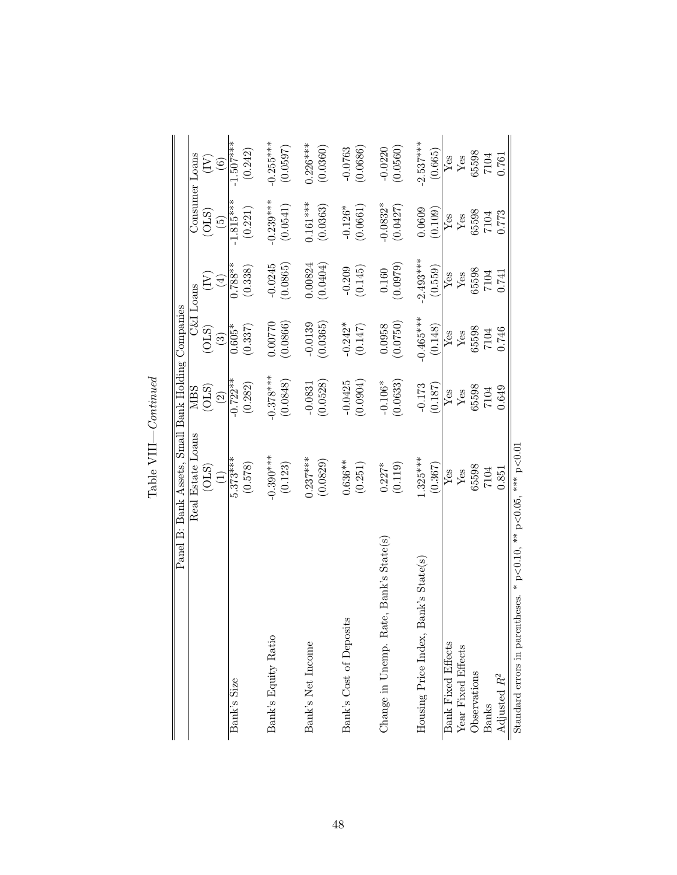|                                                                         | Panel B: Bank Assets, Small Bank Holding Companies |                      |             |                         |                                   |                                                        |
|-------------------------------------------------------------------------|----------------------------------------------------|----------------------|-------------|-------------------------|-----------------------------------|--------------------------------------------------------|
|                                                                         | Real Estate Loans                                  | NIBS                 |             | C&I Loans               |                                   | Consumer Loans                                         |
|                                                                         | (0LS)                                              | (0LS)                | (OLS)       | $\sum\limits_{i=1}^{N}$ | (01S)                             | È                                                      |
|                                                                         | $\widehat{\Xi}$                                    | $\odot$              | $\odot$     | $(\pm)$                 | $\begin{pmatrix} 5 \end{pmatrix}$ | $\begin{array}{c} \textcircled{\small{6}} \end{array}$ |
| Bank's Size                                                             | $5.373***$                                         | $0.722**$            | $0.605*$    | $0.788**$               | $-1.815***$                       | l.507****                                              |
|                                                                         | (0.578)                                            | (0.282)              | (0.337)     | (0.338)                 | (0.221)                           | (0.242)                                                |
| Bank's Equity Ratio                                                     | $0.390***$                                         | $0.378***$           | 0.00770     |                         | $0.239***$                        | $0.255***$                                             |
|                                                                         | (0.123)                                            | (0.0848)             | (0.0866)    | $-0.0245$<br>(0.0865)   | $\left(0.0541\right)$             | (0.0597)                                               |
| Bank's Net Income                                                       | $0.237***$                                         | $-0.0831$            | $-0.0139$   | 0.00824                 | $0.161***$                        | $0.226***$                                             |
|                                                                         | (0.0829)                                           | (0.0528)             | (0.0365)    | (0.0404)                | (0.0363)                          | (0.0360)                                               |
| Bank's Cost of Deposits                                                 | $0.636**$                                          | $-0.0425$            | $-0.242*$   | $-0.209$                | $-0.126*$                         | $-0.0763$                                              |
|                                                                         | (0.251)                                            | (0.0904)             | (0.147)     | (0.145)                 | (0.0661)                          | (0.0686)                                               |
| Change in Unemp. Rate, Bank's State(s)                                  | $0.227*$                                           | $-0.106*$            | 0.0958      | $0.160\,$               | $0.0832*$                         | $-0.0220$                                              |
|                                                                         | (0.119)                                            | (0.0633)             | (0.0750)    | (0.0979)                | (0.0427)                          | (0.0560)                                               |
| Bank's State(s)<br>Housing Price Index,                                 | $.325***$                                          | $-0.173$             | $-0.465***$ | $2.493***$              | 0.0609                            | $2.537***$                                             |
|                                                                         | (0.367)                                            | (0.187)              | (0.148)     | (0.559)                 | (0.109)                           | (0.665)                                                |
| <b>Bank Fixed Effects</b>                                               | ${\rm Yes}$                                        | $\operatorname{Yes}$ | ${\rm Yes}$ | $Y_{CS}$                | ${\rm Yes}$                       | Yes                                                    |
| Year Fixed Effects                                                      | ${\rm Yes}$                                        | ${\rm Yes}$          | ${\rm Yes}$ |                         | ${\rm Yes}$                       | ${\rm Yes}$                                            |
| Observations                                                            | 65598                                              | 65598                | 65598       | 65598                   | 65598                             | 65598                                                  |
| Banks                                                                   | 7104                                               | 7104                 | 7104        | 7104                    | 7104                              | $7104$<br>$0.761$                                      |
| Adjusted $R^2$                                                          | 0.851                                              | 0.649                | 1.746       | 0.741                   | 0.773                             |                                                        |
| Standard errors in parentheses. * $p<0.10$ , ** $p<0.05$ , *** $p<0.01$ |                                                    |                      |             |                         |                                   |                                                        |

Table  $\textit{VIII}-Continued$ Table  $\text{VIII}-Continued$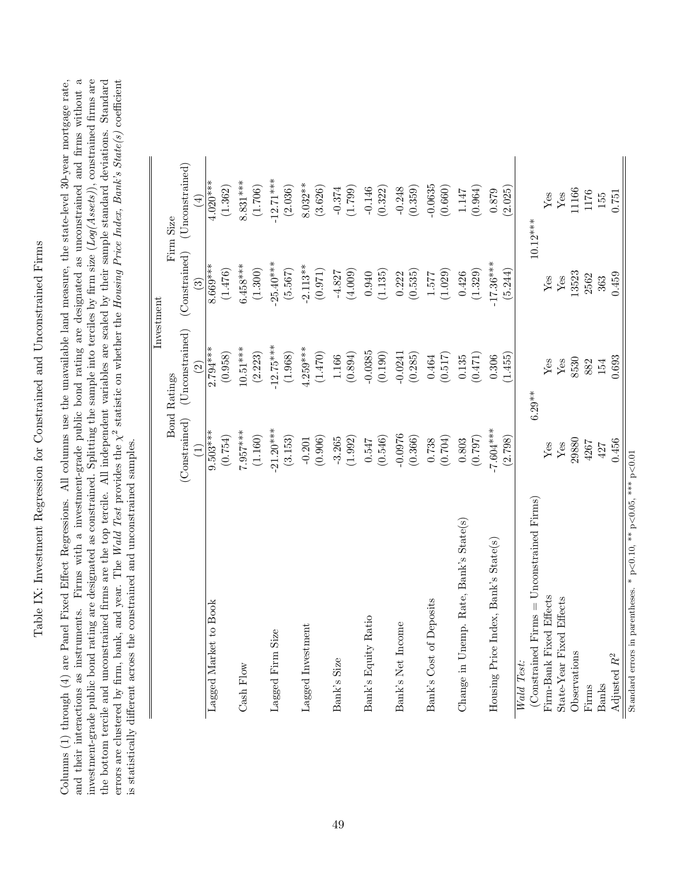Table IX: Investment Regression for Constrained and Unconstrained Firms Table IX: Investment Regression for Constrained and Unconstrained Firms <span id="page-49-0"></span>Columns (1) through (4) are Panel Fixed Effect Regressions. All columns use the unavailable land measure, the state-level 30-year mortgage rate, and their interactions as instruments. Firms with a investment-grade public bond rating are designated as unconstrained and firms without a and their interactions as instruments. Firms with a investment-grade public bond rating are designated as unconstrained and firms without a investment-grade public bond rating are designated as constrained. Splitting the sample into terciles by firm size  $(Log(Asets))$ , constrained firms are the bottom tercile and unconstrained firms are the top tercile. All independent variables are scaled by their sample standard deviations. Standard investment-grade public bond rating are designated as constrained. Splitting the sample into terciles by firm size  $(Log(Assets))$ , constrained firms are the bottom tercile and unconstrained firms are the top tercile. All independent variables are scaled by their sample standard deviations. Standard  $s$  statistic on whether the Housing Price Index, Bank's State(s) coefficient Columns (1) through (4) are Panel Fixed Effect Regressions. All columns use the unavailable land measure, the state-level 30-year mortgage rate,  $\stackrel{\sim}{\times}$ is statistically different across the constrained and unconstrained samples. is statistically different across the constrained and unconstrained samples. errors are clustered by firm, bank, and year. The  $Wald$  Test provides the

|                                                                         |               |                     | Investment               |                          |
|-------------------------------------------------------------------------|---------------|---------------------|--------------------------|--------------------------|
|                                                                         |               | <b>Bond Ratings</b> |                          | Firm Size                |
|                                                                         | (Constrained) | (Unconstrained)     | (Constrained)            | $(\text{Unconstrained})$ |
|                                                                         |               | $\widehat{\Omega}$  | $\widehat{\mathfrak{S}}$ | $\bigoplus$              |
| Lagged Market to Book                                                   | $9.503***$    | $2.794***$          | $8.669***$               | $4.020***$               |
|                                                                         | (0.754)       | (0.958)             | (1.476)                  | (1.362)                  |
| Cash Flow                                                               | 7.957***      | $10.51***$          | $6.458***$               | $8.831***$               |
|                                                                         | (1.160)       | (2.223)             | (1.300)                  | (1.706)                  |
| Lagged Firm Size                                                        | $-21.20***$   | $-12.75***$         | 25.40***                 | $-12.71***$              |
|                                                                         | (3.153)       | (1.968)             | (5.567)                  | (2.036)                  |
| Lagged Investment                                                       | $-0.201$      | $4.259***$          | $2.113**$                | $8.032**$                |
|                                                                         | (0.906)       | (1.470)             | (0.971)                  | (3.626)                  |
| Bank's Size                                                             | $-3.265$      | 1.166               | $-4.827$                 | $-0.374$                 |
|                                                                         | (1.992)       | (0.894)             | (4.009)                  | (1.799)                  |
| Bank's Equity Ratio                                                     | 0.547         | $-0.0385$           | 0.940                    | $-0.146$                 |
|                                                                         | (0.546)       | (0.190)             | (1.135)                  | (0.322)                  |
| Bank's Net Income                                                       | $-0.0976$     | $-0.0241$           | 0.222                    | $-0.248$                 |
|                                                                         | (0.366)       | (0.285)             | (0.535)                  | (0.359)                  |
| Bank's Cost of Deposits                                                 | 0.738         | $\bf 0.464$         | 1.577                    | $-0.0635$                |
|                                                                         | (0.704)       | (0.517)             | (1.029)                  | (0.660)                  |
| Change in Unemp. Rate, Bank's State(s)                                  | 0.803         | 0.135               | 0.426                    | $1.147\,$                |
|                                                                         | (0.797)       | (0.471)             | (1.329)                  | (0.964)                  |
| Housing Price Index, Bank's State(s)                                    | 7.604 ***     | 0.306               | $17.36***$               | $0.879\,$                |
|                                                                         | (2.798)       | (1.455)             | (5.244)                  | (2.025)                  |
| Wald Test:                                                              |               |                     |                          |                          |
| (Constrained Firms $=$ Unconstrained Firms)                             |               | $6.29**$            |                          | $10.12***$               |
| Firm-Bank Fixed Effects                                                 | Yes           | Yes                 | ${\rm Yes}$              | Yes                      |
| State-Year Fixed Effects                                                | $\rm Yes$     | $\rm Yes$           | $\rm Yes$                | ${\rm Yes}$              |
| Observations                                                            | 29880         | 8530                | 13523                    | 11166                    |
| Firms                                                                   | 4267          | 882                 | 2562                     | 1176                     |
| <b>Banks</b>                                                            | 427           | 154                 | 363                      | 155                      |
| Adjusted $R^2$                                                          | 0.456         | 0.693               | 0.459                    | 0.751                    |
| Standard errors in parentheses. * $p<0.10$ , ** $p<0.05$ , *** $p<0.01$ |               |                     |                          |                          |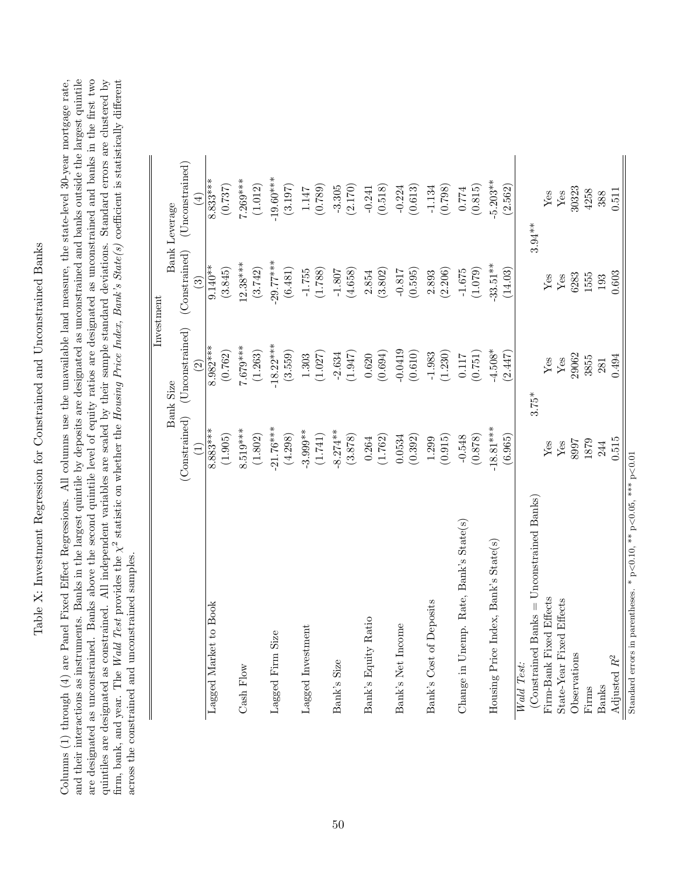Table X: Investment Regression for Constrained and Unconstrained Banks Table X: Investment Regression for Constrained and Unconstrained Banks

<span id="page-50-0"></span>and their interactions as instruments. Banks in the largest quintile by deposits are designated as unconstrained and banks outside the largest quintile are designated as unconstrained. Banks above the second quintile level of equity ratios are designated as unconstrained and banks in the first two Columns (1) through (4) are Panel Fixed Effect Regressions. All columns use the unavailable land measure, the state-level 30-year mortgage rate, quintiles are designated as constrained. All independent variables are scaled by their sample standard deviations. Standard errors are clustered by and their interactions as instruments. Banks in the largest quintile by deposits are designated as unconstrained and banks outside the largest quintile are designated as unconstrained. Banks above the second quintile level of equity ratios are designated as unconstrained and banks in the first two quintiles are designated as constrained. All independent variables are scaled by their sample standard deviations. Standard errors are clustered by  $^2$  statistic on whether the Housing Price Index, Bank's State(s) coefficient is statistically different Columns (1) through (4) are Panel Fixed Effect Regressions. All columns use the unavailable land measure, the state-level 30-year mortgage rate,  $\stackrel{\sim}{\times}$ across the constrained and unconstrained samples. across the constrained and unconstrained samples. firm, bank, and year. The Wald Test provides the

|                                                                         |               |                    | Investment               |                             |
|-------------------------------------------------------------------------|---------------|--------------------|--------------------------|-----------------------------|
|                                                                         |               | <b>Bank Size</b>   |                          | Bank Leverage               |
|                                                                         | (Constrained) | (Unconstrained)    | (Constrained)            | (Unconstrained)             |
|                                                                         |               | $\widehat{\Omega}$ | $\widehat{\mathfrak{S}}$ | ⊕                           |
| Lagged Market to Book                                                   | $8.883***$    | $8.982***$         | $9.140**$                | $8.833***$                  |
|                                                                         | (1.905)       | (0.762)            | (3.845)                  | (0.737)                     |
| Cash Flow                                                               | $8.519***$    | $7.679***$         | $12.38***$               | $7.269***$                  |
|                                                                         | (1.802)       | (1.263)            | (3.742)                  | (1.012)                     |
| Lagged Firm Size                                                        | $-21.76***$   | $-18.22***$        | $-29.77***$              | $-19.60***$                 |
|                                                                         | (4.298)       | (3.559)            | (6.481)                  | (3.197)                     |
| Lagged Investment                                                       | $-3.999**$    | $1.303\,$          | $-1.755$                 | $1.147\,$                   |
|                                                                         | (1.741)       | (1.027)            | (1.788)                  | (0.789)                     |
| Bank's Size                                                             | $-8.274**$    | $-2.634$           | $-1.807$                 | $-3.305$                    |
|                                                                         | (3.878)       | (1.947)            | (4.658)                  | (2.170)                     |
| Bank's Equity Ratio                                                     | 0.264         | 0.620              | 2.854                    | $-0.241$                    |
|                                                                         | (1.762)       | (0.694)            | (3.802)                  | (0.518)                     |
| Bank's Net Income                                                       | 0.0534        | $-0.0419$          | $-0.817$                 | $-0.224$                    |
|                                                                         | (0.392)       | (0.610)            | (0.595)                  | (0.613)                     |
| Bank's Cost of Deposits                                                 | 1.299         | $-1.983$           | 2.893                    | $-1.134$                    |
|                                                                         | (0.915)       | (1.230)            | (2.206)                  | (0.798)                     |
| Change in Unemp. Rate, Bank's State(s)                                  | $-0.548$      | 0.117              | $-1.675$                 | $0.774\,$                   |
|                                                                         | (0.878)       | (0.751)            | (1.079)                  | (0.815)                     |
| Housing Price Index, Bank's State(s)                                    | $-18.81***$   | $-4.508*$          | $-33.51***$              | $-5.203**$                  |
|                                                                         | (6.965)       | (2.447)            | (14.03)                  | (2.562)                     |
| Wald Test:                                                              |               |                    |                          |                             |
| (Constrained Banks = Unconstrained Banks)                               |               | $3.75*$            |                          | $3.94***$                   |
| Firm-Bank Fixed Effects                                                 | Yes           | Yes                | Yes                      | ${\rm Yes}$                 |
| State-Year Fixed Effects                                                | ${\rm Yes}$   | $\mathbf{Yes}$     | ${\rm Yes}$              | $\ensuremath{\mathrm{Yes}}$ |
| Observations                                                            | 8997          | 29062              | 6283                     | 30323                       |
| Firms                                                                   | 1879          | 3855               | 1555                     | 4258                        |
| <b>Banks</b>                                                            | 244           | 281                | 193                      | 388                         |
| Adjusted $R^2$                                                          | 0.515         | 0.494              | 0.603                    | 0.511                       |
| Standard errors in parentheses. * $p<0.10$ , ** $p<0.05$ , *** $p<0.01$ |               |                    |                          |                             |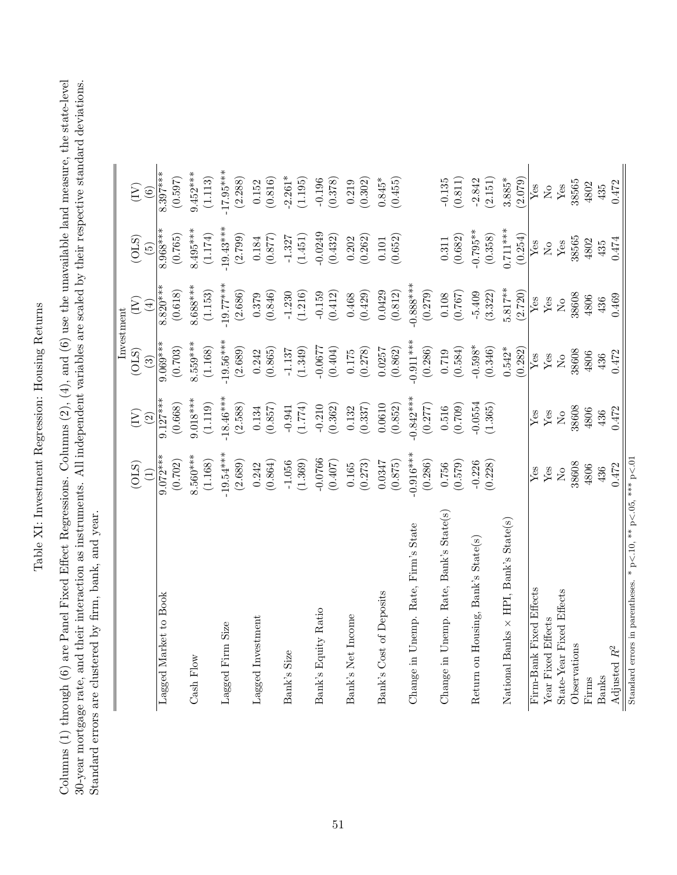Table XI: Investment Regression: Housing Returns Table XI: Investment Regression: Housing Returns <span id="page-51-0"></span>Columns (1) through (6) are Panel Fixed Effect Regressions. Columns (2), (4), and (6) use the unavailable land measure, the state-level 30-year mortgage rate, and their interaction as instruments. All independent variables are scaled by their respective standard deviations. Columns (1) through (6) are Panel Fixed Effect Regressions. Columns (2), (4), and (6) use the unavailable land measure, the state-level 30-year mortgage rate, and their interaction as instruments. All independent variables are scaled by their respective standard deviations. Standard errors are clustered by firm, bank, and year. Standard errors are clustered by firm, bank, and year.

|                                                              |                           |                           | Investment                |                      |                                               |                           |
|--------------------------------------------------------------|---------------------------|---------------------------|---------------------------|----------------------|-----------------------------------------------|---------------------------|
|                                                              | (OLS)                     | $\widetilde{\Xi}$         | (OLS)                     | $(\mathrm{IV})$      | (OLS)                                         | $\widetilde{\Xi}$         |
|                                                              | $\Xi$                     | $\widehat{2}$             | $\odot$                   | $\left( \pm \right)$ | $\widetilde{5}$                               | $\odot$                   |
| Lagged Market to Book                                        | $9.072***$                | $9.127***$                | $0.069***$                | $8.820***$           | $8.968***$                                    | $8.397***$                |
|                                                              | (0.702)                   | (0.668)                   | (0.703)                   | (0.618)              | (0.765)                                       | (0.597)                   |
| Cash Flow                                                    | $8.560***$                | $9.018***$                | 3.559***                  | $8.688***$           | $8.495***$                                    | $9.452***$                |
|                                                              | (1.168)                   | (1.119)                   | (1.168)                   | (1.153)              | (1.174)                                       | (1.113)                   |
| Lagged Firm Size                                             | $-19.54***$               | $-18.46***$               | $-19.56***$               | $-19.77***$          | $-19.43***$                                   | $-17.95***$               |
|                                                              | (2.689)                   | (2.588)                   | (2.689)                   | (2.686)              | (2.799)                                       | (2.288)                   |
| Lagged Investment                                            | 0.242                     | 0.134                     | 0.242                     | 0.379                | 0.184                                         | 0.152                     |
|                                                              | (0.864)                   | (0.857)                   | (0.865)                   | (0.846)              | (0.877)                                       | (0.816)                   |
| Bank's Size                                                  | $-1.056$                  | $-0.941$                  | $-1.137$                  | $-1.230$             | $-1.327$                                      | $-2.261*$                 |
|                                                              | (1.369)                   | (1.774)                   | (1.349)                   | (1.216)              | (1.451)                                       | (1.195)                   |
| Bank's Equity Ratio                                          | $-0.0766$                 | $-0.210$                  | $-0.0677$                 | $-0.159$             | $-0.0249$                                     | $-0.196$                  |
|                                                              | (0.407)                   | (0.362)                   | (0.404)                   | (0.412)              | (0.432)                                       | (0.378)                   |
| Bank's Net Income                                            | 0.165                     | 0.132                     | $0.175\,$                 | 0.468                | 0.202                                         | 0.219                     |
|                                                              | (0.273)                   | (0.337)                   | (0.278)                   | (0.429)              | (0.262)                                       | (0.302)                   |
| Bank's Cost of Deposits                                      | 0.0347                    | 0.0610                    | 0.0257                    | 0.0429               | $0.101\,$                                     | $0.845*$                  |
|                                                              | (0.875)                   | (0.852)                   | (0.862)                   | (0.812)              | (0.652)                                       | (0.455)                   |
| Change in Unemp. Rate, Firm's State                          | $-0.916***$               | $-0.842***$               | $-0.911***$               | $-0.888***$          |                                               |                           |
|                                                              | (0.286)                   | (0.277)                   | (0.286)                   | (0.279)              |                                               |                           |
| Change in Unemp. Rate, Bank's State(s)                       | 0.756                     | 0.516                     | 0.719                     | 0.108                | $\begin{array}{c} 0.311 \\ 0.682 \end{array}$ | $-0.135$                  |
|                                                              | (0.579)                   | (0.709)                   | (0.584)                   | (0.767)              |                                               | (0.811)                   |
| Return on Housing, Bank's State(s)                           | $-0.226$                  | $-0.0554$                 | $-0.598*$                 | $-5.409$             | $-0.795**$                                    | $-2.842$                  |
|                                                              | (0.228)                   | (1.365)                   | (0.346)                   | (3.322)              | (0.358)                                       | (2.151)                   |
| National Banks $\times$ HPI, Bank's State(s)                 |                           |                           | $0.542*$                  | $5.817**$            | $0.711***$                                    | $3.885*$                  |
|                                                              |                           |                           | (0.282)                   | (2.720)              | (0.254)                                       | (2.079)                   |
| Firm-Bank Fixed Effects                                      | Yes                       | Yes                       | Yes                       | Yes                  | $Y$ es                                        | Yes                       |
| Year Fixed Effects                                           | Yes                       | $\mathbf{Yes}$            | Yes                       | ${\rm Yes}$          | $\overline{S}$                                | $\rm \stackrel{\circ}{X}$ |
| State-Year Fixed Effects                                     | $\rm \stackrel{\circ}{X}$ | $\rm \stackrel{\circ}{X}$ | $\rm \stackrel{\circ}{X}$ | $_{\rm N_o}$         | ${\rm Yes}$                                   | $\mathbf{Yes}$            |
| Observations                                                 | 38608                     | 38608                     | 38608                     | 38608                | 38565                                         | 38565                     |
| Firms                                                        | 4806                      | 4806                      | 4806                      | 4806                 | 4802                                          | 4802                      |
| <b>Banks</b>                                                 | 436                       | 436                       | 436                       | 436                  | 435                                           | 435                       |
| Adjusted $R^2$                                               | 0.472                     | 0.472                     | 0.472                     | 0.469                | 0.474                                         | 0.472                     |
| Standard errors in parentheses. * p<.10, ** p<.05, *** p<.01 |                           |                           |                           |                      |                                               |                           |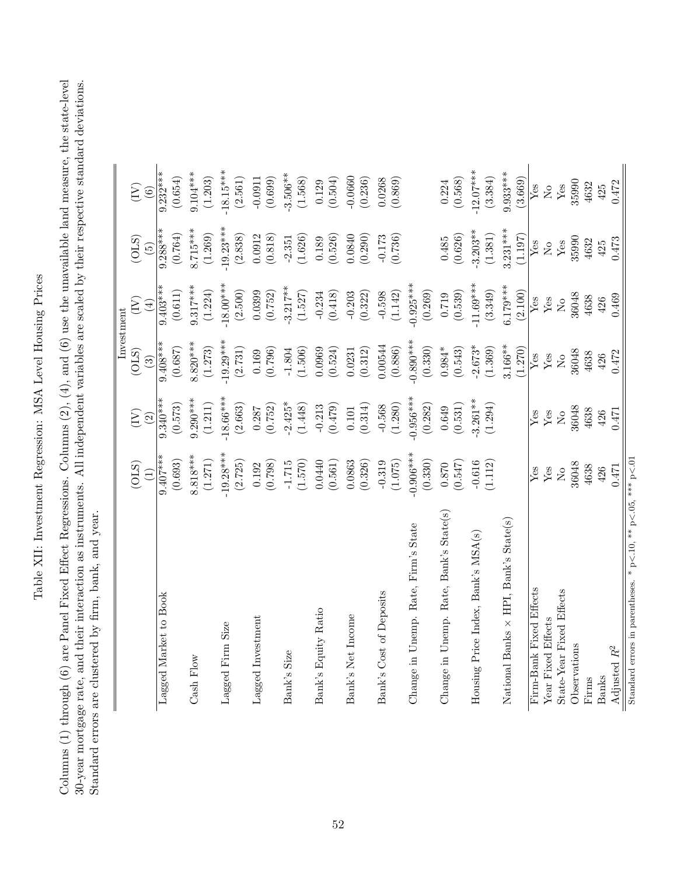Table XII: Investment Regression: MSA Level Housing Prices Table XII: Investment Regression: MSA Level Housing Prices <span id="page-52-0"></span>Columns (1) through (6) are Panel Fixed Effect Regressions. Columns (2), (4), and (6) use the unavailable land measure, the state-level 30-year mortgage rate, and their interaction as instruments. All independent variables are scaled by their respective standard deviations. Columns (1) through (6) are Panel Fixed Effect Regressions. Columns (2), (4), and (6) use the unavailable land measure, the state-level 30-year mortgage rate, and their interaction as instruments. All independent variables are scaled by their respective standard deviations. Standard errors are clustered by firm, bank, and year. Standard errors are clustered by firm, bank, and year.

 $\parallel$ 

|                                                                    |                        |                        |                             | Investment             |                 |                         |
|--------------------------------------------------------------------|------------------------|------------------------|-----------------------------|------------------------|-----------------|-------------------------|
|                                                                    | (OLS)                  | (Y)                    | (OLS)                       | (Y)                    | (OLS)           | (Y)                     |
|                                                                    | $\left(1\right)$       | $\widehat{2}$          | $\odot$                     | $\left( 4\right)$      | $\widetilde{5}$ | $\odot$                 |
| Lagged Market to Book                                              | $9.407***$             | $9.340***$             | $9.408***$                  | $9.403**$              | $9.288***$      | $9.232***$              |
|                                                                    | (0.693)                | (0.573)                | (0.687)                     | (0.611)                | (0.764)         | (0.654)                 |
| Cash Flow                                                          | $8.818***$             | $9.290***$             | $8.820***$                  | $9.317***$             | $8.715***$      | $9.104***$              |
|                                                                    | (1.271)                | (1.211)                | (1.273)                     | (1.224)                | (1.269)         | (1.203)                 |
| Lagged Firm Size                                                   | $-19.28***$            | $-18.66***$            | $19.29***$                  | $-18.00***$            | $-19.23***$     | $-18.15***$             |
|                                                                    | (2.725)                | (2.663)                | (2.731)                     | (2.500)                | (2.838)         | (2.561)                 |
| Lagged Investment                                                  | 0.192                  | 0.287                  | 0.169                       | 0.0399                 | 0.0912          | $-0.0911$               |
|                                                                    | (0.798)                | (0.752)                | (0.796)                     | (0.752)                | (0.818)         | (0.699)                 |
| Bank's Size                                                        | $-1.715$               | $-2.425*$              | $-1.804$                    | $3.217***$             | $-2.351$        | $-3.506**$              |
|                                                                    | (1.570)                | (1.448)                | (1.506)                     | (1.527)                | (1.626)         | (1.568)                 |
| Bank's Equity Ratio                                                | 0.0440                 | $-0.213$               | 0.0969                      | $-0.234$               | 0.189           | 0.129                   |
|                                                                    | (0.561)                | (0.479)                | (0.524)                     | (0.418)                | (0.526)         | (0.504)                 |
| Bank's Net Income                                                  | 0.0863                 | $0.101\,$              | 0.0231                      | $-0.203$               | 0.0840          | $-0.0660$               |
|                                                                    | (0.326)                | (0.314)                | (0.312)                     | (0.322)                | (0.290)         | (0.236)                 |
| Bank's Cost of Deposits                                            | $-0.319$               | $-0.568$               | 0.00544                     | $-0.598$               | $-0.173$        | 0.0268                  |
|                                                                    | (1.075)                | (1.280)                | (0.886)                     | (1.142)                | (0.736)         | (0.869)                 |
| Change in Unemp. Rate, Firm's State                                | $-0.906***$<br>(0.330) | $-0.956***$<br>(0.282) | $0.890***$<br>(0.330)       | $-0.925***$<br>(0.269) |                 |                         |
| Change in Unemp. Rate, Bank's State(s)                             | $0.870\,$              | 0.649                  | $0.984*$                    | 0.719                  | 0.485           | $0.224 \newline(0.568)$ |
|                                                                    | (0.547)                | $\left( 0.531\right)$  | (0.543)                     | (0.539)                | (0.626)         |                         |
| Housing Price Index, Bank's MSA(s)                                 | $-0.616$               | $-3.261**$             | $-2.673*$                   | $-11.69***$            | $-3.203**$      | $-12.07***$             |
|                                                                    | (1.112)                | (1.294)                | (1.369)                     | (3.349)                | (1.381)         | (3.384)                 |
| National Banks $\times$ HPI, Bank's State(s)                       |                        |                        | $3.166***$                  | $6.179***$             | $3.231***$      | $9.933***$              |
|                                                                    |                        |                        | (1.270)                     | (2.100)                | (1.197)         | (3.669)                 |
| Firm-Bank Fixed Effects                                            | Yes                    | Yes                    | $\ensuremath{\mathrm{Yes}}$ | Yes                    | Yes             | Yes                     |
| Year Fixed Effects                                                 | $Y$ es                 | Yes                    | Yes                         | ${\rm Yes}$            | $\overline{M}$  | $\rm _{No}$             |
| State-Year Fixed Effects                                           | $\overline{N}$         | $\overline{N}$         | $\rm \stackrel{\circ}{X}$   | $_{\rm N_o}$           | ${\rm Yes}$     | ${\rm Yes}$             |
| Observations                                                       | 36048                  | 36048                  | 36048                       | 36048                  | 35990           | 35990                   |
| Firms                                                              | 4638                   | 4638                   | 4638                        | 4638                   | 4632            | 4632                    |
| <b>Banks</b>                                                       | 426                    | 426                    | 426                         | 426                    | 425             | 425                     |
| Adjusted $R^2$                                                     | 0.471                  | 0.471                  | 0.472                       | 0.469                  | 0.473           | 0.472                   |
| Standard errors in parentheses. * $p<10$ , ** $p<0.5$ , *** $p<01$ |                        |                        |                             |                        |                 |                         |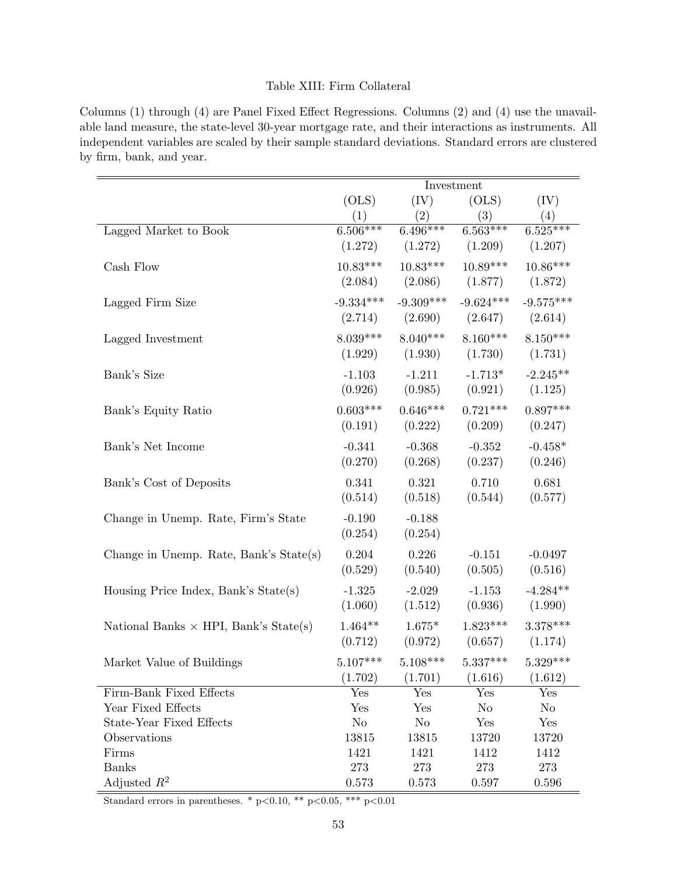# Table XIII: Firm Collateral

<span id="page-53-0"></span>Columns (1) through (4) are Panel Fixed Effect Regressions. Columns (2) and (4) use the unavailable land measure, the state-level 30-year mortgage rate, and their interactions as instruments. All independent variables are scaled by their sample standard deviations. Standard errors are clustered by firm, bank, and year.

|                                              |             |                               | Investment  |             |
|----------------------------------------------|-------------|-------------------------------|-------------|-------------|
|                                              | (OLS)       | (IV)                          | (OLS)       | (IV)        |
|                                              | (1)         | (2)                           | (3)         | (4)         |
| Lagged Market to Book                        | $6.506***$  | $6.496***$                    | $6.563***$  | $6.525***$  |
|                                              |             | $(1.272)$ $(1.272)$ $(1.209)$ |             | (1.207)     |
| Cash Flow                                    | $10.83***$  | $10.83***$                    | $10.89***$  | $10.86***$  |
|                                              | (2.084)     | (2.086)                       | (1.877)     | (1.872)     |
| Lagged Firm Size                             | $-9.334***$ | $-9.309***$                   | $-9.624***$ | $-9.575***$ |
|                                              | (2.714)     | (2.690)                       | (2.647)     | (2.614)     |
| Lagged Investment                            | $8.039***$  | $8.040***$                    | $8.160***$  | $8.150***$  |
|                                              | (1.929)     | (1.930)                       | (1.730)     | (1.731)     |
| Bank's Size                                  | $-1.103$    | $-1.211$                      | $-1.713*$   | $-2.245**$  |
|                                              | (0.926)     | (0.985)                       | (0.921)     | (1.125)     |
| Bank's Equity Ratio                          | $0.603***$  | $0.646***$                    | $0.721***$  | $0.897***$  |
|                                              | (0.191)     | (0.222)                       | (0.209)     | (0.247)     |
| Bank's Net Income                            | $-0.341$    | $-0.368$                      | $-0.352$    | $-0.458*$   |
|                                              | (0.270)     | (0.268)                       | (0.237)     | (0.246)     |
| Bank's Cost of Deposits                      | 0.341       | 0.321                         | 0.710       | 0.681       |
|                                              | (0.514)     | (0.518)                       | (0.544)     | (0.577)     |
| Change in Unemp. Rate, Firm's State          | $-0.190$    | $-0.188$                      |             |             |
|                                              | (0.254)     | (0.254)                       |             |             |
| Change in Unemp. Rate, Bank's State(s)       | 0.204       | 0.226                         | $-0.151$    | $-0.0497$   |
|                                              | (0.529)     | (0.540)                       | (0.505)     | (0.516)     |
| Housing Price Index, Bank's State(s)         | $-1.325$    | $-2.029$                      | $-1.153$    | $-4.284**$  |
|                                              | (1.060)     | (1.512)                       | (0.936)     | (1.990)     |
| National Banks $\times$ HPI, Bank's State(s) | $1.464**$   | $1.675*$                      | $1.823***$  | $3.378***$  |
|                                              | (0.712)     | (0.972)                       | (0.657)     | (1.174)     |
| Market Value of Buildings                    | $5.107***$  | $5.108***$                    | $5.337***$  | $5.329***$  |
|                                              | (1.702)     | (1.701)                       | (1.616)     | (1.612)     |
| Firm-Bank Fixed Effects                      | Yes         | Yes                           | Yes         | Yes         |
| Year Fixed Effects                           | Yes         | Yes                           | No          | $\rm No$    |
| <b>State-Year Fixed Effects</b>              | $\rm No$    | $\rm No$                      | Yes         | Yes         |
| Observations                                 | 13815       | 13815                         | 13720       | 13720       |
| Firms                                        | 1421        | 1421                          | 1412        | 1412        |
| <b>Banks</b>                                 | 273         | 273                           | 273         | 273         |
| Adjusted $R^2$                               | 0.573       | 0.573                         | 0.597       | 0.596       |